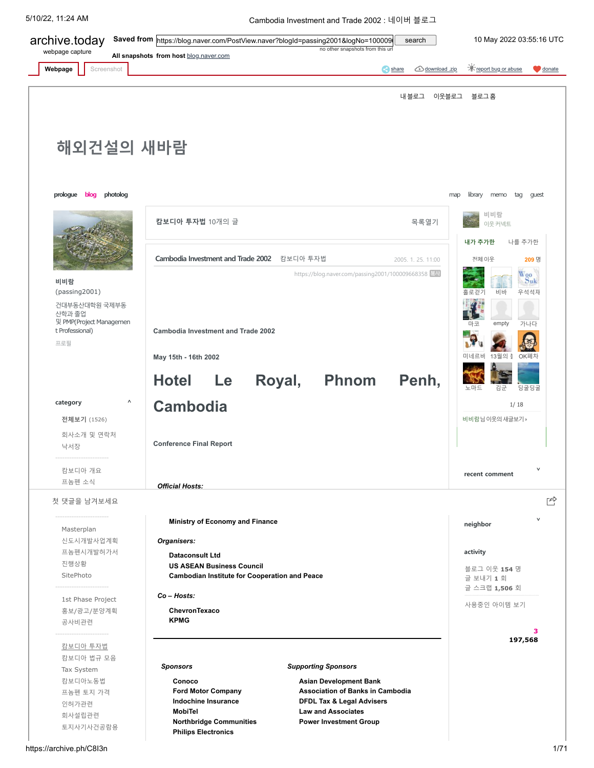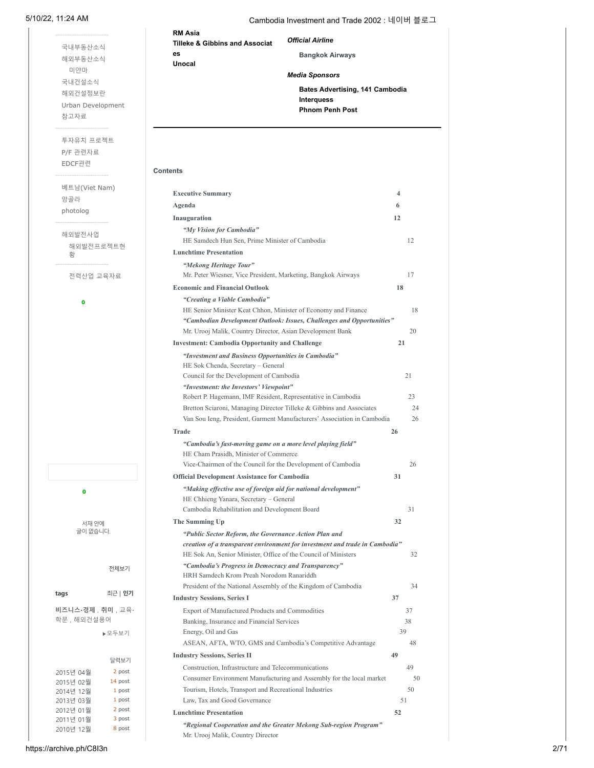[국내부동산소식](https://archive.ph/o/C8I3n/https://blog.naver.com/PostList.naver?blogId=passing2001&from=postList&categoryNo=21) [해외부동산소식](https://archive.ph/o/C8I3n/https://blog.naver.com/PostList.naver?blogId=passing2001&from=postList&categoryNo=22&parentCategoryNo=22) [미얀마](https://archive.ph/o/C8I3n/https://blog.naver.com/PostList.naver?blogId=passing2001&from=postList&categoryNo=74) [국내건설소식](https://archive.ph/o/C8I3n/https://blog.naver.com/PostList.naver?blogId=passing2001&from=postList&categoryNo=23) [해외건설정보란](https://archive.ph/o/C8I3n/https://blog.naver.com/PostList.naver?blogId=passing2001&from=postList&categoryNo=10) [Urban Development](https://archive.ph/o/C8I3n/https://blog.naver.com/PostList.naver?blogId=passing2001&from=postList&categoryNo=16)

-----------------------

[참고자료](https://archive.ph/o/C8I3n/https://blog.naver.com/PostList.naver?blogId=passing2001&from=postList&categoryNo=26)

[앙골라](https://archive.ph/o/C8I3n/https://blog.naver.com/PostList.naver?blogId=passing2001&from=postList&categoryNo=43) [photolog](https://archive.ph/o/C8I3n/https://blog.naver.com/PostList.naver?blogId=passing2001&from=postList&categoryNo=44&parentCategoryNo=44)

[해외발전사업](https://archive.ph/o/C8I3n/https://blog.naver.com/PostList.naver?blogId=passing2001&from=postList&categoryNo=71&parentCategoryNo=71)

-----------------------

-----------------------

**0**

황

[해외발전프로젝트현](https://archive.ph/o/C8I3n/https://blog.naver.com/PostList.naver?blogId=passing2001&from=postList&categoryNo=72)

[전력산업](https://archive.ph/o/C8I3n/https://blog.naver.com/PostList.naver?blogId=passing2001&from=postList&categoryNo=75) 교육자료

투자유치 [프로젝트](https://archive.ph/o/C8I3n/https://blog.naver.com/PostList.naver?blogId=passing2001&from=postList&categoryNo=30) P/F [관련자료](https://archive.ph/o/C8I3n/https://blog.naver.com/PostList.naver?blogId=passing2001&from=postList&categoryNo=31) [EDCF](https://archive.ph/o/C8I3n/https://blog.naver.com/PostList.naver?blogId=passing2001&from=postList&categoryNo=33)관련

-----------------------

베트남[\(Viet Nam\)](https://archive.ph/o/C8I3n/https://blog.naver.com/PostList.naver?blogId=passing2001&from=postList&categoryNo=41)

-----------------------

5/10/22, 11:24 AM Cambodia Investment and Trade 2002 : 네이버 블로그

**RM Asia Tilleke & Gibbins and Associat es**

**Unocal**

**Bangkok Airways**

*Media Sponsors*

*Official Airline*

**Bates Advertising, 141 Cambodia Interquess Phnom Penh Post**

### **Contents**

| Agenda                                                                                                   | 6        |
|----------------------------------------------------------------------------------------------------------|----------|
| Inauguration                                                                                             | 12       |
| "My Vision for Cambodia"                                                                                 |          |
| HE Samdech Hun Sen, Prime Minister of Cambodia                                                           | 12       |
| <b>Lunchtime Presentation</b>                                                                            |          |
| "Mekong Heritage Tour"                                                                                   |          |
| Mr. Peter Wiesner, Vice President, Marketing, Bangkok Airways                                            | 17       |
| <b>Economic and Financial Outlook</b>                                                                    | 18       |
| "Creating a Viable Cambodia"                                                                             |          |
| HE Senior Minister Keat Chhon, Minister of Economy and Finance                                           |          |
| "Cambodian Development Outlook: Issues, Challenges and Opportunities"                                    |          |
| Mr. Urooj Malik, Country Director, Asian Development Bank                                                | 20       |
| <b>Investment: Cambodia Opportunity and Challenge</b>                                                    | 21       |
| "Investment and Business Opportunities in Cambodia"                                                      |          |
| HE Sok Chenda, Secretary - General                                                                       |          |
| Council for the Development of Cambodia                                                                  | 21       |
| "Investment: the Investors' Viewpoint"                                                                   |          |
| Robert P. Hagemann, IMF Resident, Representative in Cambodia                                             | 23       |
| Bretton Sciaroni, Managing Director Tilleke & Gibbins and Associates                                     |          |
| Van Sou Ieng, President, Garment Manufacturers' Association in Cambodia                                  |          |
| Trade                                                                                                    | 26       |
| "Cambodia's fast-moving game on a more level playing field"<br>HE Cham Prasidh, Minister of Commerce     |          |
| Vice-Chairmen of the Council for the Development of Cambodia                                             | 26       |
| <b>Official Development Assistance for Cambodia</b>                                                      | 31       |
| "Making effective use of foreign aid for national development"<br>HE Chhieng Yanara, Secretary - General |          |
| Cambodia Rehabilitation and Development Board                                                            | 31       |
| The Summing Up                                                                                           | 32       |
| "Public Sector Reform, the Governance Action Plan and                                                    |          |
| creation of a transparent environment for investment and trade in Cambodia"                              |          |
| HE Sok An, Senior Minister, Office of the Council of Ministers                                           | 32       |
| "Cambodia's Progress in Democracy and Transparency"                                                      |          |
| HRH Samdech Krom Preah Norodom Ranariddh                                                                 |          |
| President of the National Assembly of the Kingdom of Cambodia                                            | 34       |
| <b>Industry Sessions, Series I</b>                                                                       | 37       |
| Export of Manufactured Products and Commodities                                                          | 37       |
| Banking, Insurance and Financial Services                                                                | 38<br>39 |
| Energy, Oil and Gas                                                                                      | 48       |
| ASEAN, AFTA, WTO, GMS and Cambodia's Competitive Advantage                                               |          |
| <b>Industry Sessions, Series II</b>                                                                      | 49       |
| Construction, Infrastructure and Telecommunications                                                      | 49       |
| Consumer Environment Manufacturing and Assembly for the local market                                     | 50       |
| Tourism, Hotels, Transport and Recreational Industries<br>Law, Tax and Good Governance                   | 51       |
| <b>Lunchtime Presentation</b>                                                                            | 52       |
|                                                                                                          |          |

[2015년 04월](https://archive.ph/o/C8I3n/https://blog.naver.com/PostList.naver?blogId=passing2001&viewdate=2015-04&from=postList) [2015년 02월](https://archive.ph/o/C8I3n/https://blog.naver.com/PostList.naver?blogId=passing2001&viewdate=2015-02&from=postList) [2014년 12월](https://archive.ph/o/C8I3n/https://blog.naver.com/PostList.naver?blogId=passing2001&viewdate=2014-12&from=postList) [2013년 03월](https://archive.ph/o/C8I3n/https://blog.naver.com/PostList.naver?blogId=passing2001&viewdate=2013-03&from=postList) [2012년 01월](https://archive.ph/o/C8I3n/https://blog.naver.com/PostList.naver?blogId=passing2001&viewdate=2012-01&from=postList) [2011년 01월](https://archive.ph/o/C8I3n/https://blog.naver.com/PostList.naver?blogId=passing2001&viewdate=2011-01&from=postList) [2010년 12월](https://archive.ph/o/C8I3n/https://blog.naver.com/PostList.naver?blogId=passing2001&viewdate=2010-12&from=postList)

**[비즈니스](https://archive.ph/o/C8I3n/https://blog.naver.com/PostListByTagName.naver?blogId=passing2001&logType=mylog&tagName=%EB%B9%84%EC%A6%88%EB%8B%88%EC%8A%A4%C2%B7%EA%B2%BD%EC%A0%9C)·경제** , **[취미](https://archive.ph/o/C8I3n/https://blog.naver.com/PostListByTagName.naver?blogId=passing2001&logType=mylog&tagName=%EC%B7%A8%EB%AF%B8)** , 교육· [학문 , 해외건설용어](https://archive.ph/o/C8I3n/https://blog.naver.com/PostListByTagName.naver?blogId=passing2001&logType=mylog&tagName=%EA%B5%90%EC%9C%A1%C2%B7%ED%95%99%EB%AC%B8)

**tags** 최근 | **인기**

서재 안에 글이 없습니다.

**0**

2 post 14 post 1 post 1 post 2 post 3 post 8 post

달력보기

▶모두보기

[전체보기](https://archive.ph/o/C8I3n/https://blog.naver.com/library/LibraryView.naver?blogId=passing2001)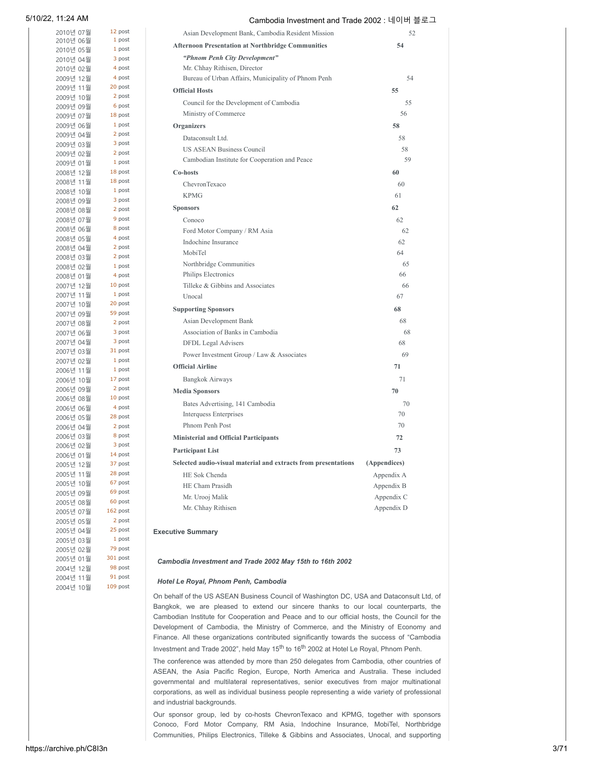| 2010년 07월              | 12 post           | Asian Development Bank, Cambodia Resident Mission              | 52           |
|------------------------|-------------------|----------------------------------------------------------------|--------------|
| 2010년 06월              | 1 post            | <b>Afternoon Presentation at Northbridge Communities</b>       | 54           |
| 2010년 05월              | 1 post            |                                                                |              |
| 2010년 04월              | 3 post            | "Phnom Penh City Development"                                  |              |
| 2010년 02월              | 4 post            | Mr. Chhay Rithisen, Director                                   |              |
| 2009년 12월              | 4 post            | Bureau of Urban Affairs, Municipality of Phnom Penh            | 54           |
| 2009년 11월              | 20 post           | <b>Official Hosts</b>                                          | 55           |
| 2009년 10월              | 2 post            | Council for the Development of Cambodia                        | 55           |
| 2009년 09월              | 6 post<br>18 post | Ministry of Commerce                                           | 56           |
| 2009년 07월              | 1 post            |                                                                |              |
| 2009년 06월<br>2009년 04월 | 2 post            | <b>Organizers</b>                                              | 58           |
| 2009년 03월              | 3 post            | Dataconsult Ltd.                                               | 58           |
| 2009년 02월              | 2 post            | <b>US ASEAN Business Council</b>                               | 58           |
| 2009년 01월              | 1 post            | Cambodian Institute for Cooperation and Peace                  | 59           |
| 2008년 12월              | 18 post           | Co-hosts                                                       | 60           |
| 2008년 11월              | 18 post           | ChevronTexaco                                                  | 60           |
| 2008년 10월              | 1 post            |                                                                |              |
| 2008년 09월              | 3 post            | <b>KPMG</b>                                                    | 61           |
| 2008년 08월              | 2 post            | <b>Sponsors</b>                                                | 62           |
| 2008년 07월              | 9 post            | Conoco                                                         | 62           |
| 2008년 06월              | 8 post            | Ford Motor Company / RM Asia                                   | 62           |
| 2008년 05월              | 4 post            | Indochine Insurance                                            | 62           |
| 2008년 04월              | 2 post            | MobiTel                                                        | 64           |
| 2008년 03월              | 2 post            | Northbridge Communities                                        | 65           |
| 2008년 02월              | 1 post            | Philips Electronics                                            | 66           |
| 2008년 01월              | 4 post            |                                                                |              |
| 2007년 12월              | 10 post<br>1 post | Tilleke & Gibbins and Associates                               | 66           |
| 2007년 11월              | 20 post           | Unocal                                                         | 67           |
| 2007년 10월<br>2007년 09월 | 59 post           | <b>Supporting Sponsors</b>                                     | 68           |
| 2007년 08월              | 2 post            | Asian Development Bank                                         | 68           |
| 2007년 06월              | 3 post            | Association of Banks in Cambodia                               | 68           |
| 2007년 04월              | 3 post            | DFDL Legal Advisers                                            | 68           |
| 2007년 03월              | 31 post           | Power Investment Group / Law & Associates                      | 69           |
| 2007년 02월              | 1 post            |                                                                |              |
| 2006년 11월              | 1 post            | <b>Official Airline</b>                                        | 71           |
| 2006년 10월              | 17 post           | <b>Bangkok Airways</b>                                         | 71           |
| 2006년 09월              | 2 post            | <b>Media Sponsors</b>                                          | 70           |
| 2006년 08월              | 10 post           | Bates Advertising, 141 Cambodia                                | 70           |
| 2006년 06월              | 4 post            | <b>Interquess Enterprises</b>                                  | 70           |
| 2006년 05월              | 28 post           | Phnom Penh Post                                                | 70           |
| 2006년 04월              | 2 post            |                                                                |              |
| 2006년 03월              | 8 post<br>3 post  | <b>Ministerial and Official Participants</b>                   | 72           |
| 2006년 02월              | 14 post           | <b>Participant List</b>                                        | 73           |
| 2006년 01월<br>2005년 12월 | 37 post           | Selected audio-visual material and extracts from presentations | (Appendices) |
| 2005년 11월              | 28 post           | HE Sok Chenda                                                  | Appendix A   |
| 2005년 10월              | 67 post           | HE Cham Prasidh                                                |              |
| 2005년 09월              | 69 post           |                                                                | Appendix B   |
| 2005년 08월              | 60 post           | Mr. Urooj Malik                                                | Appendix C   |
| 2005년 07월              | 162 post          | Mr. Chhay Rithisen                                             | Appendix D   |
| 2005년 05월              | 2 post            |                                                                |              |
| 2005년 04월              | 25 post           | <b>Executive Summary</b>                                       |              |
| 2005년 03월              | 1 post            |                                                                |              |
| 2005년 02월              | 79 post           |                                                                |              |
| 2005년 01월              | 301 post          | Cambodia Investment and Trade 2002 May 15th to 16th 2002       |              |
| 2004년 12월              | 98 post           |                                                                |              |

### *Hotel Le Royal, Phnom Penh, Cambodia*

On behalf of the US ASEAN Business Council of Washington DC, USA and Dataconsult Ltd, of Bangkok, we are pleased to extend our sincere thanks to our local counterparts, the Cambodian Institute for Cooperation and Peace and to our official hosts, the Council for the Development of Cambodia, the Ministry of Commerce, and the Ministry of Economy and Finance. All these organizations contributed significantly towards the success of "Cambodia Investment and Trade 2002", held May 15<sup>th</sup> to 16<sup>th</sup> 2002 at Hotel Le Royal, Phnom Penh.

The conference was attended by more than 250 delegates from Cambodia, other countries of ASEAN, the Asia Pacific Region, Europe, North America and Australia. These included governmental and multilateral representatives, senior executives from major multinational corporations, as well as individual business people representing a wide variety of professional and industrial backgrounds.

Our sponsor group, led by co-hosts ChevronTexaco and KPMG, together with sponsors Conoco, Ford Motor Company, RM Asia, Indochine Insurance, MobiTel, Northbridge Communities, Philips Electronics, Tilleke & Gibbins and Associates, Unocal, and supporting

[2004년 11월](https://archive.ph/o/C8I3n/https://blog.naver.com/PostList.naver?blogId=passing2001&viewdate=2004-11&from=postList) [2004년 10월](https://archive.ph/o/C8I3n/https://blog.naver.com/PostList.naver?blogId=passing2001&viewdate=2004-10&from=postList)

91 post 109 post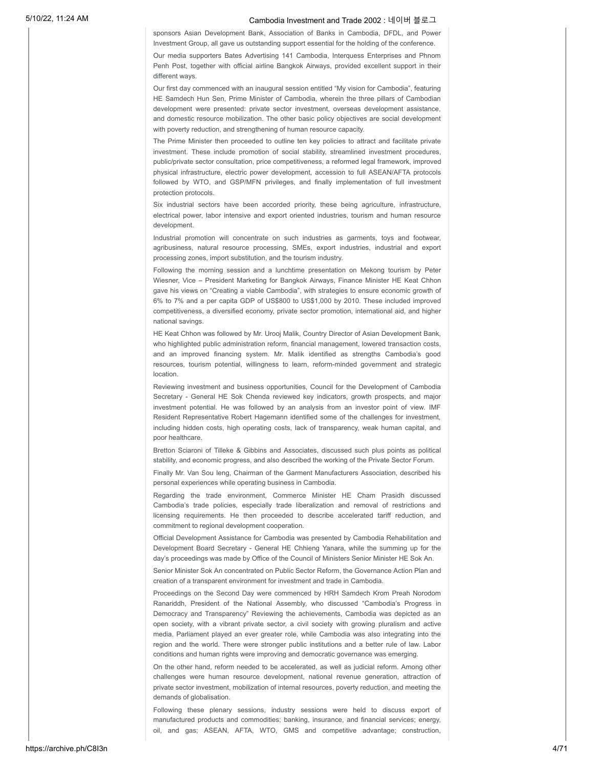sponsors Asian Development Bank, Association of Banks in Cambodia, DFDL, and Power Investment Group, all gave us outstanding support essential for the holding of the conference. Our media supporters Bates Advertising 141 Cambodia, Interquess Enterprises and Phnom Penh Post, together with official airline Bangkok Airways, provided excellent support in their different ways.

Our first day commenced with an inaugural session entitled "My vision for Cambodia", featuring HE Samdech Hun Sen, Prime Minister of Cambodia, wherein the three pillars of Cambodian development were presented: private sector investment, overseas development assistance, and domestic resource mobilization. The other basic policy objectives are social development with poverty reduction, and strengthening of human resource capacity.

The Prime Minister then proceeded to outline ten key policies to attract and facilitate private investment. These include promotion of social stability, streamlined investment procedures, public/private sector consultation, price competitiveness, a reformed legal framework, improved physical infrastructure, electric power development, accession to full ASEAN/AFTA protocols followed by WTO, and GSP/MFN privileges, and finally implementation of full investment protection protocols.

Six industrial sectors have been accorded priority, these being agriculture, infrastructure, electrical power, labor intensive and export oriented industries, tourism and human resource development.

Industrial promotion will concentrate on such industries as garments, toys and footwear, agribusiness, natural resource processing, SMEs, export industries, industrial and export processing zones, import substitution, and the tourism industry.

Following the morning session and a lunchtime presentation on Mekong tourism by Peter Wiesner, Vice – President Marketing for Bangkok Airways, Finance Minister HE Keat Chhon gave his views on "Creating a viable Cambodia", with strategies to ensure economic growth of 6% to 7% and a per capita GDP of US\$800 to US\$1,000 by 2010. These included improved competitiveness, a diversified economy, private sector promotion, international aid, and higher national savings.

HE Keat Chhon was followed by Mr. Urooj Malik, Country Director of Asian Development Bank, who highlighted public administration reform, financial management, lowered transaction costs, and an improved financing system. Mr. Malik identified as strengths Cambodia's good resources, tourism potential, willingness to learn, reform-minded government and strategic location.

Reviewing investment and business opportunities, Council for the Development of Cambodia Secretary - General HE Sok Chenda reviewed key indicators, growth prospects, and major investment potential. He was followed by an analysis from an investor point of view. IMF Resident Representative Robert Hagemann identified some of the challenges for investment, including hidden costs, high operating costs, lack of transparency, weak human capital, and poor healthcare.

Bretton Sciaroni of Tilleke & Gibbins and Associates, discussed such plus points as political stability, and economic progress, and also described the working of the Private Sector Forum.

Finally Mr. Van Sou Ieng, Chairman of the Garment Manufacturers Association, described his personal experiences while operating business in Cambodia.

Regarding the trade environment, Commerce Minister HE Cham Prasidh discussed Cambodia's trade policies, especially trade liberalization and removal of restrictions and licensing requirements. He then proceeded to describe accelerated tariff reduction, and commitment to regional development cooperation.

Official Development Assistance for Cambodia was presented by Cambodia Rehabilitation and Development Board Secretary - General HE Chhieng Yanara, while the summing up for the day's proceedings was made by Office of the Council of Ministers Senior Minister HE Sok An.

Senior Minister Sok An concentrated on Public Sector Reform, the Governance Action Plan and creation of a transparent environment for investment and trade in Cambodia.

Proceedings on the Second Day were commenced by HRH Samdech Krom Preah Norodom Ranariddh, President of the National Assembly, who discussed "Cambodia's Progress in Democracy and Transparency" Reviewing the achievements, Cambodia was depicted as an open society, with a vibrant private sector, a civil society with growing pluralism and active media. Parliament played an ever greater role, while Cambodia was also integrating into the region and the world. There were stronger public institutions and a better rule of law. Labor conditions and human rights were improving and democratic governance was emerging.

On the other hand, reform needed to be accelerated, as well as judicial reform. Among other challenges were human resource development, national revenue generation, attraction of private sector investment, mobilization of internal resources, poverty reduction, and meeting the demands of globalisation.

Following these plenary sessions, industry sessions were held to discuss export of manufactured products and commodities; banking, insurance, and financial services; energy, oil, and gas; ASEAN, AFTA, WTO, GMS and competitive advantage; construction,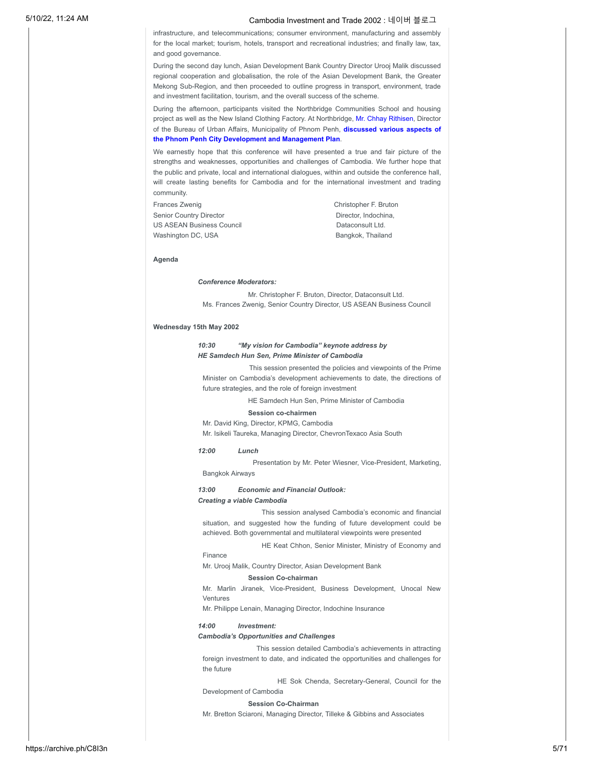infrastructure, and telecommunications; consumer environment, manufacturing and assembly for the local market; tourism, hotels, transport and recreational industries; and finally law, tax, and good governance.

During the second day lunch, Asian Development Bank Country Director Urooj Malik discussed regional cooperation and globalisation, the role of the Asian Development Bank, the Greater Mekong Sub-Region, and then proceeded to outline progress in transport, environment, trade and investment facilitation, tourism, and the overall success of the scheme.

During the afternoon, participants visited the Northbridge Communities School and housing project as well as the New Island Clothing Factory. At Northbridge, Mr. Chhay Rithisen, Director of the Bureau of Urban Affairs, Municipality of Phnom Penh, **discussed various aspects of the Phnom Penh City Development and Management Plan**.

### We earnestly hope that this conference will have presented a true and fair picture of the strengths and weaknesses, opportunities and challenges of Cambodia. We further hope that the public and private, local and international dialogues, within and outside the conference hall, will create lasting benefits for Cambodia and for the international investment and trading community.

Frances Zwenig Christopher F. Bruton Senior Country Director **Director** Director, Indochina, US ASEAN Business Council **Dataconsult Ltd.** Washington DC, USA Bangkok, Thailand

#### **Agenda**

### *Conference Moderators:*

Mr. Christopher F. Bruton, Director, Dataconsult Ltd. Ms. Frances Zwenig, Senior Country Director, US ASEAN Business Council

#### **Wednesday 15th May 2002**

### *10:30 "My vision for Cambodia" keynote address by HE Samdech Hun Sen, Prime Minister of Cambodia*

This session presented the policies and viewpoints of the Prime Minister on Cambodia's development achievements to date, the directions of future strategies, and the role of foreign investment

HE Samdech Hun Sen, Prime Minister of Cambodia

### **Session co-chairmen**

Mr. David King, Director, KPMG, Cambodia Mr. Isikeli Taureka, Managing Director, ChevronTexaco Asia South

#### *12:00 Lunch*

Presentation by Mr. Peter Wiesner, Vice-President, Marketing, Bangkok Airways

### *13:00 Economic and Financial Outlook:*

### *Creating a viable Cambodia*

This session analysed Cambodia's economic and financial situation, and suggested how the funding of future development could be achieved. Both governmental and multilateral viewpoints were presented

HE Keat Chhon, Senior Minister, Ministry of Economy and Finance

Mr. Urooj Malik, Country Director, Asian Development Bank

#### **Session Co-chairman**

Mr. Marlin Jiranek, Vice-President, Business Development, Unocal New Ventures

Mr. Philippe Lenain, Managing Director, Indochine Insurance

#### *14:00 Investment:*

### *Cambodia's Opportunities and Challenges*

This session detailed Cambodia's achievements in attracting foreign investment to date, and indicated the opportunities and challenges for the future

HE Sok Chenda, Secretary-General, Council for the Development of Cambodia

### **Session Co-Chairman**

Mr. Bretton Sciaroni, Managing Director, Tilleke & Gibbins and Associates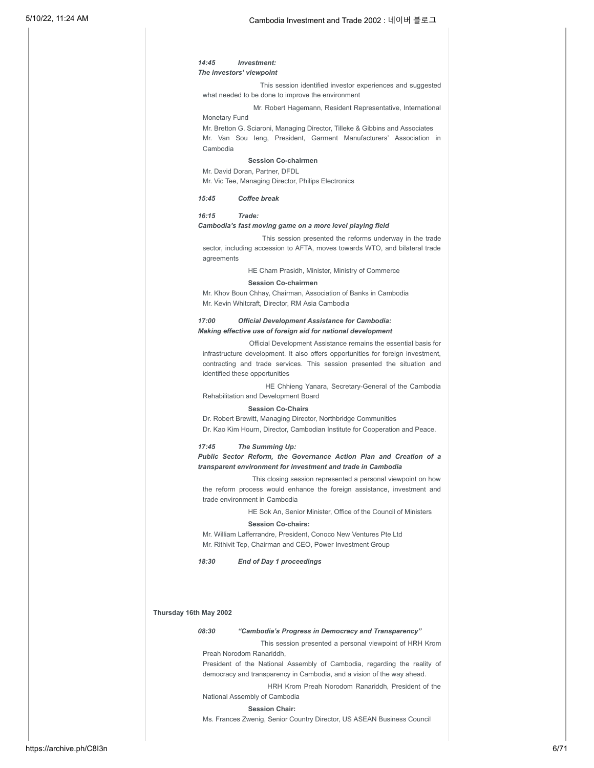### *14:45 Investment: The investors' viewpoint*

This session identified investor experiences and suggested what needed to be done to improve the environment

Mr. Robert Hagemann, Resident Representative, International Monetary Fund

Mr. Bretton G. Sciaroni, Managing Director, Tilleke & Gibbins and Associates Mr. Van Sou Ieng, President, Garment Manufacturers' Association in Cambodia

### **Session Co-chairmen**

Mr. David Doran, Partner, DFDL Mr. Vic Tee, Managing Director, Philips Electronics

#### *15:45 Coffee break*

### *16:15 Trade:*

### *Cambodia's fast moving game on a more level playing field*

This session presented the reforms underway in the trade sector, including accession to AFTA, moves towards WTO, and bilateral trade agreements

HE Cham Prasidh, Minister, Ministry of Commerce

#### **Session Co-chairmen**

Mr. Khov Boun Chhay, Chairman, Association of Banks in Cambodia Mr. Kevin Whitcraft, Director, RM Asia Cambodia

### *17:00 Official Development Assistance for Cambodia: Making effective use of foreign aid for national development*

Official Development Assistance remains the essential basis for infrastructure development. It also offers opportunities for foreign investment, contracting and trade services. This session presented the situation and identified these opportunities

HE Chhieng Yanara, Secretary-General of the Cambodia Rehabilitation and Development Board

### **Session Co-Chairs**

Dr. Robert Brewitt, Managing Director, Northbridge Communities

Dr. Kao Kim Hourn, Director, Cambodian Institute for Cooperation and Peace.

### *17:45 The Summing Up:*

### *Public Sector Reform, the Governance Action Plan and Creation of a transparent environment for investment and trade in Cambodia*

This closing session represented a personal viewpoint on how the reform process would enhance the foreign assistance, investment and trade environment in Cambodia

> HE Sok An, Senior Minister, Office of the Council of Ministers **Session Co-chairs:**

Mr. William Lafferrandre, President, Conoco New Ventures Pte Ltd Mr. Rithivit Tep, Chairman and CEO, Power Investment Group

*18:30 End of Day 1 proceedings*

### **Thursday 16th May 2002**

### *08:30 "Cambodia's Progress in Democracy and Transparency"*

This session presented a personal viewpoint of HRH Krom Preah Norodom Ranariddh,

President of the National Assembly of Cambodia, regarding the reality of democracy and transparency in Cambodia, and a vision of the way ahead.

HRH Krom Preah Norodom Ranariddh, President of the National Assembly of Cambodia

#### **Session Chair:**

Ms. Frances Zwenig, Senior Country Director, US ASEAN Business Council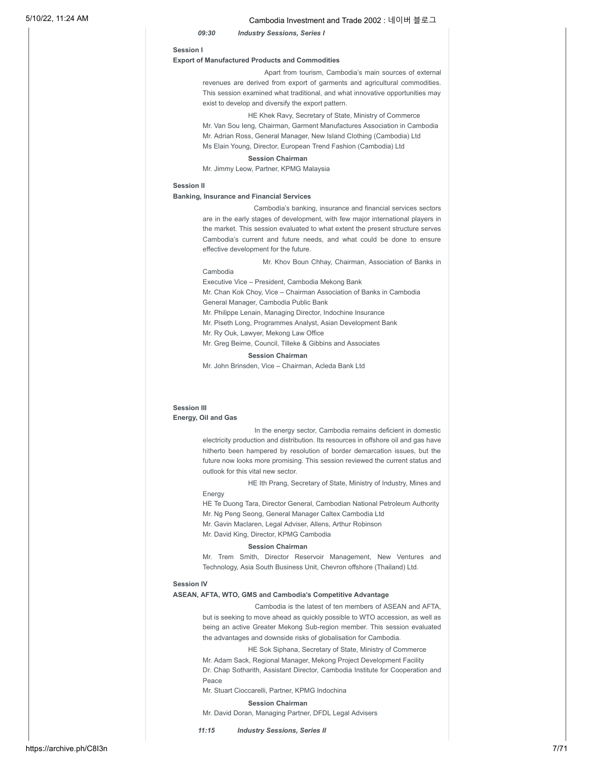### *09:30 Industry Sessions, Series I*

#### **Session I**

#### **Export of Manufactured Products and Commodities**

Apart from tourism, Cambodia's main sources of external revenues are derived from export of garments and agricultural commodities. This session examined what traditional, and what innovative opportunities may exist to develop and diversify the export pattern.

HE Khek Ravy, Secretary of State, Ministry of Commerce Mr. Van Sou Ieng, Chairman, Garment Manufactures Association in Cambodia Mr. Adrian Ross, General Manager, New Island Clothing (Cambodia) Ltd Ms Elain Young, Director, European Trend Fashion (Cambodia) Ltd

### **Session Chairman**

Mr. Jimmy Leow, Partner, KPMG Malaysia

#### **Session II**

### **Banking, Insurance and Financial Services**

Cambodia's banking, insurance and financial services sectors are in the early stages of development, with few major international players in the market. This session evaluated to what extent the present structure serves Cambodia's current and future needs, and what could be done to ensure effective development for the future.

Mr. Khov Boun Chhay, Chairman, Association of Banks in Cambodia

Executive Vice – President, Cambodia Mekong Bank

Mr. Chan Kok Choy, Vice – Chairman Association of Banks in Cambodia General Manager, Cambodia Public Bank

Mr. Philippe Lenain, Managing Director, Indochine Insurance

Mr. Piseth Long, Programmes Analyst, Asian Development Bank

Mr. Ry Ouk, Lawyer, Mekong Law Office

Mr. Greg Beirne, Council, Tilleke & Gibbins and Associates

#### **Session Chairman**

Mr. John Brinsden, Vice – Chairman, Acleda Bank Ltd

### **Session III Energy, Oil and Gas**

In the energy sector, Cambodia remains deficient in domestic electricity production and distribution. Its resources in offshore oil and gas have hitherto been hampered by resolution of border demarcation issues, but the future now looks more promising. This session reviewed the current status and outlook for this vital new sector.

HE Ith Prang, Secretary of State, Ministry of Industry, Mines and Energy

HE Te Duong Tara, Director General, Cambodian National Petroleum Authority Mr. Ng Peng Seong, General Manager Caltex Cambodia Ltd

Mr. Gavin Maclaren, Legal Adviser, Allens, Arthur Robinson

Mr. David King, Director, KPMG Cambodia

#### **Session Chairman**

Mr. Trem Smith, Director Reservoir Management, New Ventures and Technology, Asia South Business Unit, Chevron offshore (Thailand) Ltd.

#### **Session IV**

### **ASEAN, AFTA, WTO, GMS and Cambodia's Competitive Advantage**

Cambodia is the latest of ten members of ASEAN and AFTA, but is seeking to move ahead as quickly possible to WTO accession, as well as being an active Greater Mekong Sub-region member. This session evaluated the advantages and downside risks of globalisation for Cambodia.

HE Sok Siphana, Secretary of State, Ministry of Commerce

Mr. Adam Sack, Regional Manager, Mekong Project Development Facility Dr. Chap Sotharith, Assistant Director, Cambodia Institute for Cooperation and Peace

Mr. Stuart Cioccarelli, Partner, KPMG Indochina

**Session Chairman**

Mr. David Doran, Managing Partner, DFDL Legal Advisers

*11:15 Industry Sessions, Series II*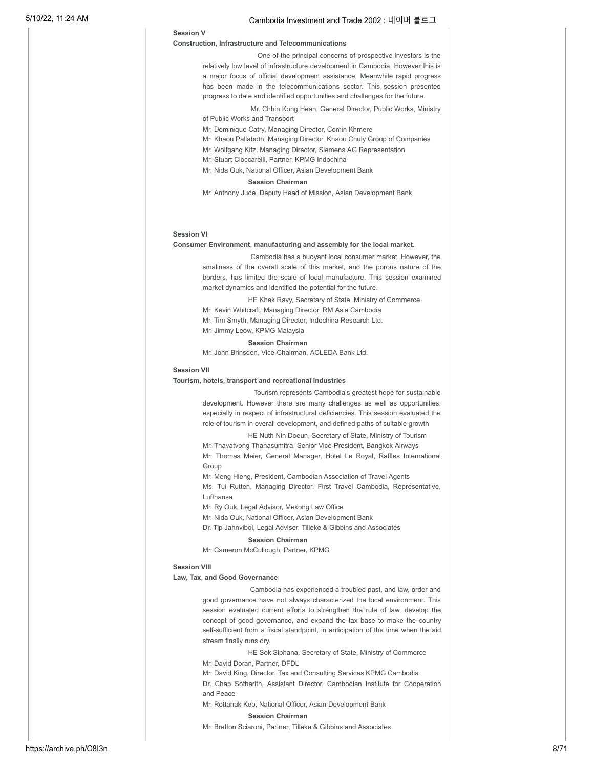### **Session V**

### **Construction, Infrastructure and Telecommunications**

One of the principal concerns of prospective investors is the relatively low level of infrastructure development in Cambodia. However this is a major focus of official development assistance, Meanwhile rapid progress has been made in the telecommunications sector. This session presented progress to date and identified opportunities and challenges for the future.

Mr. Chhin Kong Hean, General Director, Public Works, Ministry of Public Works and Transport

Mr. Dominique Catry, Managing Director, Comin Khmere

- Mr. Khaou Pallaboth, Managing Director, Khaou Chuly Group of Companies
- Mr. Wolfgang Kitz, Managing Director, Siemens AG Representation
- Mr. Stuart Cioccarelli, Partner, KPMG Indochina
- Mr. Nida Ouk, National Officer, Asian Development Bank

### **Session Chairman**

Mr. Anthony Jude, Deputy Head of Mission, Asian Development Bank

### **Session VI**

#### **Consumer Environment, manufacturing and assembly for the local market.**

Cambodia has a buoyant local consumer market. However, the smallness of the overall scale of this market, and the porous nature of the borders, has limited the scale of local manufacture. This session examined market dynamics and identified the potential for the future.

HE Khek Ravy, Secretary of State, Ministry of Commerce Mr. Kevin Whitcraft, Managing Director, RM Asia Cambodia Mr. Tim Smyth, Managing Director, Indochina Research Ltd. Mr. Jimmy Leow, KPMG Malaysia

### **Session Chairman**

Mr. John Brinsden, Vice-Chairman, ACLEDA Bank Ltd.

#### **Session VII**

#### **Tourism, hotels, transport and recreational industries**

Tourism represents Cambodia's greatest hope for sustainable development. However there are many challenges as well as opportunities, especially in respect of infrastructural deficiencies. This session evaluated the role of tourism in overall development, and defined paths of suitable growth

HE Nuth Nin Doeun, Secretary of State, Ministry of Tourism

Mr. Thavatvong Thanasumitra, Senior Vice-President, Bangkok Airways Mr. Thomas Meier, General Manager, Hotel Le Royal, Raffles International Group

Mr. Meng Hieng, President, Cambodian Association of Travel Agents

Ms. Tui Rutten, Managing Director, First Travel Cambodia, Representative, Lufthansa

Mr. Ry Ouk, Legal Advisor, Mekong Law Office

Mr. Nida Ouk, National Officer, Asian Development Bank

Dr. Tip Jahnvibol, Legal Adviser, Tilleke & Gibbins and Associates

### **Session Chairman**

Mr. Cameron McCullough, Partner, KPMG

### **Session VIII**

### **Law, Tax, and Good Governance**

Cambodia has experienced a troubled past, and law, order and good governance have not always characterized the local environment. This session evaluated current efforts to strengthen the rule of law, develop the concept of good governance, and expand the tax base to make the country self-sufficient from a fiscal standpoint, in anticipation of the time when the aid stream finally runs dry.

HE Sok Siphana, Secretary of State, Ministry of Commerce

Mr. David Doran, Partner, DFDL

Mr. David King, Director, Tax and Consulting Services KPMG Cambodia

Dr. Chap Sotharith, Assistant Director, Cambodian Institute for Cooperation and Peace

Mr. Rottanak Keo, National Officer, Asian Development Bank **Session Chairman**

Mr. Bretton Sciaroni, Partner, Tilleke & Gibbins and Associates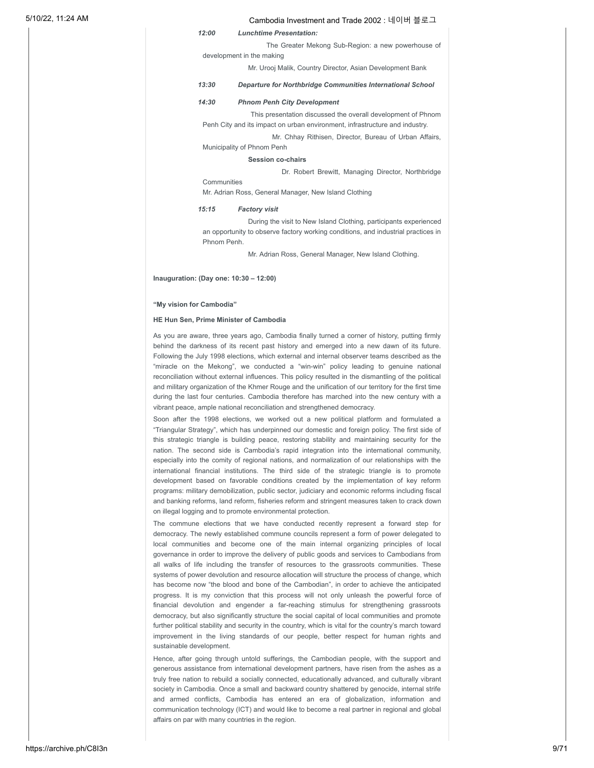*12:00 Lunchtime Presentation:*

The Greater Mekong Sub-Region: a new powerhouse of development in the making

Mr. Urooj Malik, Country Director, Asian Development Bank

### *13:30 Departure for Northbridge Communities International School*

### *14:30 Phnom Penh City Development*

This presentation discussed the overall development of Phnom Penh City and its impact on urban environment, infrastructure and industry.

Mr. Chhay Rithisen, Director, Bureau of Urban Affairs,

Municipality of Phnom Penh

### **Session co-chairs**

Dr. Robert Brewitt, Managing Director, Northbridge

Mr. Adrian Ross, General Manager, New Island Clothing

#### *15:15 Factory visit*

Communities

During the visit to New Island Clothing, participants experienced an opportunity to observe factory working conditions, and industrial practices in Phnom Penh.

Mr. Adrian Ross, General Manager, New Island Clothing.

**Inauguration: (Day one: 10:30 – 12:00)**

#### **"My vision for Cambodia"**

### **HE Hun Sen, Prime Minister of Cambodia**

As you are aware, three years ago, Cambodia finally turned a corner of history, putting firmly behind the darkness of its recent past history and emerged into a new dawn of its future. Following the July 1998 elections, which external and internal observer teams described as the "miracle on the Mekong", we conducted a "win-win" policy leading to genuine national reconciliation without external influences. This policy resulted in the dismantling of the political and military organization of the Khmer Rouge and the unification of our territory for the first time during the last four centuries. Cambodia therefore has marched into the new century with a vibrant peace, ample national reconciliation and strengthened democracy.

Soon after the 1998 elections, we worked out a new political platform and formulated a "Triangular Strategy", which has underpinned our domestic and foreign policy. The first side of this strategic triangle is building peace, restoring stability and maintaining security for the nation. The second side is Cambodia's rapid integration into the international community, especially into the comity of regional nations, and normalization of our relationships with the international financial institutions. The third side of the strategic triangle is to promote development based on favorable conditions created by the implementation of key reform programs: military demobilization, public sector, judiciary and economic reforms including fiscal and banking reforms, land reform, fisheries reform and stringent measures taken to crack down on illegal logging and to promote environmental protection.

The commune elections that we have conducted recently represent a forward step for democracy. The newly established commune councils represent a form of power delegated to local communities and become one of the main internal organizing principles of local governance in order to improve the delivery of public goods and services to Cambodians from all walks of life including the transfer of resources to the grassroots communities. These systems of power devolution and resource allocation will structure the process of change, which has become now "the blood and bone of the Cambodian", in order to achieve the anticipated progress. It is my conviction that this process will not only unleash the powerful force of financial devolution and engender a far-reaching stimulus for strengthening grassroots democracy, but also significantly structure the social capital of local communities and promote further political stability and security in the country, which is vital for the country's march toward improvement in the living standards of our people, better respect for human rights and sustainable development.

Hence, after going through untold sufferings, the Cambodian people, with the support and generous assistance from international development partners, have risen from the ashes as a truly free nation to rebuild a socially connected, educationally advanced, and culturally vibrant society in Cambodia. Once a small and backward country shattered by genocide, internal strife and armed conflicts, Cambodia has entered an era of globalization, information and communication technology (ICT) and would like to become a real partner in regional and global affairs on par with many countries in the region.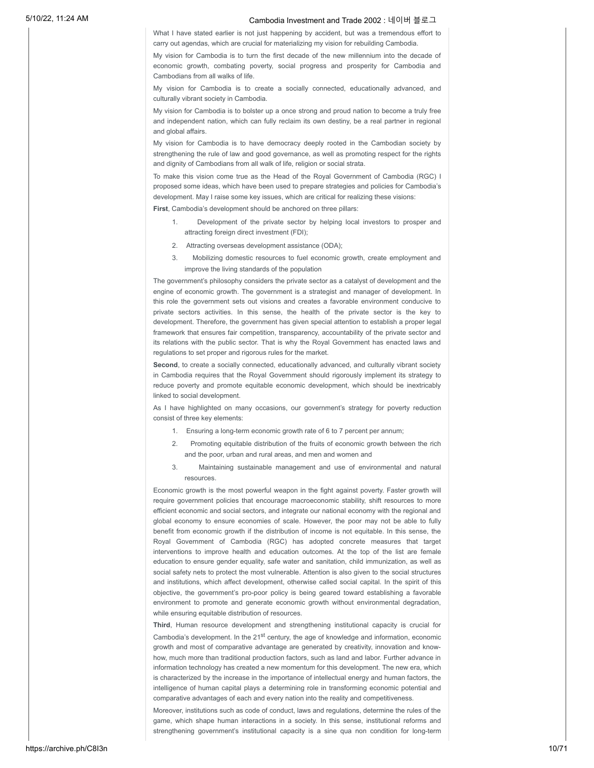What I have stated earlier is not just happening by accident, but was a tremendous effort to carry out agendas, which are crucial for materializing my vision for rebuilding Cambodia.

My vision for Cambodia is to turn the first decade of the new millennium into the decade of economic growth, combating poverty, social progress and prosperity for Cambodia and Cambodians from all walks of life.

My vision for Cambodia is to create a socially connected, educationally advanced, and culturally vibrant society in Cambodia.

My vision for Cambodia is to bolster up a once strong and proud nation to become a truly free and independent nation, which can fully reclaim its own destiny, be a real partner in regional and global affairs.

My vision for Cambodia is to have democracy deeply rooted in the Cambodian society by strengthening the rule of law and good governance, as well as promoting respect for the rights and dignity of Cambodians from all walk of life, religion or social strata.

To make this vision come true as the Head of the Royal Government of Cambodia (RGC) I proposed some ideas, which have been used to prepare strategies and policies for Cambodia's development. May I raise some key issues, which are critical for realizing these visions:

**First**, Cambodia's development should be anchored on three pillars:

- 1. Development of the private sector by helping local investors to prosper and attracting foreign direct investment (FDI);
- 2. Attracting overseas development assistance (ODA);
- 3. Mobilizing domestic resources to fuel economic growth, create employment and improve the living standards of the population

The government's philosophy considers the private sector as a catalyst of development and the engine of economic growth. The government is a strategist and manager of development. In this role the government sets out visions and creates a favorable environment conducive to private sectors activities. In this sense, the health of the private sector is the key to development. Therefore, the government has given special attention to establish a proper legal framework that ensures fair competition, transparency, accountability of the private sector and its relations with the public sector. That is why the Royal Government has enacted laws and regulations to set proper and rigorous rules for the market.

**Second**, to create a socially connected, educationally advanced, and culturally vibrant society in Cambodia requires that the Royal Government should rigorously implement its strategy to reduce poverty and promote equitable economic development, which should be inextricably linked to social development.

As I have highlighted on many occasions, our government's strategy for poverty reduction consist of three key elements:

- 1. Ensuring a long-term economic growth rate of 6 to 7 percent per annum;
- Promoting equitable distribution of the fruits of economic growth between the rich and the poor, urban and rural areas, and men and women and
- 3. Maintaining sustainable management and use of environmental and natural resources.

Economic growth is the most powerful weapon in the fight against poverty. Faster growth will require government policies that encourage macroeconomic stability, shift resources to more efficient economic and social sectors, and integrate our national economy with the regional and global economy to ensure economies of scale. However, the poor may not be able to fully benefit from economic growth if the distribution of income is not equitable. In this sense, the Royal Government of Cambodia (RGC) has adopted concrete measures that target interventions to improve health and education outcomes. At the top of the list are female education to ensure gender equality, safe water and sanitation, child immunization, as well as social safety nets to protect the most vulnerable. Attention is also given to the social structures and institutions, which affect development, otherwise called social capital. In the spirit of this objective, the government's pro-poor policy is being geared toward establishing a favorable environment to promote and generate economic growth without environmental degradation, while ensuring equitable distribution of resources.

**Third**, Human resource development and strengthening institutional capacity is crucial for Cambodia's development. In the  $21<sup>st</sup>$  century, the age of knowledge and information, economic growth and most of comparative advantage are generated by creativity, innovation and knowhow, much more than traditional production factors, such as land and labor. Further advance in information technology has created a new momentum for this development. The new era, which is characterized by the increase in the importance of intellectual energy and human factors, the intelligence of human capital plays a determining role in transforming economic potential and comparative advantages of each and every nation into the reality and competitiveness.

Moreover, institutions such as code of conduct, laws and regulations, determine the rules of the game, which shape human interactions in a society. In this sense, institutional reforms and strengthening government's institutional capacity is a sine qua non condition for long-term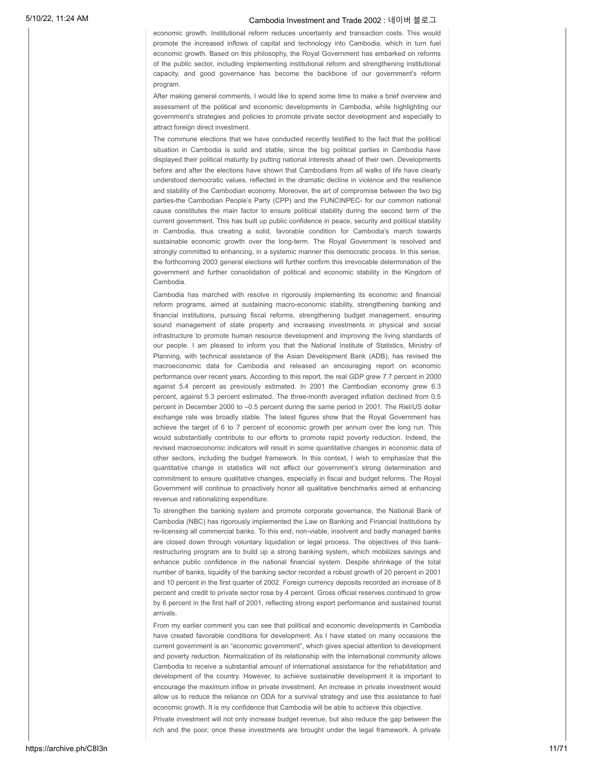economic growth. Institutional reform reduces uncertainty and transaction costs. This would promote the increased inflows of capital and technology into Cambodia, which in turn fuel economic growth. Based on this philosophy, the Royal Government has embarked on reforms of the public sector, including implementing institutional reform and strengthening institutional capacity, and good governance has become the backbone of our government's reform program.

After making general comments, I would like to spend some time to make a brief overview and assessment of the political and economic developments in Cambodia, while highlighting our government's strategies and policies to promote private sector development and especially to attract foreign direct investment.

The commune elections that we have conducted recently testified to the fact that the political situation in Cambodia is solid and stable, since the big political parties in Cambodia have displayed their political maturity by putting national interests ahead of their own. Developments before and after the elections have shown that Cambodians from all walks of life have clearly understood democratic values, reflected in the dramatic decline in violence and the resilience and stability of the Cambodian economy. Moreover, the art of compromise between the two big parties-the Cambodian People's Party (CPP) and the FUNCINPEC- for our common national cause constitutes the main factor to ensure political stability during the second term of the current government. This has built up public confidence in peace, security and political stability in Cambodia, thus creating a solid, favorable condition for Cambodia's march towards sustainable economic growth over the long-term. The Royal Government is resolved and strongly committed to enhancing, in a systemic manner this democratic process. In this sense, the forthcoming 2003 general elections will further confirm this irrevocable determination of the government and further consolidation of political and economic stability in the Kingdom of Cambodia.

Cambodia has marched with resolve in rigorously implementing its economic and financial reform programs, aimed at sustaining macro-economic stability, strengthening banking and financial institutions, pursuing fiscal reforms, strengthening budget management, ensuring sound management of state property and increasing investments in physical and social infrastructure to promote human resource development and improving the living standards of our people. I am pleased to inform you that the National Institute of Statistics, Ministry of Planning, with technical assistance of the Asian Development Bank (ADB), has revised the macroeconomic data for Cambodia and released an encouraging report on economic performance over recent years. According to this report, the real GDP grew 7.7 percent in 2000 against 5.4 percent as previously estimated. In 2001 the Cambodian economy grew 6.3 percent, against 5.3 percent estimated. The three-month averaged inflation declined from 0.5 percent in December 2000 to –0.5 percent during the same period in 2001. The Riel/US dollar exchange rate was broadly stable. The latest figures show that the Royal Government has achieve the target of 6 to 7 percent of economic growth per annum over the long run. This would substantially contribute to our efforts to promote rapid poverty reduction. Indeed, the revised macroeconomic indicators will result in some quantitative changes in economic data of other sectors, including the budget framework. In this context, I wish to emphasize that the quantitative change in statistics will not affect our government's strong determination and commitment to ensure qualitative changes, especially in fiscal and budget reforms. The Royal Government will continue to proactively honor all qualitative benchmarks aimed at enhancing revenue and rationalizing expenditure.

To strengthen the banking system and promote corporate governance, the National Bank of Cambodia (NBC) has rigorously implemented the Law on Banking and Financial Institutions by re-licensing all commercial banks. To this end, non-viable, insolvent and badly managed banks are closed down through voluntary liquidation or legal process. The objectives of this bankrestructuring program are to build up a strong banking system, which mobilizes savings and enhance public confidence in the national financial system. Despite shrinkage of the total number of banks, liquidity of the banking sector recorded a robust growth of 20 percent in 2001 and 10 percent in the first quarter of 2002. Foreign currency deposits recorded an increase of 8 percent and credit to private sector rose by 4 percent. Gross official reserves continued to grow by 6 percent in the first half of 2001, reflecting strong export performance and sustained tourist arrivals.

From my earlier comment you can see that political and economic developments in Cambodia have created favorable conditions for development. As I have stated on many occasions the current government is an "economic government", which gives special attention to development and poverty reduction. Normalization of its relationship with the international community allows Cambodia to receive a substantial amount of international assistance for the rehabilitation and development of the country. However, to achieve sustainable development it is important to encourage the maximum inflow in private investment. An increase in private investment would allow us to reduce the reliance on ODA for a survival strategy and use this assistance to fuel economic growth. It is my confidence that Cambodia will be able to achieve this objective.

Private investment will not only increase budget revenue, but also reduce the gap between the rich and the poor, once these investments are brought under the legal framework. A private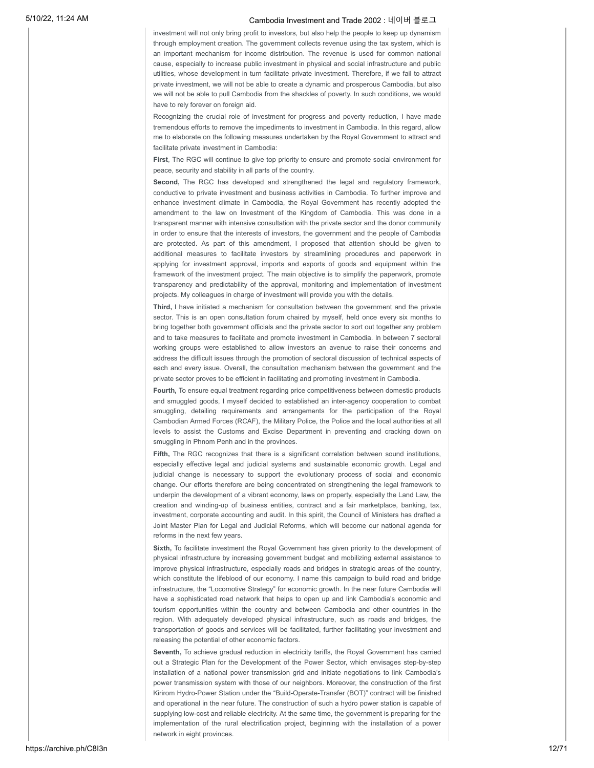investment will not only bring profit to investors, but also help the people to keep up dynamism through employment creation. The government collects revenue using the tax system, which is an important mechanism for income distribution. The revenue is used for common national cause, especially to increase public investment in physical and social infrastructure and public utilities, whose development in turn facilitate private investment. Therefore, if we fail to attract private investment, we will not be able to create a dynamic and prosperous Cambodia, but also we will not be able to pull Cambodia from the shackles of poverty. In such conditions, we would have to rely forever on foreign aid.

Recognizing the crucial role of investment for progress and poverty reduction, I have made tremendous efforts to remove the impediments to investment in Cambodia. In this regard, allow me to elaborate on the following measures undertaken by the Royal Government to attract and facilitate private investment in Cambodia:

**First**, The RGC will continue to give top priority to ensure and promote social environment for peace, security and stability in all parts of the country.

**Second,** The RGC has developed and strengthened the legal and regulatory framework, conductive to private investment and business activities in Cambodia. To further improve and enhance investment climate in Cambodia, the Royal Government has recently adopted the amendment to the law on Investment of the Kingdom of Cambodia. This was done in a transparent manner with intensive consultation with the private sector and the donor community in order to ensure that the interests of investors, the government and the people of Cambodia are protected. As part of this amendment, I proposed that attention should be given to additional measures to facilitate investors by streamlining procedures and paperwork in applying for investment approval, imports and exports of goods and equipment within the framework of the investment project. The main objective is to simplify the paperwork, promote transparency and predictability of the approval, monitoring and implementation of investment projects. My colleagues in charge of investment will provide you with the details.

**Third,** I have initiated a mechanism for consultation between the government and the private sector. This is an open consultation forum chaired by myself, held once every six months to bring together both government officials and the private sector to sort out together any problem and to take measures to facilitate and promote investment in Cambodia. In between 7 sectoral working groups were established to allow investors an avenue to raise their concerns and address the difficult issues through the promotion of sectoral discussion of technical aspects of each and every issue. Overall, the consultation mechanism between the government and the private sector proves to be efficient in facilitating and promoting investment in Cambodia.

**Fourth,** To ensure equal treatment regarding price competitiveness between domestic products and smuggled goods, I myself decided to established an inter-agency cooperation to combat smuggling, detailing requirements and arrangements for the participation of the Royal Cambodian Armed Forces (RCAF), the Military Police, the Police and the local authorities at all levels to assist the Customs and Excise Department in preventing and cracking down on smuggling in Phnom Penh and in the provinces.

**Fifth,** The RGC recognizes that there is a significant correlation between sound institutions, especially effective legal and judicial systems and sustainable economic growth. Legal and judicial change is necessary to support the evolutionary process of social and economic change. Our efforts therefore are being concentrated on strengthening the legal framework to underpin the development of a vibrant economy, laws on property, especially the Land Law, the creation and winding-up of business entities, contract and a fair marketplace, banking, tax, investment, corporate accounting and audit. In this spirit, the Council of Ministers has drafted a Joint Master Plan for Legal and Judicial Reforms, which will become our national agenda for reforms in the next few years.

**Sixth,** To facilitate investment the Royal Government has given priority to the development of physical infrastructure by increasing government budget and mobilizing external assistance to improve physical infrastructure, especially roads and bridges in strategic areas of the country, which constitute the lifeblood of our economy. I name this campaign to build road and bridge infrastructure, the "Locomotive Strategy" for economic growth. In the near future Cambodia will have a sophisticated road network that helps to open up and link Cambodia's economic and tourism opportunities within the country and between Cambodia and other countries in the region. With adequately developed physical infrastructure, such as roads and bridges, the transportation of goods and services will be facilitated, further facilitating your investment and releasing the potential of other economic factors.

Seventh, To achieve gradual reduction in electricity tariffs, the Royal Government has carried out a Strategic Plan for the Development of the Power Sector, which envisages step-by-step installation of a national power transmission grid and initiate negotiations to link Cambodia's power transmission system with those of our neighbors. Moreover, the construction of the first Kirirom Hydro-Power Station under the "Build-Operate-Transfer (BOT)" contract will be finished and operational in the near future. The construction of such a hydro power station is capable of supplying low-cost and reliable electricity. At the same time, the government is preparing for the implementation of the rural electrification project, beginning with the installation of a power network in eight provinces.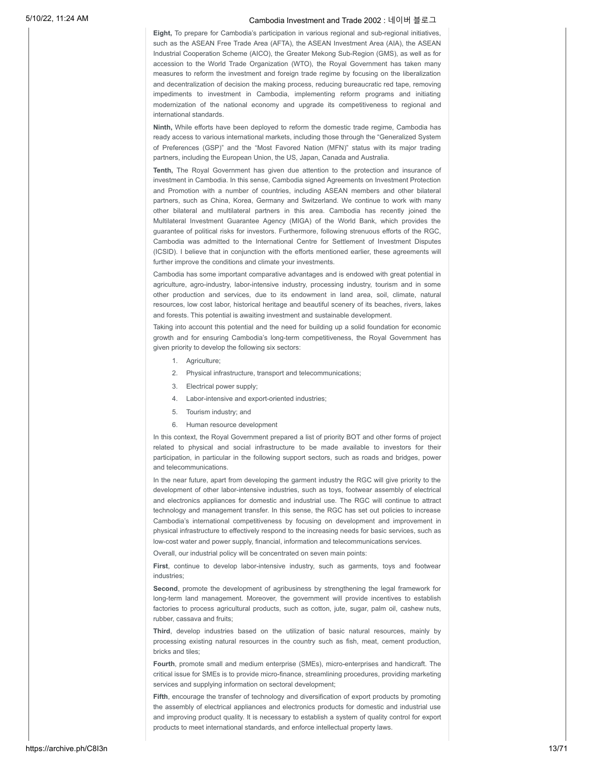**Eight,** To prepare for Cambodia's participation in various regional and sub-regional initiatives, such as the ASEAN Free Trade Area (AFTA), the ASEAN Investment Area (AIA), the ASEAN Industrial Cooperation Scheme (AICO), the Greater Mekong Sub-Region (GMS), as well as for accession to the World Trade Organization (WTO), the Royal Government has taken many measures to reform the investment and foreign trade regime by focusing on the liberalization and decentralization of decision the making process, reducing bureaucratic red tape, removing impediments to investment in Cambodia, implementing reform programs and initiating modernization of the national economy and upgrade its competitiveness to regional and international standards.

**Ninth,** While efforts have been deployed to reform the domestic trade regime, Cambodia has ready access to various international markets, including those through the "Generalized System of Preferences (GSP)" and the "Most Favored Nation (MFN)" status with its major trading partners, including the European Union, the US, Japan, Canada and Australia.

**Tenth,** The Royal Government has given due attention to the protection and insurance of investment in Cambodia. In this sense, Cambodia signed Agreements on Investment Protection and Promotion with a number of countries, including ASEAN members and other bilateral partners, such as China, Korea, Germany and Switzerland. We continue to work with many other bilateral and multilateral partners in this area. Cambodia has recently joined the Multilateral Investment Guarantee Agency (MIGA) of the World Bank, which provides the guarantee of political risks for investors. Furthermore, following strenuous efforts of the RGC, Cambodia was admitted to the International Centre for Settlement of Investment Disputes (ICSID). I believe that in conjunction with the efforts mentioned earlier, these agreements will further improve the conditions and climate your investments.

Cambodia has some important comparative advantages and is endowed with great potential in agriculture, agro-industry, labor-intensive industry, processing industry, tourism and in some other production and services, due to its endowment in land area, soil, climate, natural resources, low cost labor, historical heritage and beautiful scenery of its beaches, rivers, lakes and forests. This potential is awaiting investment and sustainable development.

Taking into account this potential and the need for building up a solid foundation for economic growth and for ensuring Cambodia's long-term competitiveness, the Royal Government has given priority to develop the following six sectors:

- 1. Agriculture;
- 2. Physical infrastructure, transport and telecommunications;
- 3. Electrical power supply;
- 4. Labor-intensive and export-oriented industries;
- 5. Tourism industry; and
- 6. Human resource development

In this context, the Royal Government prepared a list of priority BOT and other forms of project related to physical and social infrastructure to be made available to investors for their participation, in particular in the following support sectors, such as roads and bridges, power and telecommunications.

In the near future, apart from developing the garment industry the RGC will give priority to the development of other labor-intensive industries, such as toys, footwear assembly of electrical and electronics appliances for domestic and industrial use. The RGC will continue to attract technology and management transfer. In this sense, the RGC has set out policies to increase Cambodia's international competitiveness by focusing on development and improvement in physical infrastructure to effectively respond to the increasing needs for basic services, such as low-cost water and power supply, financial, information and telecommunications services.

Overall, our industrial policy will be concentrated on seven main points:

**First**, continue to develop labor-intensive industry, such as garments, toys and footwear industries;

**Second**, promote the development of agribusiness by strengthening the legal framework for long-term land management. Moreover, the government will provide incentives to establish factories to process agricultural products, such as cotton, jute, sugar, palm oil, cashew nuts, rubber, cassava and fruits;

**Third**, develop industries based on the utilization of basic natural resources, mainly by processing existing natural resources in the country such as fish, meat, cement production, bricks and tiles;

**Fourth**, promote small and medium enterprise (SMEs), micro-enterprises and handicraft. The critical issue for SMEs is to provide micro-finance, streamlining procedures, providing marketing services and supplying information on sectoral development;

**Fifth**, encourage the transfer of technology and diversification of export products by promoting the assembly of electrical appliances and electronics products for domestic and industrial use and improving product quality. It is necessary to establish a system of quality control for export products to meet international standards, and enforce intellectual property laws.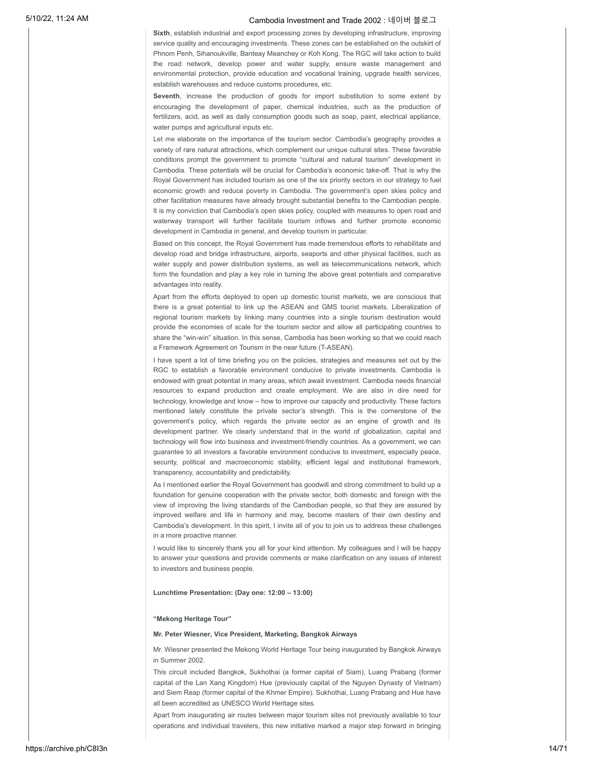**Sixth**, establish industrial and export processing zones by developing infrastructure, improving service quality and encouraging investments. These zones can be established on the outskirt of Phnom Penh, Sihanoukville, Banteay Meanchey or Koh Kong. The RGC will take action to build the road network, develop power and water supply, ensure waste management and environmental protection, provide education and vocational training, upgrade health services, establish warehouses and reduce customs procedures, etc.

**Seventh**, increase the production of goods for import substitution to some extent by encouraging the development of paper, chemical industries, such as the production of fertilizers, acid, as well as daily consumption goods such as soap, paint, electrical appliance, water pumps and agricultural inputs etc.

Let me elaborate on the importance of the tourism sector. Cambodia's geography provides a variety of rare natural attractions, which complement our unique cultural sites. These favorable conditions prompt the government to promote "cultural and natural tourism" development in Cambodia. These potentials will be crucial for Cambodia's economic take-off. That is why the Royal Government has included tourism as one of the six priority sectors in our strategy to fuel economic growth and reduce poverty in Cambodia. The government's open skies policy and other facilitation measures have already brought substantial benefits to the Cambodian people. It is my conviction that Cambodia's open skies policy, coupled with measures to open road and waterway transport will further facilitate tourism inflows and further promote economic development in Cambodia in general, and develop tourism in particular.

Based on this concept, the Royal Government has made tremendous efforts to rehabilitate and develop road and bridge infrastructure, airports, seaports and other physical facilities, such as water supply and power distribution systems, as well as telecommunications network, which form the foundation and play a key role in turning the above great potentials and comparative advantages into reality.

Apart from the efforts deployed to open up domestic tourist markets, we are conscious that there is a great potential to link up the ASEAN and GMS tourist markets. Liberalization of regional tourism markets by linking many countries into a single tourism destination would provide the economies of scale for the tourism sector and allow all participating countries to share the "win-win" situation. In this sense, Cambodia has been working so that we could reach a Framework Agreement on Tourism in the near future (T-ASEAN).

I have spent a lot of time briefing you on the policies, strategies and measures set out by the RGC to establish a favorable environment conducive to private investments. Cambodia is endowed with great potential in many areas, which await investment. Cambodia needs financial resources to expand production and create employment. We are also in dire need for technology, knowledge and know – how to improve our capacity and productivity. These factors mentioned lately constitute the private sector's strength. This is the cornerstone of the government's policy, which regards the private sector as an engine of growth and its development partner. We clearly understand that in the world of globalization, capital and technology will flow into business and investment-friendly countries. As a government, we can guarantee to all investors a favorable environment conducive to investment, especially peace, security, political and macroeconomic stability, efficient legal and institutional framework, transparency, accountability and predictability.

As I mentioned earlier the Royal Government has goodwill and strong commitment to build up a foundation for genuine cooperation with the private sector, both domestic and foreign with the view of improving the living standards of the Cambodian people, so that they are assured by improved welfare and life in harmony and may, become masters of their own destiny and Cambodia's development. In this spirit, I invite all of you to join us to address these challenges in a more proactive manner.

I would like to sincerely thank you all for your kind attention. My colleagues and I will be happy to answer your questions and provide comments or make clarification on any issues of interest to investors and business people.

**Lunchtime Presentation: (Day one: 12:00 – 13:00)**

#### **"Mekong Heritage Tour"**

### **Mr. Peter Wiesner, Vice President, Marketing, Bangkok Airways**

Mr. Wiesner presented the Mekong World Heritage Tour being inaugurated by Bangkok Airways in Summer 2002.

This circuit included Bangkok, Sukhothai (a former capital of Siam), Luang Prabang (former capital of the Lan Xang Kingdom) Hue (previously capital of the Nguyen Dynasty of Vietnam) and Siem Reap (former capital of the Khmer Empire). Sukhothai, Luang Prabang and Hue have all been accredited as UNESCO World Heritage sites.

Apart from inaugurating air routes between major tourism sites not previously available to tour operations and individual travelers, this new initiative marked a major step forward in bringing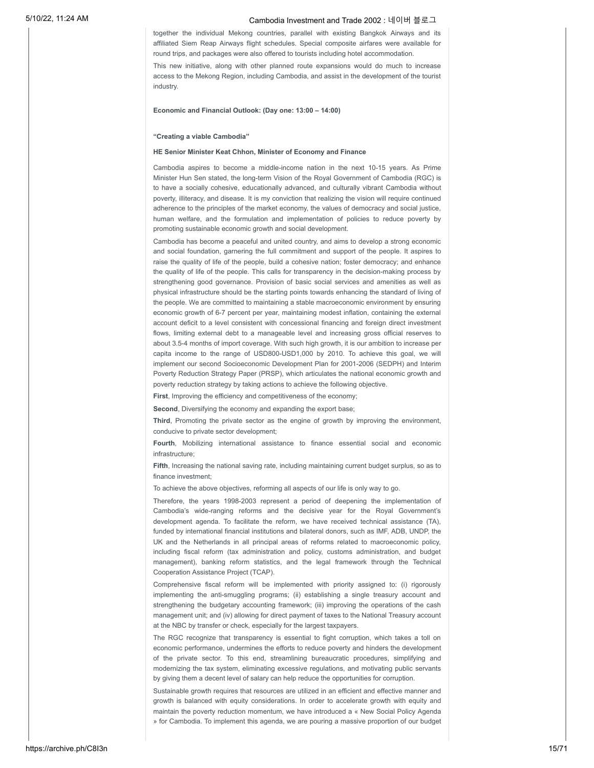together the individual Mekong countries, parallel with existing Bangkok Airways and its affiliated Siem Reap Airways flight schedules. Special composite airfares were available for round trips, and packages were also offered to tourists including hotel accommodation.

This new initiative, along with other planned route expansions would do much to increase access to the Mekong Region, including Cambodia, and assist in the development of the tourist industry.

### **Economic and Financial Outlook: (Day one: 13:00 – 14:00)**

### **"Creating a viable Cambodia"**

#### **HE Senior Minister Keat Chhon, Minister of Economy and Finance**

Cambodia aspires to become a middle-income nation in the next 10-15 years. As Prime Minister Hun Sen stated, the long-term Vision of the Royal Government of Cambodia (RGC) is to have a socially cohesive, educationally advanced, and culturally vibrant Cambodia without poverty, illiteracy, and disease. It is my conviction that realizing the vision will require continued adherence to the principles of the market economy, the values of democracy and social justice, human welfare, and the formulation and implementation of policies to reduce poverty by promoting sustainable economic growth and social development.

Cambodia has become a peaceful and united country, and aims to develop a strong economic and social foundation, garnering the full commitment and support of the people. It aspires to raise the quality of life of the people, build a cohesive nation; foster democracy; and enhance the quality of life of the people. This calls for transparency in the decision-making process by strengthening good governance. Provision of basic social services and amenities as well as physical infrastructure should be the starting points towards enhancing the standard of living of the people. We are committed to maintaining a stable macroeconomic environment by ensuring economic growth of 6-7 percent per year, maintaining modest inflation, containing the external account deficit to a level consistent with concessional financing and foreign direct investment flows, limiting external debt to a manageable level and increasing gross official reserves to about 3.5-4 months of import coverage. With such high growth, it is our ambition to increase per capita income to the range of USD800-USD1,000 by 2010. To achieve this goal, we will implement our second Socioeconomic Development Plan for 2001-2006 (SEDPH) and Interim Poverty Reduction Strategy Paper (PRSP), which articulates the national economic growth and poverty reduction strategy by taking actions to achieve the following objective.

First, Improving the efficiency and competitiveness of the economy;

**Second**, Diversifying the economy and expanding the export base;

**Third**, Promoting the private sector as the engine of growth by improving the environment, conducive to private sector development;

**Fourth**, Mobilizing international assistance to finance essential social and economic infrastructure;

**Fifth**, Increasing the national saving rate, including maintaining current budget surplus, so as to finance investment;

To achieve the above objectives, reforming all aspects of our life is only way to go.

Therefore, the years 1998-2003 represent a period of deepening the implementation of Cambodia's wide-ranging reforms and the decisive year for the Royal Government's development agenda. To facilitate the reform, we have received technical assistance (TA), funded by international financial institutions and bilateral donors, such as IMF, ADB, UNDP, the UK and the Netherlands in all principal areas of reforms related to macroeconomic policy, including fiscal reform (tax administration and policy, customs administration, and budget management), banking reform statistics, and the legal framework through the Technical Cooperation Assistance Project (TCAP).

Comprehensive fiscal reform will be implemented with priority assigned to: (i) rigorously implementing the anti-smuggling programs; (ii) establishing a single treasury account and strengthening the budgetary accounting framework; (iii) improving the operations of the cash management unit; and (iv) allowing for direct payment of taxes to the National Treasury account at the NBC by transfer or check, especially for the largest taxpayers.

The RGC recognize that transparency is essential to fight corruption, which takes a toll on economic performance, undermines the efforts to reduce poverty and hinders the development of the private sector. To this end, streamlining bureaucratic procedures, simplifying and modernizing the tax system, eliminating excessive regulations, and motivating public servants by giving them a decent level of salary can help reduce the opportunities for corruption.

Sustainable growth requires that resources are utilized in an efficient and effective manner and growth is balanced with equity considerations. In order to accelerate growth with equity and maintain the poverty reduction momentum, we have introduced a « New Social Policy Agenda » for Cambodia. To implement this agenda, we are pouring a massive proportion of our budget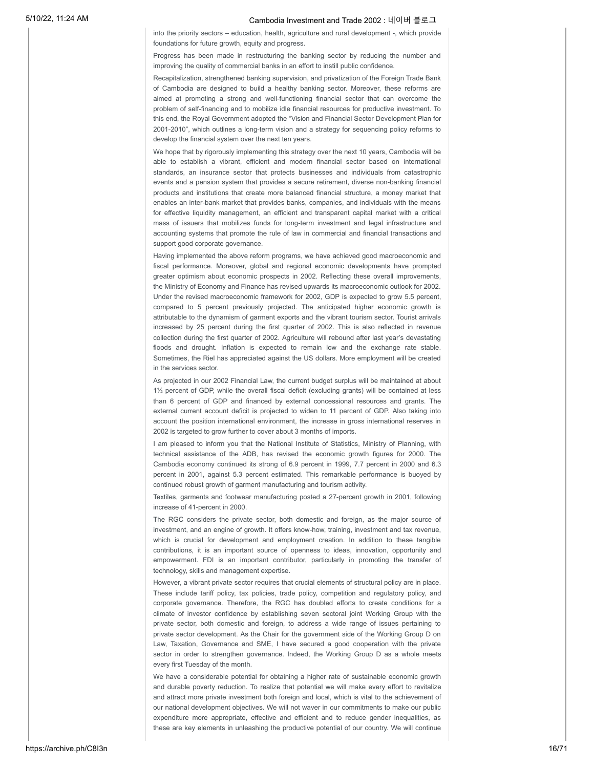into the priority sectors – education, health, agriculture and rural development -, which provide foundations for future growth, equity and progress.

Progress has been made in restructuring the banking sector by reducing the number and improving the quality of commercial banks in an effort to instill public confidence.

Recapitalization, strengthened banking supervision, and privatization of the Foreign Trade Bank of Cambodia are designed to build a healthy banking sector. Moreover, these reforms are aimed at promoting a strong and well-functioning financial sector that can overcome the problem of self-financing and to mobilize idle financial resources for productive investment. To this end, the Royal Government adopted the "Vision and Financial Sector Development Plan for 2001-2010", which outlines a long-term vision and a strategy for sequencing policy reforms to develop the financial system over the next ten years.

We hope that by rigorously implementing this strategy over the next 10 years, Cambodia will be able to establish a vibrant, efficient and modern financial sector based on international standards, an insurance sector that protects businesses and individuals from catastrophic events and a pension system that provides a secure retirement, diverse non-banking financial products and institutions that create more balanced financial structure, a money market that enables an inter-bank market that provides banks, companies, and individuals with the means for effective liquidity management, an efficient and transparent capital market with a critical mass of issuers that mobilizes funds for long-term investment and legal infrastructure and accounting systems that promote the rule of law in commercial and financial transactions and support good corporate governance.

Having implemented the above reform programs, we have achieved good macroeconomic and fiscal performance. Moreover, global and regional economic developments have prompted greater optimism about economic prospects in 2002. Reflecting these overall improvements, the Ministry of Economy and Finance has revised upwards its macroeconomic outlook for 2002. Under the revised macroeconomic framework for 2002, GDP is expected to grow 5.5 percent, compared to 5 percent previously projected. The anticipated higher economic growth is attributable to the dynamism of garment exports and the vibrant tourism sector. Tourist arrivals increased by 25 percent during the first quarter of 2002. This is also reflected in revenue collection during the first quarter of 2002. Agriculture will rebound after last year's devastating floods and drought. Inflation is expected to remain low and the exchange rate stable. Sometimes, the Riel has appreciated against the US dollars. More employment will be created in the services sector.

As projected in our 2002 Financial Law, the current budget surplus will be maintained at about 1½ percent of GDP, while the overall fiscal deficit (excluding grants) will be contained at less than 6 percent of GDP and financed by external concessional resources and grants. The external current account deficit is projected to widen to 11 percent of GDP. Also taking into account the position international environment, the increase in gross international reserves in 2002 is targeted to grow further to cover about 3 months of imports.

I am pleased to inform you that the National Institute of Statistics, Ministry of Planning, with technical assistance of the ADB, has revised the economic growth figures for 2000. The Cambodia economy continued its strong of 6.9 percent in 1999, 7.7 percent in 2000 and 6.3 percent in 2001, against 5.3 percent estimated. This remarkable performance is buoyed by continued robust growth of garment manufacturing and tourism activity.

Textiles, garments and footwear manufacturing posted a 27-percent growth in 2001, following increase of 41-percent in 2000.

The RGC considers the private sector, both domestic and foreign, as the major source of investment, and an engine of growth. It offers know-how, training, investment and tax revenue, which is crucial for development and employment creation. In addition to these tangible contributions, it is an important source of openness to ideas, innovation, opportunity and empowerment. FDI is an important contributor, particularly in promoting the transfer of technology, skills and management expertise.

However, a vibrant private sector requires that crucial elements of structural policy are in place. These include tariff policy, tax policies, trade policy, competition and regulatory policy, and corporate governance. Therefore, the RGC has doubled efforts to create conditions for a climate of investor confidence by establishing seven sectoral joint Working Group with the private sector, both domestic and foreign, to address a wide range of issues pertaining to private sector development. As the Chair for the government side of the Working Group D on Law, Taxation, Governance and SME, I have secured a good cooperation with the private sector in order to strengthen governance. Indeed, the Working Group D as a whole meets every first Tuesday of the month.

We have a considerable potential for obtaining a higher rate of sustainable economic growth and durable poverty reduction. To realize that potential we will make every effort to revitalize and attract more private investment both foreign and local, which is vital to the achievement of our national development objectives. We will not waver in our commitments to make our public expenditure more appropriate, effective and efficient and to reduce gender inequalities, as these are key elements in unleashing the productive potential of our country. We will continue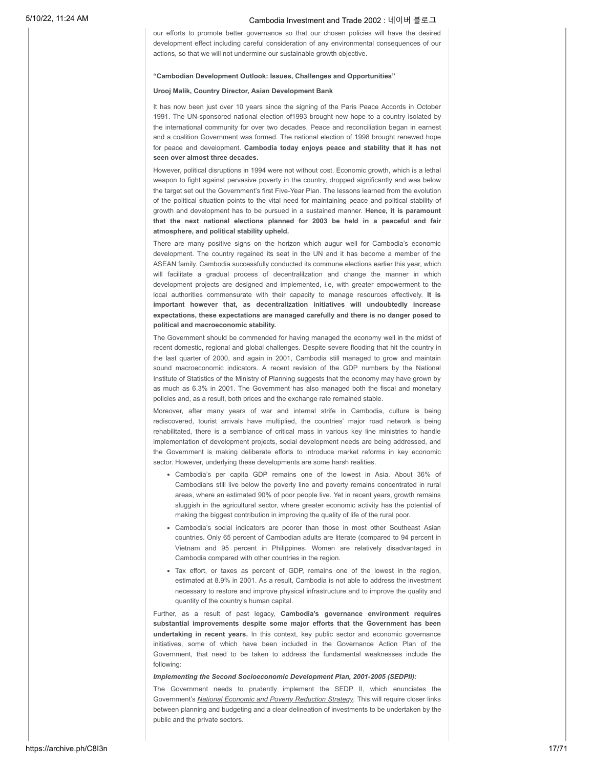our efforts to promote better governance so that our chosen policies will have the desired development effect including careful consideration of any environmental consequences of our actions, so that we will not undermine our sustainable growth objective.

### **"Cambodian Development Outlook: Issues, Challenges and Opportunities"**

### **Urooj Malik, Country Director, Asian Development Bank**

It has now been just over 10 years since the signing of the Paris Peace Accords in October 1991. The UN-sponsored national election of1993 brought new hope to a country isolated by the international community for over two decades. Peace and reconciliation began in earnest and a coalition Government was formed. The national election of 1998 brought renewed hope for peace and development. **Cambodia today enjoys peace and stability that it has not seen over almost three decades.**

However, political disruptions in 1994 were not without cost. Economic growth, which is a lethal weapon to fight against pervasive poverty in the country, dropped significantly and was below the target set out the Government's first Five-Year Plan. The lessons learned from the evolution of the political situation points to the vital need for maintaining peace and political stability of growth and development has to be pursued in a sustained manner. **Hence, it is paramount that the next national elections planned for 2003 be held in a peaceful and fair atmosphere, and political stability upheld.**

There are many positive signs on the horizon which augur well for Cambodia's economic development. The country regained its seat in the UN and it has become a member of the ASEAN family. Cambodia successfully conducted its commune elections earlier this year, which will facilitate a gradual process of decentralilzation and change the manner in which development projects are designed and implemented, i.e, with greater empowerment to the local authorities commensurate with their capacity to manage resources effectively. **It is important however that, as decentralization initiatives will undoubtedly increase expectations, these expectations are managed carefully and there is no danger posed to political and macroeconomic stability.**

The Government should be commended for having managed the economy well in the midst of recent domestic, regional and global challenges. Despite severe flooding that hit the country in the last quarter of 2000, and again in 2001, Cambodia still managed to grow and maintain sound macroeconomic indicators. A recent revision of the GDP numbers by the National Institute of Statistics of the Ministry of Planning suggests that the economy may have grown by as much as 6.3% in 2001. The Government has also managed both the fiscal and monetary policies and, as a result, both prices and the exchange rate remained stable.

Moreover, after many years of war and internal strife in Cambodia, culture is being rediscovered, tourist arrivals have multiplied, the countries' major road network is being rehabilitated, there is a semblance of critical mass in various key line ministries to handle implementation of development projects, social development needs are being addressed, and the Government is making deliberate efforts to introduce market reforms in key economic sector. However, underlying these developments are some harsh realities.

- Cambodia's per capita GDP remains one of the lowest in Asia. About 36% of Cambodians still live below the poverty line and poverty remains concentrated in rural areas, where an estimated 90% of poor people live. Yet in recent years, growth remains sluggish in the agricultural sector, where greater economic activity has the potential of making the biggest contribution in improving the quality of life of the rural poor.
- Cambodia's social indicators are poorer than those in most other Southeast Asian countries. Only 65 percent of Cambodian adults are literate (compared to 94 percent in Vietnam and 95 percent in Philippines. Women are relatively disadvantaged in Cambodia compared with other countries in the region.
- Tax effort, or taxes as percent of GDP, remains one of the lowest in the region, estimated at 8.9% in 2001. As a result, Cambodia is not able to address the investment necessary to restore and improve physical infrastructure and to improve the quality and quantity of the country's human capital.

Further, as a result of past legacy, **Cambodia's governance environment requires substantial improvements despite some major efforts that the Government has been undertaking in recent years.** In this context, key public sector and economic governance initiatives, some of which have been included in the Governance Action Plan of the Government, that need to be taken to address the fundamental weaknesses include the following:

### *Implementing the Second Socioeconomic Development Plan, 2001-2005 (SEDPII):*

The Government needs to prudently implement the SEDP II, which enunciates the Government's *National Economic and Poverty Reduction Strategy.* This will require closer links between planning and budgeting and a clear delineation of investments to be undertaken by the public and the private sectors.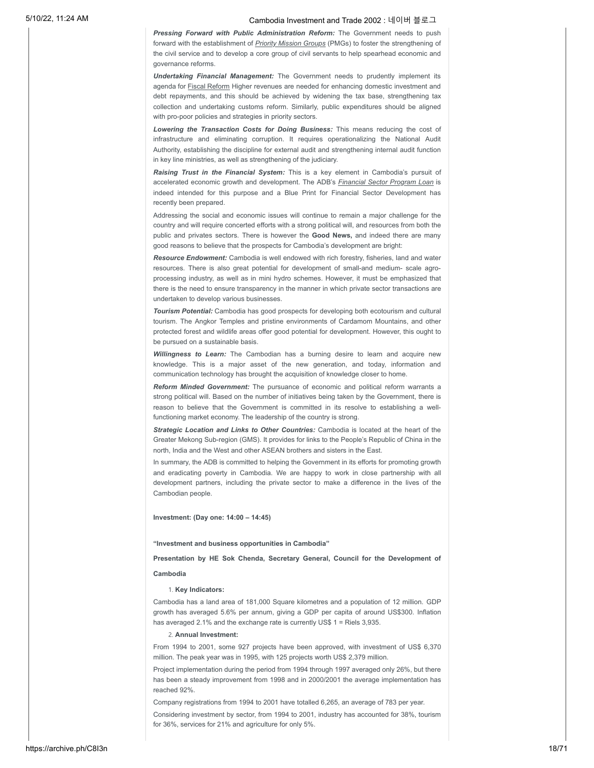*Pressing Forward with Public Administration Reform:* The Government needs to push forward with the establishment of *Priority Mission Groups* (PMGs) to foster the strengthening of the civil service and to develop a core group of civil servants to help spearhead economic and governance reforms.

*Undertaking Financial Management:* The Government needs to prudently implement its agenda for Fiscal Reform Higher revenues are needed for enhancing domestic investment and debt repayments, and this should be achieved by widening the tax base, strengthening tax collection and undertaking customs reform. Similarly, public expenditures should be aligned with pro-poor policies and strategies in priority sectors.

*Lowering the Transaction Costs for Doing Business:* This means reducing the cost of infrastructure and eliminating corruption. It requires operationalizing the National Audit Authority, establishing the discipline for external audit and strengthening internal audit function in key line ministries, as well as strengthening of the judiciary.

*Raising Trust in the Financial System:* This is a key element in Cambodia's pursuit of accelerated economic growth and development. The ADB's *Financial Sector Program Loan* is indeed intended for this purpose and a Blue Print for Financial Sector Development has recently been prepared.

Addressing the social and economic issues will continue to remain a major challenge for the country and will require concerted efforts with a strong political will, and resources from both the public and privates sectors. There is however the **Good News,** and indeed there are many good reasons to believe that the prospects for Cambodia's development are bright:

*Resource Endowment:* Cambodia is well endowed with rich forestry, fisheries, land and water resources. There is also great potential for development of small-and medium- scale agroprocessing industry, as well as in mini hydro schemes. However, it must be emphasized that there is the need to ensure transparency in the manner in which private sector transactions are undertaken to develop various businesses.

*Tourism Potential:* Cambodia has good prospects for developing both ecotourism and cultural tourism. The Angkor Temples and pristine environments of Cardamom Mountains, and other protected forest and wildlife areas offer good potential for development. However, this ought to be pursued on a sustainable basis.

*Willingness to Learn:* The Cambodian has a burning desire to learn and acquire new knowledge. This is a major asset of the new generation, and today, information and communication technology has brought the acquisition of knowledge closer to home.

*Reform Minded Government:* The pursuance of economic and political reform warrants a strong political will. Based on the number of initiatives being taken by the Government, there is reason to believe that the Government is committed in its resolve to establishing a wellfunctioning market economy. The leadership of the country is strong.

*Strategic Location and Links to Other Countries:* Cambodia is located at the heart of the Greater Mekong Sub-region (GMS). It provides for links to the People's Republic of China in the north, India and the West and other ASEAN brothers and sisters in the East.

In summary, the ADB is committed to helping the Government in its efforts for promoting growth and eradicating poverty in Cambodia. We are happy to work in close partnership with all development partners, including the private sector to make a difference in the lives of the Cambodian people.

### **Investment: (Day one: 14:00 – 14:45)**

**"Investment and business opportunities in Cambodia"**

**Presentation by HE Sok Chenda, Secretary General, Council for the Development of**

### **Cambodia**

#### 1. **Key Indicators:**

Cambodia has a land area of 181,000 Square kilometres and a population of 12 million. GDP growth has averaged 5.6% per annum, giving a GDP per capita of around US\$300. Inflation has averaged 2.1% and the exchange rate is currently US\$ 1 = Riels 3,935.

### 2. **Annual Investment:**

From 1994 to 2001, some 927 projects have been approved, with investment of US\$ 6,370 million. The peak year was in 1995, with 125 projects worth US\$ 2,379 million.

Project implementation during the period from 1994 through 1997 averaged only 26%, but there has been a steady improvement from 1998 and in 2000/2001 the average implementation has reached 92%.

Company registrations from 1994 to 2001 have totalled 6,265, an average of 783 per year.

Considering investment by sector, from 1994 to 2001, industry has accounted for 38%, tourism for 36%, services for 21% and agriculture for only 5%.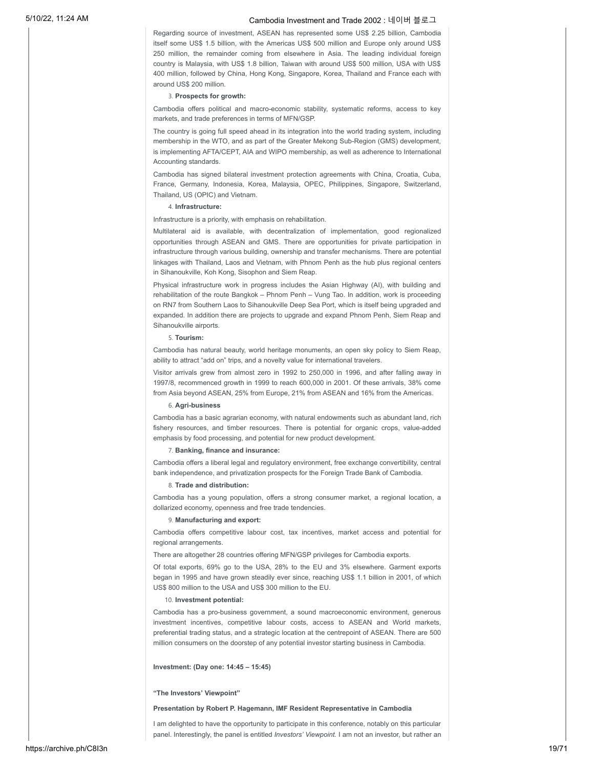Regarding source of investment, ASEAN has represented some US\$ 2.25 billion, Cambodia itself some US\$ 1.5 billion, with the Americas US\$ 500 million and Europe only around US\$ 250 million, the remainder coming from elsewhere in Asia. The leading individual foreign country is Malaysia, with US\$ 1.8 billion, Taiwan with around US\$ 500 million, USA with US\$ 400 million, followed by China, Hong Kong, Singapore, Korea, Thailand and France each with around US\$ 200 million.

### 3. **Prospects for growth:**

Cambodia offers political and macro-economic stability, systematic reforms, access to key markets, and trade preferences in terms of MFN/GSP.

The country is going full speed ahead in its integration into the world trading system, including membership in the WTO, and as part of the Greater Mekong Sub-Region (GMS) development, is implementing AFTA/CEPT, AIA and WIPO membership, as well as adherence to International Accounting standards.

Cambodia has signed bilateral investment protection agreements with China, Croatia, Cuba, France, Germany, Indonesia, Korea, Malaysia, OPEC, Philippines, Singapore, Switzerland, Thailand, US (OPIC) and Vietnam.

### 4. **Infrastructure:**

Infrastructure is a priority, with emphasis on rehabilitation.

Multilateral aid is available, with decentralization of implementation, good regionalized opportunities through ASEAN and GMS. There are opportunities for private participation in infrastructure through various building, ownership and transfer mechanisms. There are potential linkages with Thailand, Laos and Vietnam, with Phnom Penh as the hub plus regional centers in Sihanoukville, Koh Kong, Sisophon and Siem Reap.

Physical infrastructure work in progress includes the Asian Highway (AI), with building and rehabilitation of the route Bangkok – Phnom Penh – Vung Tao. In addition, work is proceeding on RN7 from Southern Laos to Sihanoukville Deep Sea Port, which is itself being upgraded and expanded. In addition there are projects to upgrade and expand Phnom Penh, Siem Reap and Sihanoukville airports.

### 5. **Tourism:**

Cambodia has natural beauty, world heritage monuments, an open sky policy to Siem Reap, ability to attract "add on" trips, and a novelty value for international travelers.

Visitor arrivals grew from almost zero in 1992 to 250,000 in 1996, and after falling away in 1997/8, recommenced growth in 1999 to reach 600,000 in 2001. Of these arrivals, 38% come from Asia beyond ASEAN, 25% from Europe, 21% from ASEAN and 16% from the Americas.

#### 6. **Agri-business**

Cambodia has a basic agrarian economy, with natural endowments such as abundant land, rich fishery resources, and timber resources. There is potential for organic crops, value-added emphasis by food processing, and potential for new product development.

### 7. **Banking, finance and insurance:**

Cambodia offers a liberal legal and regulatory environment, free exchange convertibility, central bank independence, and privatization prospects for the Foreign Trade Bank of Cambodia.

### 8. **Trade and distribution:**

Cambodia has a young population, offers a strong consumer market, a regional location, a dollarized economy, openness and free trade tendencies.

#### 9. **Manufacturing and export:**

Cambodia offers competitive labour cost, tax incentives, market access and potential for regional arrangements.

There are altogether 28 countries offering MFN/GSP privileges for Cambodia exports.

Of total exports, 69% go to the USA, 28% to the EU and 3% elsewhere. Garment exports began in 1995 and have grown steadily ever since, reaching US\$ 1.1 billion in 2001, of which US\$ 800 million to the USA and US\$ 300 million to the EU.

#### 10. **Investment potential:**

Cambodia has a pro-business government, a sound macroeconomic environment, generous investment incentives, competitive labour costs, access to ASEAN and World markets, preferential trading status, and a strategic location at the centrepoint of ASEAN. There are 500 million consumers on the doorstep of any potential investor starting business in Cambodia.

### **Investment: (Day one: 14:45 – 15:45)**

#### **"The Investors' Viewpoint"**

### **Presentation by Robert P. Hagemann, IMF Resident Representative in Cambodia**

I am delighted to have the opportunity to participate in this conference, notably on this particular panel. Interestingly, the panel is entitled *Investors' Viewpoint.* I am not an investor, but rather an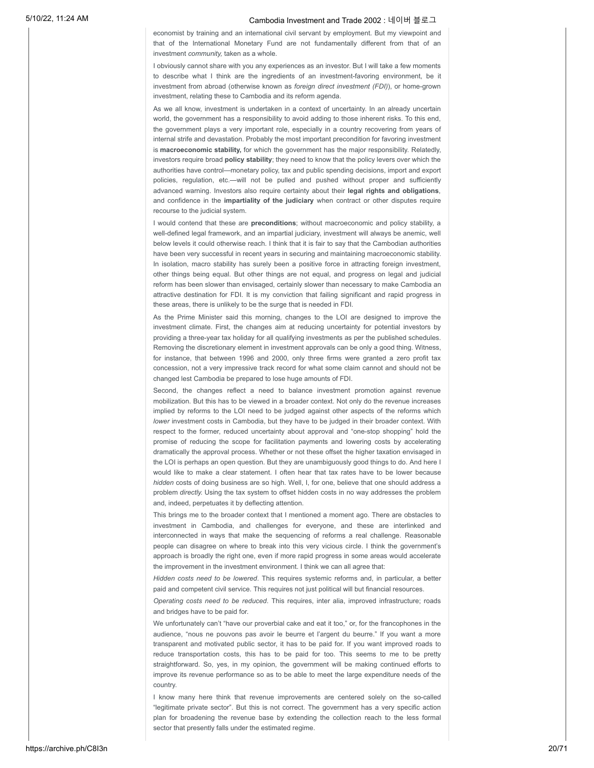economist by training and an international civil servant by employment. But my viewpoint and that of the International Monetary Fund are not fundamentally different from that of an investment *community,* taken as a whole.

I obviously cannot share with you any experiences as an investor. But I will take a few moments to describe what I think are the ingredients of an investment-favoring environment, be it investment from abroad (otherwise known as *foreign direct investment (FDI)*), or home-grown investment, relating these to Cambodia and its reform agenda.

As we all know, investment is undertaken in a context of uncertainty. In an already uncertain world, the government has a responsibility to avoid adding to those inherent risks. To this end, the government plays a very important role, especially in a country recovering from years of internal strife and devastation. Probably the most important precondition for favoring investment is **macroeconomic stability,** for which the government has the major responsibility. Relatedly, investors require broad **policy stability**; they need to know that the policy levers over which the authorities have control—monetary policy, tax and public spending decisions, import and export policies, regulation, etc.—will not be pulled and pushed without proper and sufficiently advanced warning. Investors also require certainty about their **legal rights and obligations**, and confidence in the **impartiality of the judiciary** when contract or other disputes require recourse to the judicial system.

I would contend that these are **preconditions**; without macroeconomic and policy stability, a well-defined legal framework, and an impartial judiciary, investment will always be anemic, well below levels it could otherwise reach. I think that it is fair to say that the Cambodian authorities have been very successful in recent years in securing and maintaining macroeconomic stability. In isolation, macro stability has surely been a positive force in attracting foreign investment, other things being equal. But other things are not equal, and progress on legal and judicial reform has been slower than envisaged, certainly slower than necessary to make Cambodia an attractive destination for FDI. It is my conviction that failing significant and rapid progress in these areas, there is unlikely to be the surge that is needed in FDI.

As the Prime Minister said this morning, changes to the LOI are designed to improve the investment climate. First, the changes aim at reducing uncertainty for potential investors by providing a three-year tax holiday for all qualifying investments as per the published schedules. Removing the discretionary element in investment approvals can be only a good thing. Witness, for instance, that between 1996 and 2000, only three firms were granted a zero profit tax concession, not a very impressive track record for what some claim cannot and should not be changed lest Cambodia be prepared to lose huge amounts of FDI.

Second, the changes reflect a need to balance investment promotion against revenue mobilization. But this has to be viewed in a broader context. Not only do the revenue increases implied by reforms to the LOI need to be judged against other aspects of the reforms which *lower* investment costs in Cambodia, but they have to be judged in their broader context. With respect to the former, reduced uncertainty about approval and "one-stop shopping" hold the promise of reducing the scope for facilitation payments and lowering costs by accelerating dramatically the approval process. Whether or not these offset the higher taxation envisaged in the LOI is perhaps an open question. But they are unambiguously good things to do. And here I would like to make a clear statement. I often hear that tax rates have to be lower because *hidden* costs of doing business are so high. Well, I, for one, believe that one should address a problem *directly.* Using the tax system to offset hidden costs in no way addresses the problem and, indeed, perpetuates it by deflecting attention.

This brings me to the broader context that I mentioned a moment ago. There are obstacles to investment in Cambodia, and challenges for everyone, and these are interlinked and interconnected in ways that make the sequencing of reforms a real challenge. Reasonable people can disagree on where to break into this very vicious circle. I think the government's approach is broadly the right one, even if more rapid progress in some areas would accelerate the improvement in the investment environment. I think we can all agree that:

*Hidden costs need to be lowered*. This requires systemic reforms and, in particular, a better paid and competent civil service. This requires not just political will but financial resources.

*Operating costs need to be reduced*. This requires, inter alia, improved infrastructure; roads and bridges have to be paid for.

We unfortunately can't "have our proverbial cake and eat it too," or, for the francophones in the audience, "nous ne pouvons pas avoir le beurre et l'argent du beurre." If you want a more transparent and motivated public sector, it has to be paid for. If you want improved roads to reduce transportation costs, this has to be paid for too. This seems to me to be pretty straightforward. So, yes, in my opinion, the government will be making continued efforts to improve its revenue performance so as to be able to meet the large expenditure needs of the country.

I know many here think that revenue improvements are centered solely on the so-called "legitimate private sector". But this is not correct. The government has a very specific action plan for broadening the revenue base by extending the collection reach to the less formal sector that presently falls under the estimated regime.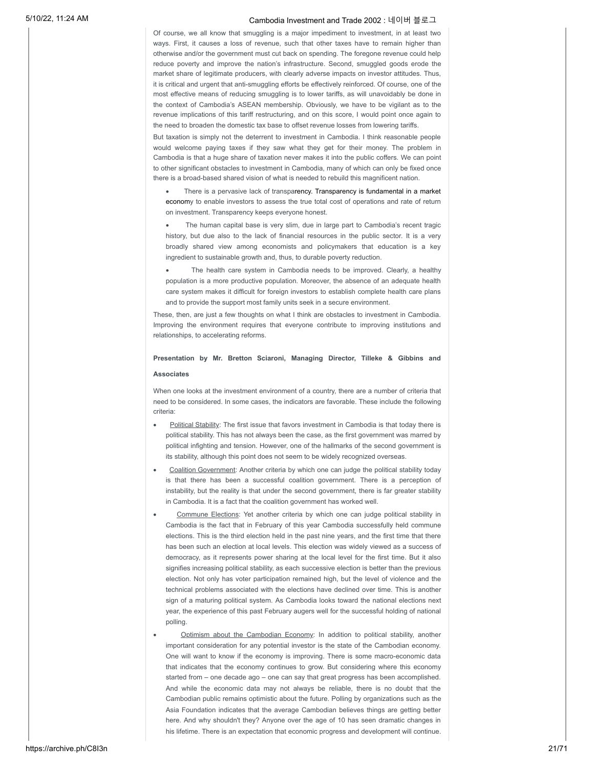Of course, we all know that smuggling is a major impediment to investment, in at least two ways. First, it causes a loss of revenue, such that other taxes have to remain higher than otherwise and/or the government must cut back on spending. The foregone revenue could help reduce poverty and improve the nation's infrastructure. Second, smuggled goods erode the market share of legitimate producers, with clearly adverse impacts on investor attitudes. Thus, it is critical and urgent that anti-smuggling efforts be effectively reinforced. Of course, one of the most effective means of reducing smuggling is to lower tariffs, as will unavoidably be done in the context of Cambodia's ASEAN membership. Obviously, we have to be vigilant as to the revenue implications of this tariff restructuring, and on this score, I would point once again to the need to broaden the domestic tax base to offset revenue losses from lowering tariffs.

But taxation is simply not the deterrent to investment in Cambodia. I think reasonable people would welcome paying taxes if they saw what they get for their money. The problem in Cambodia is that a huge share of taxation never makes it into the public coffers. We can point to other significant obstacles to investment in Cambodia, many of which can only be fixed once there is a broad-based shared vision of what is needed to rebuild this magnificent nation.

- There is a pervasive lack of transparency. Transparency is fundamental in a market economy to enable investors to assess the true total cost of operations and rate of return on investment. Transparency keeps everyone honest.
- The human capital base is very slim, due in large part to Cambodia's recent tragic history, but due also to the lack of financial resources in the public sector. It is a very broadly shared view among economists and policymakers that education is a key ingredient to sustainable growth and, thus, to durable poverty reduction.
- The health care system in Cambodia needs to be improved. Clearly, a healthy population is a more productive population. Moreover, the absence of an adequate health care system makes it difficult for foreign investors to establish complete health care plans and to provide the support most family units seek in a secure environment.

These, then, are just a few thoughts on what I think are obstacles to investment in Cambodia. Improving the environment requires that everyone contribute to improving institutions and relationships, to accelerating reforms.

### **Presentation by Mr. Bretton Sciaroni, Managing Director, Tilleke & Gibbins and Associates**

When one looks at the investment environment of a country, there are a number of criteria that need to be considered. In some cases, the indicators are favorable. These include the following criteria:

- Political Stability: The first issue that favors investment in Cambodia is that today there is political stability. This has not always been the case, as the first government was marred by political infighting and tension. However, one of the hallmarks of the second government is its stability, although this point does not seem to be widely recognized overseas.
- Coalition Government: Another criteria by which one can judge the political stability today is that there has been a successful coalition government. There is a perception of instability, but the reality is that under the second government, there is far greater stability in Cambodia. It is a fact that the coalition government has worked well.
- Commune Elections: Yet another criteria by which one can judge political stability in Cambodia is the fact that in February of this year Cambodia successfully held commune elections. This is the third election held in the past nine years, and the first time that there has been such an election at local levels. This election was widely viewed as a success of democracy, as it represents power sharing at the local level for the first time. But it also signifies increasing political stability, as each successive election is better than the previous election. Not only has voter participation remained high, but the level of violence and the technical problems associated with the elections have declined over time. This is another sign of a maturing political system. As Cambodia looks toward the national elections next year, the experience of this past February augers well for the successful holding of national polling.
- Optimism about the Cambodian Economy: In addition to political stability, another important consideration for any potential investor is the state of the Cambodian economy. One will want to know if the economy is improving. There is some macro-economic data that indicates that the economy continues to grow. But considering where this economy started from – one decade ago – one can say that great progress has been accomplished. And while the economic data may not always be reliable, there is no doubt that the Cambodian public remains optimistic about the future. Polling by organizations such as the Asia Foundation indicates that the average Cambodian believes things are getting better here. And why shouldn't they? Anyone over the age of 10 has seen dramatic changes in his lifetime. There is an expectation that economic progress and development will continue.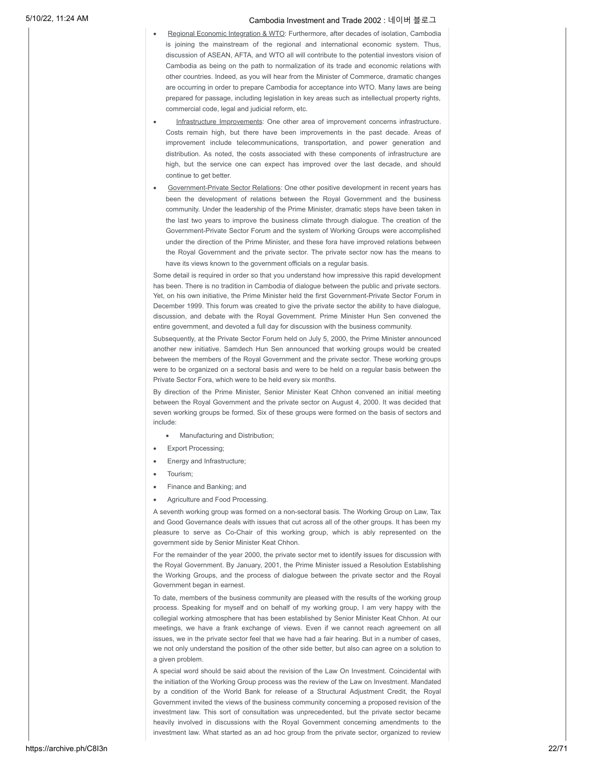- Regional Economic Integration & WTO: Furthermore, after decades of isolation, Cambodia is joining the mainstream of the regional and international economic system. Thus, discussion of ASEAN, AFTA, and WTO all will contribute to the potential investors vision of Cambodia as being on the path to normalization of its trade and economic relations with other countries. Indeed, as you will hear from the Minister of Commerce, dramatic changes are occurring in order to prepare Cambodia for acceptance into WTO. Many laws are being prepared for passage, including legislation in key areas such as intellectual property rights, commercial code, legal and judicial reform, etc.
- Infrastructure Improvements: One other area of improvement concerns infrastructure. Costs remain high, but there have been improvements in the past decade. Areas of improvement include telecommunications, transportation, and power generation and distribution. As noted, the costs associated with these components of infrastructure are high, but the service one can expect has improved over the last decade, and should continue to get better.
- Government-Private Sector Relations: One other positive development in recent years has been the development of relations between the Royal Government and the business community. Under the leadership of the Prime Minister, dramatic steps have been taken in the last two years to improve the business climate through dialogue. The creation of the Government-Private Sector Forum and the system of Working Groups were accomplished under the direction of the Prime Minister, and these fora have improved relations between the Royal Government and the private sector. The private sector now has the means to have its views known to the government officials on a regular basis.

Some detail is required in order so that you understand how impressive this rapid development has been. There is no tradition in Cambodia of dialogue between the public and private sectors. Yet, on his own initiative, the Prime Minister held the first Government-Private Sector Forum in December 1999. This forum was created to give the private sector the ability to have dialogue, discussion, and debate with the Royal Government. Prime Minister Hun Sen convened the entire government, and devoted a full day for discussion with the business community.

Subsequently, at the Private Sector Forum held on July 5, 2000, the Prime Minister announced another new initiative. Samdech Hun Sen announced that working groups would be created between the members of the Royal Government and the private sector. These working groups were to be organized on a sectoral basis and were to be held on a regular basis between the Private Sector Fora, which were to be held every six months.

By direction of the Prime Minister, Senior Minister Keat Chhon convened an initial meeting between the Royal Government and the private sector on August 4, 2000. It was decided that seven working groups be formed. Six of these groups were formed on the basis of sectors and include:

- · Manufacturing and Distribution;
- **Export Processing;**
- · Energy and Infrastructure;
- · Tourism;
- Finance and Banking; and
- Agriculture and Food Processing.

A seventh working group was formed on a non-sectoral basis. The Working Group on Law, Tax and Good Governance deals with issues that cut across all of the other groups. It has been my pleasure to serve as Co-Chair of this working group, which is ably represented on the government side by Senior Minister Keat Chhon.

For the remainder of the year 2000, the private sector met to identify issues for discussion with the Royal Government. By January, 2001, the Prime Minister issued a Resolution Establishing the Working Groups, and the process of dialogue between the private sector and the Royal Government began in earnest.

To date, members of the business community are pleased with the results of the working group process. Speaking for myself and on behalf of my working group, I am very happy with the collegial working atmosphere that has been established by Senior Minister Keat Chhon. At our meetings, we have a frank exchange of views. Even if we cannot reach agreement on all issues, we in the private sector feel that we have had a fair hearing. But in a number of cases, we not only understand the position of the other side better, but also can agree on a solution to a given problem.

A special word should be said about the revision of the Law On Investment. Coincidental with the initiation of the Working Group process was the review of the Law on Investment. Mandated by a condition of the World Bank for release of a Structural Adjustment Credit, the Royal Government invited the views of the business community concerning a proposed revision of the investment law. This sort of consultation was unprecedented, but the private sector became heavily involved in discussions with the Royal Government concerning amendments to the investment law. What started as an ad hoc group from the private sector, organized to review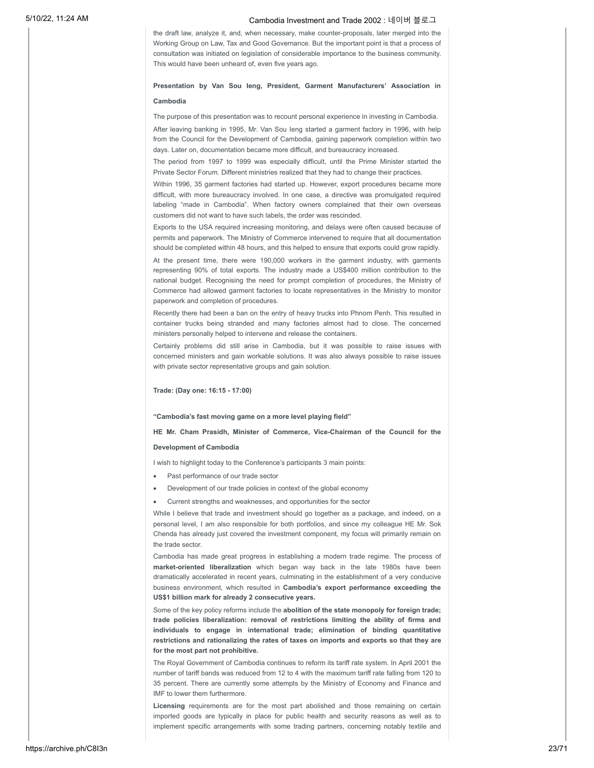the draft law, analyze it, and, when necessary, make counter-proposals, later merged into the Working Group on Law, Tax and Good Governance. But the important point is that a process of consultation was initiated on legislation of considerable importance to the business community. This would have been unheard of, even five years ago.

# **Presentation by Van Sou Ieng, President, Garment Manufacturers' Association in**

### **Cambodia**

The purpose of this presentation was to recount personal experience in investing in Cambodia.

After leaving banking in 1995, Mr. Van Sou Ieng started a garment factory in 1996, with help from the Council for the Development of Cambodia, gaining paperwork completion within two days. Later on, documentation became more difficult, and bureaucracy increased.

The period from 1997 to 1999 was especially difficult, until the Prime Minister started the Private Sector Forum. Different ministries realized that they had to change their practices.

Within 1996, 35 garment factories had started up. However, export procedures became more difficult, with more bureaucracy involved. In one case, a directive was promulgated required labeling "made in Cambodia". When factory owners complained that their own overseas customers did not want to have such labels, the order was rescinded.

Exports to the USA required increasing monitoring, and delays were often caused because of permits and paperwork. The Ministry of Commerce intervened to require that all documentation should be completed within 48 hours, and this helped to ensure that exports could grow rapidly.

At the present time, there were 190,000 workers in the garment industry, with garments representing 90% of total exports. The industry made a US\$400 million contribution to the national budget. Recognising the need for prompt completion of procedures, the Ministry of Commerce had allowed garment factories to locate representatives in the Ministry to monitor paperwork and completion of procedures.

Recently there had been a ban on the entry of heavy trucks into Phnom Penh. This resulted in container trucks being stranded and many factories almost had to close. The concerned ministers personally helped to intervene and release the containers.

Certainly problems did still arise in Cambodia, but it was possible to raise issues with concerned ministers and gain workable solutions. It was also always possible to raise issues with private sector representative groups and gain solution.

### **Trade: (Day one: 16:15 - 17:00)**

### **"Cambodia's fast moving game on a more level playing field"**

**HE Mr. Cham Prasidh, Minister of Commerce, Vice-Chairman of the Council for the Development of Cambodia**

I wish to highlight today to the Conference's participants 3 main points:

- Past performance of our trade sector
- Development of our trade policies in context of the global economy
- Current strengths and weaknesses, and opportunities for the sector

While I believe that trade and investment should go together as a package, and indeed, on a personal level, I am also responsible for both portfolios, and since my colleague HE Mr. Sok Chenda has already just covered the investment component, my focus will primarily remain on the trade sector.

Cambodia has made great progress in establishing a modern trade regime. The process of **market-oriented liberalization** which began way back in the late 1980s have been dramatically accelerated in recent years, culminating in the establishment of a very conducive business environment, which resulted in **Cambodia's export performance exceeding the US\$1 billion mark for already 2 consecutive years.**

Some of the key policy reforms include the **abolition of the state monopoly for foreign trade; trade policies liberalization: removal of restrictions limiting the ability of firms and individuals to engage in international trade; elimination of binding quantitative restrictions and rationalizing the rates of taxes on imports and exports so that they are for the most part not prohibitive.**

The Royal Government of Cambodia continues to reform its tariff rate system. In April 2001 the number of tariff bands was reduced from 12 to 4 with the maximum tariff rate falling from 120 to 35 percent. There are currently some attempts by the Ministry of Economy and Finance and IMF to lower them furthermore.

**Licensing** requirements are for the most part abolished and those remaining on certain imported goods are typically in place for public health and security reasons as well as to implement specific arrangements with some trading partners, concerning notably textile and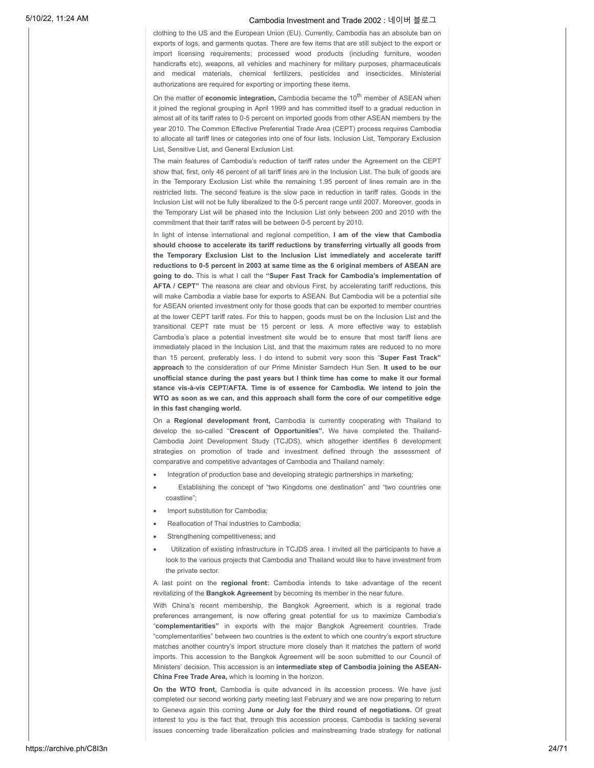clothing to the US and the European Union (EU). Currently, Cambodia has an absolute ban on exports of logs, and garments quotas. There are few items that are still subject to the export or import licensing requirements; processed wood products (including furniture, wooden handicrafts etc), weapons, all vehicles and machinery for military purposes, pharmaceuticals and medical materials, chemical fertilizers, pesticides and insecticides. Ministerial authorizations are required for exporting or importing these items.

On the matter of **economic integration**, Cambodia became the 10<sup>th</sup> member of ASEAN when it joined the regional grouping in April 1999 and has committed itself to a gradual reduction in almost all of its tariff rates to 0-5 percent on imported goods from other ASEAN members by the year 2010. The Common Effective Preferential Trade Area (CEPT) process requires Cambodia to allocate all tariff lines or categories into one of four lists. Inclusion List, Temporary Exclusion List, Sensitive List, and General Exclusion List.

The main features of Cambodia's reduction of tariff rates under the Agreement on the CEPT show that, first, only 46 percent of all tariff lines are in the Inclusion List. The bulk of goods are in the Temporary Exclusion List while the remaining 1.95 percent of lines remain are in the restricted lists. The second feature is the slow pace in reduction in tariff rates. Goods in the Inclusion List will not be fully liberalized to the 0-5 percent range until 2007. Moreover, goods in the Temporary List will be phased into the Inclusion List only between 200 and 2010 with the commitment that their tariff rates will be between 0-5 percent by 2010.

In light of intense international and regional competition, **I am of the view that Cambodia should choose to accelerate its tariff reductions by transferring virtually all goods from the Temporary Exclusion List to the Inclusion List immediately and accelerate tariff reductions to 0-5 percent in 2003 at same time as the 6 original members of ASEAN are going to do.** This is what I call the **"Super Fast Track for Cambodia's implementation of AFTA / CEPT"** The reasons are clear and obvious First, by accelerating tariff reductions, this will make Cambodia a viable base for exports to ASEAN. But Cambodia will be a potential site for ASEAN oriented investment only for those goods that can be exported to member countries at the lower CEPT tariff rates. For this to happen, goods must be on the Inclusion List and the transitional CEPT rate must be 15 percent or less. A more effective way to establish Cambodia's place a potential investment site would be to ensure that most tariff liens are immediately placed in the Inclusion List, and that the maximum rates are reduced to no more than 15 percent, preferably less. I do intend to submit very soon this "**Super Fast Track" approach** to the consideration of our Prime Minister Samdech Hun Sen. **It used to be our unofficial stance during the past years but I think time has come to make it our formal stance vis-à-vis CEPT/AFTA. Time is of essence for Cambodia. We intend to join the WTO as soon as we can, and this approach shall form the core of our competitive edge in this fast changing world.**

On a **Regional development front,** Cambodia is currently cooperating with Thailand to develop the so-called "**Crescent of Opportunities".** We have completed the Thailand-Cambodia Joint Development Study (TCJDS), which altogether identifies 6 development strategies on promotion of trade and investment defined through the assessment of comparative and competitive advantages of Cambodia and Thailand namely:

- · Integration of production base and developing strategic partnerships in marketing;
- Establishing the concept of "two Kingdoms one destination" and "two countries one coastline";
- · Import substitution for Cambodia;
- Reallocation of Thai industries to Cambodia;
- Strengthening competitiveness; and
- Utilization of existing infrastructure in TCJDS area. I invited all the participants to have a look to the various projects that Cambodia and Thailand would like to have investment from the private sector.

A last point on the **regional front:** Cambodia intends to take advantage of the recent revitalizing of the **Bangkok Agreement** by becoming its member in the near future.

With China's recent membership, the Bangkok Agreement, which is a regional trade preferences arrangement, is now offering great potential for us to maximize Cambodia's "**complementarities"** in exports with the major Bangkok Agreement countries. Trade "complementarities" between two countries is the extent to which one country's export structure matches another country's import structure more closely than it matches the pattern of world imports. This accession to the Bangkok Agreement will be soon submitted to our Council of Ministers' decision. This accession is an **intermediate step of Cambodia joining the ASEAN-China Free Trade Area,** which is looming in the horizon.

**On the WTO front,** Cambodia is quite advanced in its accession process. We have just completed our second working party meeting last February and we are now preparing to return to Geneva again this coming **June or July for the third round of negotiations.** Of great interest to you is the fact that, through this accession process, Cambodia is tackling several issues concerning trade liberalization policies and mainstreaming trade strategy for national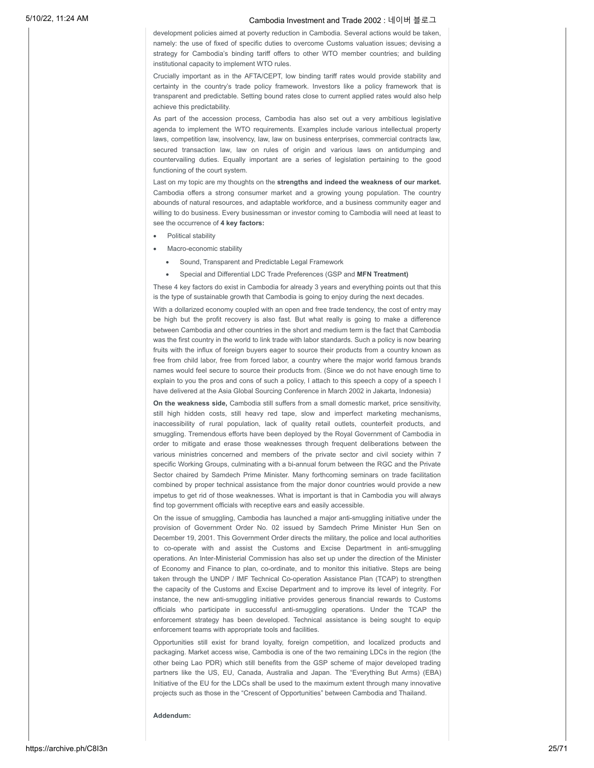development policies aimed at poverty reduction in Cambodia. Several actions would be taken, namely: the use of fixed of specific duties to overcome Customs valuation issues; devising a strategy for Cambodia's binding tariff offers to other WTO member countries; and building institutional capacity to implement WTO rules.

Crucially important as in the AFTA/CEPT, low binding tariff rates would provide stability and certainty in the country's trade policy framework. Investors like a policy framework that is transparent and predictable. Setting bound rates close to current applied rates would also help achieve this predictability.

As part of the accession process, Cambodia has also set out a very ambitious legislative agenda to implement the WTO requirements. Examples include various intellectual property laws, competition law, insolvency, law, law on business enterprises, commercial contracts law, secured transaction law, law on rules of origin and various laws on antidumping and countervailing duties. Equally important are a series of legislation pertaining to the good functioning of the court system.

Last on my topic are my thoughts on the **strengths and indeed the weakness of our market.** Cambodia offers a strong consumer market and a growing young population. The country abounds of natural resources, and adaptable workforce, and a business community eager and willing to do business. Every businessman or investor coming to Cambodia will need at least to see the occurrence of **4 key factors:**

- Political stability
- Macro-economic stability
	- Sound, Transparent and Predictable Legal Framework
	- · Special and Differential LDC Trade Preferences (GSP and **MFN Treatment)**

These 4 key factors do exist in Cambodia for already 3 years and everything points out that this is the type of sustainable growth that Cambodia is going to enjoy during the next decades.

With a dollarized economy coupled with an open and free trade tendency, the cost of entry may be high but the profit recovery is also fast. But what really is going to make a difference between Cambodia and other countries in the short and medium term is the fact that Cambodia was the first country in the world to link trade with labor standards. Such a policy is now bearing fruits with the influx of foreign buyers eager to source their products from a country known as free from child labor, free from forced labor, a country where the major world famous brands names would feel secure to source their products from. (Since we do not have enough time to explain to you the pros and cons of such a policy, I attach to this speech a copy of a speech I have delivered at the Asia Global Sourcing Conference in March 2002 in Jakarta, Indonesia)

**On the weakness side,** Cambodia still suffers from a small domestic market, price sensitivity, still high hidden costs, still heavy red tape, slow and imperfect marketing mechanisms, inaccessibility of rural population, lack of quality retail outlets, counterfeit products, and smuggling. Tremendous efforts have been deployed by the Royal Government of Cambodia in order to mitigate and erase those weaknesses through frequent deliberations between the various ministries concerned and members of the private sector and civil society within 7 specific Working Groups, culminating with a bi-annual forum between the RGC and the Private Sector chaired by Samdech Prime Minister. Many forthcoming seminars on trade facilitation combined by proper technical assistance from the major donor countries would provide a new impetus to get rid of those weaknesses. What is important is that in Cambodia you will always find top government officials with receptive ears and easily accessible.

On the issue of smuggling, Cambodia has launched a major anti-smuggling initiative under the provision of Government Order No. 02 issued by Samdech Prime Minister Hun Sen on December 19, 2001. This Government Order directs the military, the police and local authorities to co-operate with and assist the Customs and Excise Department in anti-smuggling operations. An Inter-Ministerial Commission has also set up under the direction of the Minister of Economy and Finance to plan, co-ordinate, and to monitor this initiative. Steps are being taken through the UNDP / IMF Technical Co-operation Assistance Plan (TCAP) to strengthen the capacity of the Customs and Excise Department and to improve its level of integrity. For instance, the new anti-smuggling initiative provides generous financial rewards to Customs officials who participate in successful anti-smuggling operations. Under the TCAP the enforcement strategy has been developed. Technical assistance is being sought to equip enforcement teams with appropriate tools and facilities.

Opportunities still exist for brand loyalty, foreign competition, and localized products and packaging. Market access wise, Cambodia is one of the two remaining LDCs in the region (the other being Lao PDR) which still benefits from the GSP scheme of major developed trading partners like the US, EU, Canada, Australia and Japan. The "Everything But Arms) (EBA) Initiative of the EU for the LDCs shall be used to the maximum extent through many innovative projects such as those in the "Crescent of Opportunities" between Cambodia and Thailand.

**Addendum:**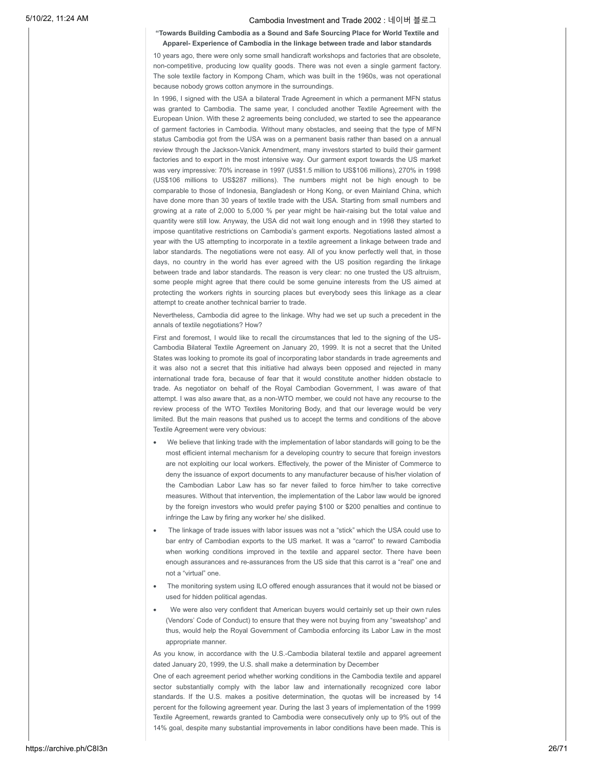### **"Towards Building Cambodia as a Sound and Safe Sourcing Place for World Textile and Apparel- Experience of Cambodia in the linkage between trade and labor standards**

10 years ago, there were only some small handicraft workshops and factories that are obsolete, non-competitive, producing low quality goods. There was not even a single garment factory. The sole textile factory in Kompong Cham, which was built in the 1960s, was not operational because nobody grows cotton anymore in the surroundings.

In 1996, I signed with the USA a bilateral Trade Agreement in which a permanent MFN status was granted to Cambodia. The same year, I concluded another Textile Agreement with the European Union. With these 2 agreements being concluded, we started to see the appearance of garment factories in Cambodia. Without many obstacles, and seeing that the type of MFN status Cambodia got from the USA was on a permanent basis rather than based on a annual review through the Jackson-Vanick Amendment, many investors started to build their garment factories and to export in the most intensive way. Our garment export towards the US market was very impressive: 70% increase in 1997 (US\$1.5 million to US\$106 millions), 270% in 1998 (US\$106 millions to US\$287 millions). The numbers might not be high enough to be comparable to those of Indonesia, Bangladesh or Hong Kong, or even Mainland China, which have done more than 30 years of textile trade with the USA. Starting from small numbers and growing at a rate of 2,000 to 5,000 % per year might be hair-raising but the total value and quantity were still low. Anyway, the USA did not wait long enough and in 1998 they started to impose quantitative restrictions on Cambodia's garment exports. Negotiations lasted almost a year with the US attempting to incorporate in a textile agreement a linkage between trade and labor standards. The negotiations were not easy. All of you know perfectly well that, in those days, no country in the world has ever agreed with the US position regarding the linkage between trade and labor standards. The reason is very clear: no one trusted the US altruism, some people might agree that there could be some genuine interests from the US aimed at protecting the workers rights in sourcing places but everybody sees this linkage as a clear attempt to create another technical barrier to trade.

Nevertheless, Cambodia did agree to the linkage. Why had we set up such a precedent in the annals of textile negotiations? How?

First and foremost, I would like to recall the circumstances that led to the signing of the US-Cambodia Bilateral Textile Agreement on January 20, 1999. It is not a secret that the United States was looking to promote its goal of incorporating labor standards in trade agreements and it was also not a secret that this initiative had always been opposed and rejected in many international trade fora, because of fear that it would constitute another hidden obstacle to trade. As negotiator on behalf of the Royal Cambodian Government, I was aware of that attempt. I was also aware that, as a non-WTO member, we could not have any recourse to the review process of the WTO Textiles Monitoring Body, and that our leverage would be very limited. But the main reasons that pushed us to accept the terms and conditions of the above Textile Agreement were very obvious:

- · We believe that linking trade with the implementation of labor standards will going to be the most efficient internal mechanism for a developing country to secure that foreign investors are not exploiting our local workers. Effectively, the power of the Minister of Commerce to deny the issuance of export documents to any manufacturer because of his/her violation of the Cambodian Labor Law has so far never failed to force him/her to take corrective measures. Without that intervention, the implementation of the Labor law would be ignored by the foreign investors who would prefer paying \$100 or \$200 penalties and continue to infringe the Law by firing any worker he/ she disliked.
- · The linkage of trade issues with labor issues was not a "stick" which the USA could use to bar entry of Cambodian exports to the US market. It was a "carrot" to reward Cambodia when working conditions improved in the textile and apparel sector. There have been enough assurances and re-assurances from the US side that this carrot is a "real" one and not a "virtual" one.
- The monitoring system using ILO offered enough assurances that it would not be biased or used for hidden political agendas.
- We were also very confident that American buyers would certainly set up their own rules (Vendors' Code of Conduct) to ensure that they were not buying from any "sweatshop" and thus, would help the Royal Government of Cambodia enforcing its Labor Law in the most appropriate manner.

As you know, in accordance with the U.S.-Cambodia bilateral textile and apparel agreement dated January 20, 1999, the U.S. shall make a determination by December

One of each agreement period whether working conditions in the Cambodia textile and apparel sector substantially comply with the labor law and internationally recognized core labor standards. If the U.S. makes a positive determination, the quotas will be increased by 14 percent for the following agreement year. During the last 3 years of implementation of the 1999 Textile Agreement, rewards granted to Cambodia were consecutively only up to 9% out of the 14% goal, despite many substantial improvements in labor conditions have been made. This is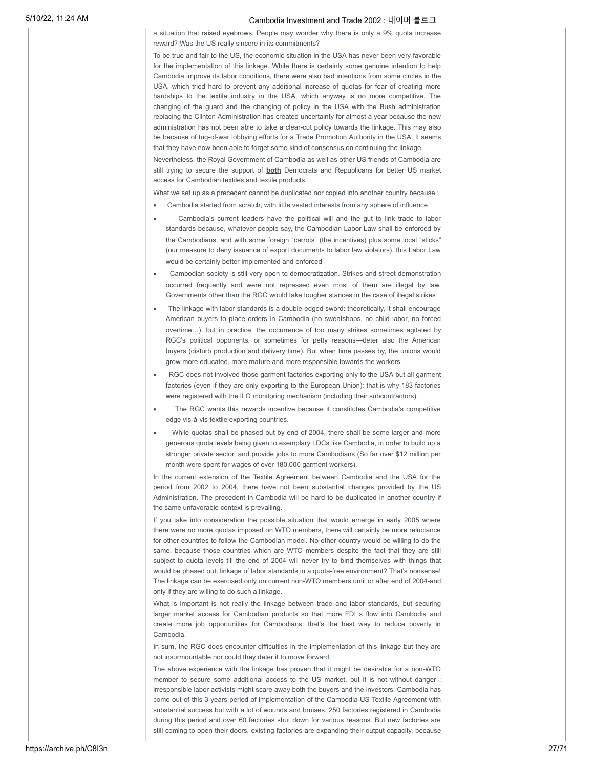a situation that raised eyebrows. People may wonder why there is only a 9% quota increase reward? Was the US really sincere in its commitments?

To be true and fair to the US, the economic situation in the USA has never been very favorable for the implementation of this linkage. While there is certainly some genuine intention to help Cambodia improve its labor conditions, there were also bad intentions from some circles in the USA, which tried hard to prevent any additional increase of quotas for fear of creating more hardships to the textile industry in the USA, which anyway is no more competitive. The changing of the guard and the changing of policy in the USA with the Bush administration replacing the Clinton Administration has created uncertainty for almost a year because the new administration has not been able to take a clear-cut policy towards the linkage. This may also be because of tug-of-war lobbying efforts for a Trade Promotion Authority in the USA. It seems that they have now been able to forget some kind of consensus on continuing the linkage.

Nevertheless, the Royal Government of Cambodia as well as other US friends of Cambodia are still trying to secure the support of **both** Democrats and Republicans for better US market access for Cambodian textiles and textile products.

What we set up as a precedent cannot be duplicated nor copied into another country because :

- · Cambodia started from scratch, with little vested interests from any sphere of influence
- Cambodia's current leaders have the political will and the gut to link trade to labor standards because, whatever people say, the Cambodian Labor Law shall be enforced by the Cambodians, and with some foreign "carrots" (the incentives) plus some local "sticks" (our measure to deny issuance of export documents to labor law violators), this Labor Law would be certainly better implemented and enforced
- Cambodian society is still very open to democratization. Strikes and street demonstration occurred frequently and were not repressed even most of them are illegal by law. Governments other than the RGC would take tougher stances in the case of illegal strikes
- · The linkage with labor standards is a double-edged sword: theoretically, it shall encourage American buyers to place orders in Cambodia (no sweatshops, no child labor, no forced overtime…), but in practice, the occurrence of too many strikes sometimes agitated by RGC's political opponents, or sometimes for petty reasons—deter also the American buyers (disturb production and delivery time). But when time passes by, the unions would grow more educated, more mature and more responsible towards the workers.
- RGC does not involved those garment factories exporting only to the USA but all garment factories (even if they are only exporting to the European Union): that is why 183 factories were registered with the ILO monitoring mechanism (including their subcontractors).
- The RGC wants this rewards incentive because it constitutes Cambodia's competitive edge vis-à-vis textile exporting countries.
- While quotas shall be phased out by end of 2004, there shall be some larger and more generous quota levels being given to exemplary LDCs like Cambodia, in order to build up a stronger private sector, and provide jobs to more Cambodians (So far over \$12 million per month were spent for wages of over 180,000 garment workers).

In the current extension of the Textile Agreement between Cambodia and the USA for the period from 2002 to 2004, there have not been substantial changes provided by the US Administration. The precedent in Cambodia will be hard to be duplicated in another country if the same unfavorable context is prevailing.

If you take into consideration the possible situation that would emerge in early 2005 where there were no more quotas imposed on WTO members, there will certainly be more reluctance for other countries to follow the Cambodian model. No other country would be willing to do the same, because those countries which are WTO members despite the fact that they are still subject to quota levels till the end of 2004 will never try to bind themselves with things that would be phased out: linkage of labor standards in a quota-free environment? That's nonsense! The linkage can be exercised only on current non-WTO members until or after end of 2004-and only if they are willing to do such a linkage.

What is important is not really the linkage between trade and labor standards, but securing larger market access for Cambodian products so that more FDI s flow into Cambodia and create more job opportunities for Cambodians: that's the best way to reduce poverty in Cambodia.

In sum, the RGC does encounter difficulties in the implementation of this linkage but they are not insurmountable nor could they deter it to move forward.

The above experience with the linkage has proven that it might be desirable for a non-WTO member to secure some additional access to the US market, but it is not without danger : irresponsible labor activists might scare away both the buyers and the investors. Cambodia has come out of this 3-years period of implementation of the Cambodia-US Textile Agreement with substantial success but with a lot of wounds and bruises. 250 factories registered in Cambodia during this period and over 60 factories shut down for various reasons. But new factories are still coming to open their doors, existing factories are expanding their output capacity, because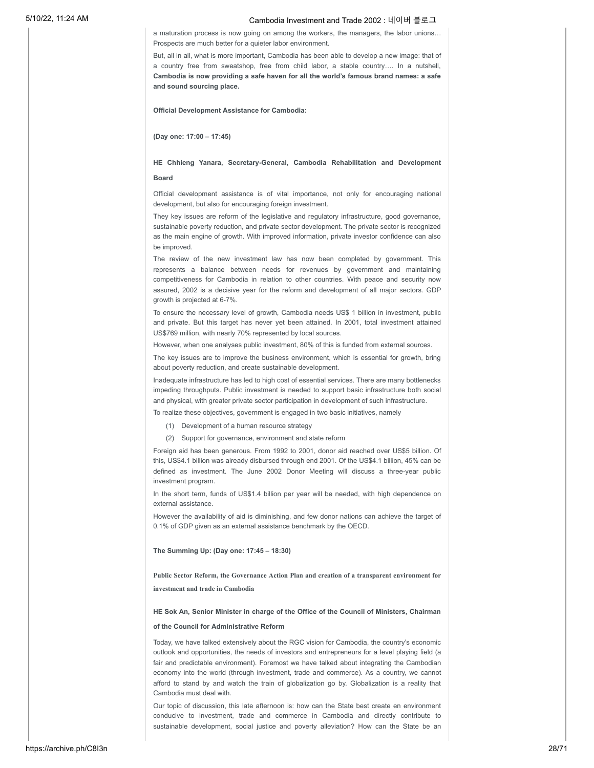a maturation process is now going on among the workers, the managers, the labor unions… Prospects are much better for a quieter labor environment.

But, all in all, what is more important, Cambodia has been able to develop a new image: that of a country free from sweatshop, free from child labor, a stable country…. In a nutshell, **Cambodia is now providing a safe haven for all the world's famous brand names: a safe and sound sourcing place.**

**Official Development Assistance for Cambodia:**

**(Day one: 17:00 – 17:45)**

# **HE Chhieng Yanara, Secretary-General, Cambodia Rehabilitation and Development**

### **Board**

Official development assistance is of vital importance, not only for encouraging national development, but also for encouraging foreign investment.

They key issues are reform of the legislative and regulatory infrastructure, good governance, sustainable poverty reduction, and private sector development. The private sector is recognized as the main engine of growth. With improved information, private investor confidence can also be improved.

The review of the new investment law has now been completed by government. This represents a balance between needs for revenues by government and maintaining competitiveness for Cambodia in relation to other countries. With peace and security now assured, 2002 is a decisive year for the reform and development of all major sectors. GDP growth is projected at 6-7%.

To ensure the necessary level of growth, Cambodia needs US\$ 1 billion in investment, public and private. But this target has never yet been attained. In 2001, total investment attained US\$769 million, with nearly 70% represented by local sources.

However, when one analyses public investment, 80% of this is funded from external sources.

The key issues are to improve the business environment, which is essential for growth, bring about poverty reduction, and create sustainable development.

Inadequate infrastructure has led to high cost of essential services. There are many bottlenecks impeding throughputs. Public investment is needed to support basic infrastructure both social and physical, with greater private sector participation in development of such infrastructure.

To realize these objectives, government is engaged in two basic initiatives, namely

- (1) Development of a human resource strategy
- (2) Support for governance, environment and state reform

Foreign aid has been generous. From 1992 to 2001, donor aid reached over US\$5 billion. Of this, US\$4.1 billion was already disbursed through end 2001. Of the US\$4.1 billion, 45% can be defined as investment. The June 2002 Donor Meeting will discuss a three-year public investment program.

In the short term, funds of US\$1.4 billion per year will be needed, with high dependence on external assistance.

However the availability of aid is diminishing, and few donor nations can achieve the target of 0.1% of GDP given as an external assistance benchmark by the OECD.

### **The Summing Up: (Day one: 17:45 – 18:30)**

**Public Sector Reform, the Governance Action Plan and creation of a transparent environment for investment and trade in Cambodia**

### **HE Sok An, Senior Minister in charge of the Office of the Council of Ministers, Chairman**

### **of the Council for Administrative Reform**

Today, we have talked extensively about the RGC vision for Cambodia, the country's economic outlook and opportunities, the needs of investors and entrepreneurs for a level playing field (a fair and predictable environment). Foremost we have talked about integrating the Cambodian economy into the world (through investment, trade and commerce). As a country, we cannot afford to stand by and watch the train of globalization go by. Globalization is a reality that Cambodia must deal with.

Our topic of discussion, this late afternoon is: how can the State best create en environment conducive to investment, trade and commerce in Cambodia and directly contribute to sustainable development, social justice and poverty alleviation? How can the State be an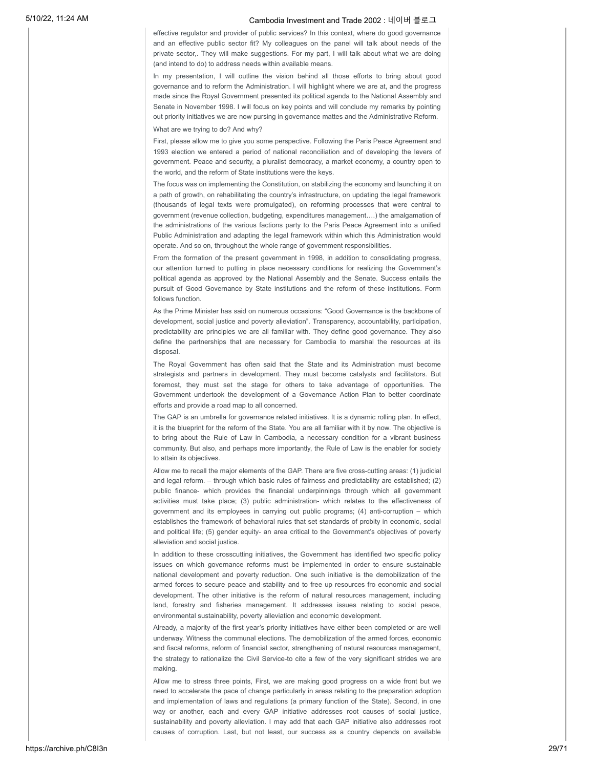effective regulator and provider of public services? In this context, where do good governance and an effective public sector fit? My colleagues on the panel will talk about needs of the private sector,. They will make suggestions. For my part, I will talk about what we are doing (and intend to do) to address needs within available means.

In my presentation, I will outline the vision behind all those efforts to bring about good governance and to reform the Administration. I will highlight where we are at, and the progress made since the Royal Government presented its political agenda to the National Assembly and Senate in November 1998. I will focus on key points and will conclude my remarks by pointing out priority initiatives we are now pursing in governance mattes and the Administrative Reform.

What are we trying to do? And why?

First, please allow me to give you some perspective. Following the Paris Peace Agreement and 1993 election we entered a period of national reconciliation and of developing the levers of government. Peace and security, a pluralist democracy, a market economy, a country open to the world, and the reform of State institutions were the keys.

The focus was on implementing the Constitution, on stabilizing the economy and launching it on a path of growth, on rehabilitating the country's infrastructure, on updating the legal framework (thousands of legal texts were promulgated), on reforming processes that were central to government (revenue collection, budgeting, expenditures management….) the amalgamation of the administrations of the various factions party to the Paris Peace Agreement into a unified Public Administration and adapting the legal framework within which this Administration would operate. And so on, throughout the whole range of government responsibilities.

From the formation of the present government in 1998, in addition to consolidating progress, our attention turned to putting in place necessary conditions for realizing the Government's political agenda as approved by the National Assembly and the Senate. Success entails the pursuit of Good Governance by State institutions and the reform of these institutions. Form follows function.

As the Prime Minister has said on numerous occasions: "Good Governance is the backbone of development, social justice and poverty alleviation". Transparency, accountability, participation, predictability are principles we are all familiar with. They define good governance. They also define the partnerships that are necessary for Cambodia to marshal the resources at its disposal.

The Royal Government has often said that the State and its Administration must become strategists and partners in development. They must become catalysts and facilitators. But foremost, they must set the stage for others to take advantage of opportunities. The Government undertook the development of a Governance Action Plan to better coordinate efforts and provide a road map to all concerned.

The GAP is an umbrella for governance related initiatives. It is a dynamic rolling plan. In effect, it is the blueprint for the reform of the State. You are all familiar with it by now. The objective is to bring about the Rule of Law in Cambodia, a necessary condition for a vibrant business community. But also, and perhaps more importantly, the Rule of Law is the enabler for society to attain its objectives.

Allow me to recall the major elements of the GAP. There are five cross-cutting areas: (1) judicial and legal reform. – through which basic rules of fairness and predictability are established; (2) public finance- which provides the financial underpinnings through which all government activities must take place; (3) public administration- which relates to the effectiveness of government and its employees in carrying out public programs; (4) anti-corruption – which establishes the framework of behavioral rules that set standards of probity in economic, social and political life; (5) gender equity- an area critical to the Government's objectives of poverty alleviation and social justice.

In addition to these crosscutting initiatives, the Government has identified two specific policy issues on which governance reforms must be implemented in order to ensure sustainable national development and poverty reduction. One such initiative is the demobilization of the armed forces to secure peace and stability and to free up resources fro economic and social development. The other initiative is the reform of natural resources management, including land, forestry and fisheries management. It addresses issues relating to social peace, environmental sustainability, poverty alleviation and economic development.

Already, a majority of the first year's priority initiatives have either been completed or are well underway. Witness the communal elections. The demobilization of the armed forces, economic and fiscal reforms, reform of financial sector, strengthening of natural resources management, the strategy to rationalize the Civil Service-to cite a few of the very significant strides we are making.

Allow me to stress three points, First, we are making good progress on a wide front but we need to accelerate the pace of change particularly in areas relating to the preparation adoption and implementation of laws and regulations (a primary function of the State). Second, in one way or another, each and every GAP initiative addresses root causes of social justice, sustainability and poverty alleviation. I may add that each GAP initiative also addresses root causes of corruption. Last, but not least, our success as a country depends on available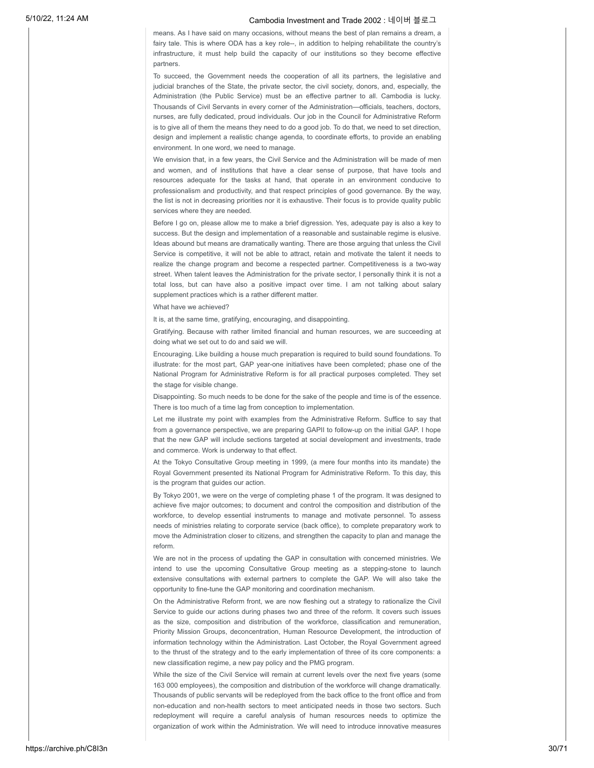means. As I have said on many occasions, without means the best of plan remains a dream, a fairy tale. This is where ODA has a key role--, in addition to helping rehabilitate the country's infrastructure, it must help build the capacity of our institutions so they become effective partners.

To succeed, the Government needs the cooperation of all its partners, the legislative and judicial branches of the State, the private sector, the civil society, donors, and, especially, the Administration (the Public Service) must be an effective partner to all. Cambodia is lucky. Thousands of Civil Servants in every corner of the Administration—officials, teachers, doctors, nurses, are fully dedicated, proud individuals. Our job in the Council for Administrative Reform is to give all of them the means they need to do a good job. To do that, we need to set direction, design and implement a realistic change agenda, to coordinate efforts, to provide an enabling environment. In one word, we need to manage.

We envision that, in a few years, the Civil Service and the Administration will be made of men and women, and of institutions that have a clear sense of purpose, that have tools and resources adequate for the tasks at hand, that operate in an environment conducive to professionalism and productivity, and that respect principles of good governance. By the way, the list is not in decreasing priorities nor it is exhaustive. Their focus is to provide quality public services where they are needed.

Before I go on, please allow me to make a brief digression. Yes, adequate pay is also a key to success. But the design and implementation of a reasonable and sustainable regime is elusive. Ideas abound but means are dramatically wanting. There are those arguing that unless the Civil Service is competitive, it will not be able to attract, retain and motivate the talent it needs to realize the change program and become a respected partner. Competitiveness is a two-way street. When talent leaves the Administration for the private sector, I personally think it is not a total loss, but can have also a positive impact over time. I am not talking about salary supplement practices which is a rather different matter.

What have we achieved?

It is, at the same time, gratifying, encouraging, and disappointing.

Gratifying. Because with rather limited financial and human resources, we are succeeding at doing what we set out to do and said we will.

Encouraging. Like building a house much preparation is required to build sound foundations. To illustrate: for the most part, GAP year-one initiatives have been completed; phase one of the National Program for Administrative Reform is for all practical purposes completed. They set the stage for visible change.

Disappointing. So much needs to be done for the sake of the people and time is of the essence. There is too much of a time lag from conception to implementation.

Let me illustrate my point with examples from the Administrative Reform. Suffice to say that from a governance perspective, we are preparing GAPII to follow-up on the initial GAP. I hope that the new GAP will include sections targeted at social development and investments, trade and commerce. Work is underway to that effect.

At the Tokyo Consultative Group meeting in 1999, (a mere four months into its mandate) the Royal Government presented its National Program for Administrative Reform. To this day, this is the program that guides our action.

By Tokyo 2001, we were on the verge of completing phase 1 of the program. It was designed to achieve five major outcomes; to document and control the composition and distribution of the workforce, to develop essential instruments to manage and motivate personnel. To assess needs of ministries relating to corporate service (back office), to complete preparatory work to move the Administration closer to citizens, and strengthen the capacity to plan and manage the reform.

We are not in the process of updating the GAP in consultation with concerned ministries. We intend to use the upcoming Consultative Group meeting as a stepping-stone to launch extensive consultations with external partners to complete the GAP. We will also take the opportunity to fine-tune the GAP monitoring and coordination mechanism.

On the Administrative Reform front, we are now fleshing out a strategy to rationalize the Civil Service to guide our actions during phases two and three of the reform. It covers such issues as the size, composition and distribution of the workforce, classification and remuneration, Priority Mission Groups, deconcentration, Human Resource Development, the introduction of information technology within the Administration. Last October, the Royal Government agreed to the thrust of the strategy and to the early implementation of three of its core components: a new classification regime, a new pay policy and the PMG program.

While the size of the Civil Service will remain at current levels over the next five years (some 163 000 employees), the composition and distribution of the workforce will change dramatically. Thousands of public servants will be redeployed from the back office to the front office and from non-education and non-health sectors to meet anticipated needs in those two sectors. Such redeployment will require a careful analysis of human resources needs to optimize the organization of work within the Administration. We will need to introduce innovative measures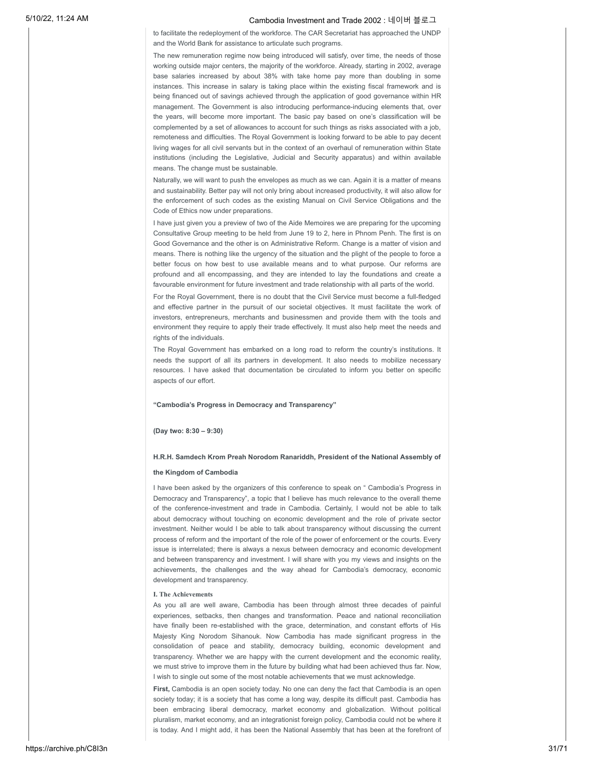to facilitate the redeployment of the workforce. The CAR Secretariat has approached the UNDP and the World Bank for assistance to articulate such programs.

The new remuneration regime now being introduced will satisfy, over time, the needs of those working outside major centers, the majority of the workforce. Already, starting in 2002, average base salaries increased by about 38% with take home pay more than doubling in some instances. This increase in salary is taking place within the existing fiscal framework and is being financed out of savings achieved through the application of good governance within HR management. The Government is also introducing performance-inducing elements that, over the years, will become more important. The basic pay based on one's classification will be complemented by a set of allowances to account for such things as risks associated with a job, remoteness and difficulties. The Royal Government is looking forward to be able to pay decent living wages for all civil servants but in the context of an overhaul of remuneration within State institutions (including the Legislative, Judicial and Security apparatus) and within available means. The change must be sustainable.

Naturally, we will want to push the envelopes as much as we can. Again it is a matter of means and sustainability. Better pay will not only bring about increased productivity, it will also allow for the enforcement of such codes as the existing Manual on Civil Service Obligations and the Code of Ethics now under preparations.

I have just given you a preview of two of the Aide Memoires we are preparing for the upcoming Consultative Group meeting to be held from June 19 to 2, here in Phnom Penh. The first is on Good Governance and the other is on Administrative Reform. Change is a matter of vision and means. There is nothing like the urgency of the situation and the plight of the people to force a better focus on how best to use available means and to what purpose. Our reforms are profound and all encompassing, and they are intended to lay the foundations and create a favourable environment for future investment and trade relationship with all parts of the world.

For the Royal Government, there is no doubt that the Civil Service must become a full-fledged and effective partner in the pursuit of our societal objectives. It must facilitate the work of investors, entrepreneurs, merchants and businessmen and provide them with the tools and environment they require to apply their trade effectively. It must also help meet the needs and rights of the individuals.

The Royal Government has embarked on a long road to reform the country's institutions. It needs the support of all its partners in development. It also needs to mobilize necessary resources. I have asked that documentation be circulated to inform you better on specific aspects of our effort.

### **"Cambodia's Progress in Democracy and Transparency"**

### **(Day two: 8:30 – 9:30)**

### **H.R.H. Samdech Krom Preah Norodom Ranariddh, President of the National Assembly of**

### **the Kingdom of Cambodia**

I have been asked by the organizers of this conference to speak on " Cambodia's Progress in Democracy and Transparency", a topic that I believe has much relevance to the overall theme of the conference-investment and trade in Cambodia. Certainly, I would not be able to talk about democracy without touching on economic development and the role of private sector investment. Neither would I be able to talk about transparency without discussing the current process of reform and the important of the role of the power of enforcement or the courts. Every issue is interrelated; there is always a nexus between democracy and economic development and between transparency and investment. I will share with you my views and insights on the achievements, the challenges and the way ahead for Cambodia's democracy, economic development and transparency.

#### **I. The Achievements**

As you all are well aware, Cambodia has been through almost three decades of painful experiences, setbacks, then changes and transformation. Peace and national reconciliation have finally been re-established with the grace, determination, and constant efforts of His Majesty King Norodom Sihanouk. Now Cambodia has made significant progress in the consolidation of peace and stability, democracy building, economic development and transparency. Whether we are happy with the current development and the economic reality, we must strive to improve them in the future by building what had been achieved thus far. Now, I wish to single out some of the most notable achievements that we must acknowledge.

First, Cambodia is an open society today. No one can deny the fact that Cambodia is an open society today; it is a society that has come a long way, despite its difficult past. Cambodia has been embracing liberal democracy, market economy and globalization. Without political pluralism, market economy, and an integrationist foreign policy, Cambodia could not be where it is today. And I might add, it has been the National Assembly that has been at the forefront of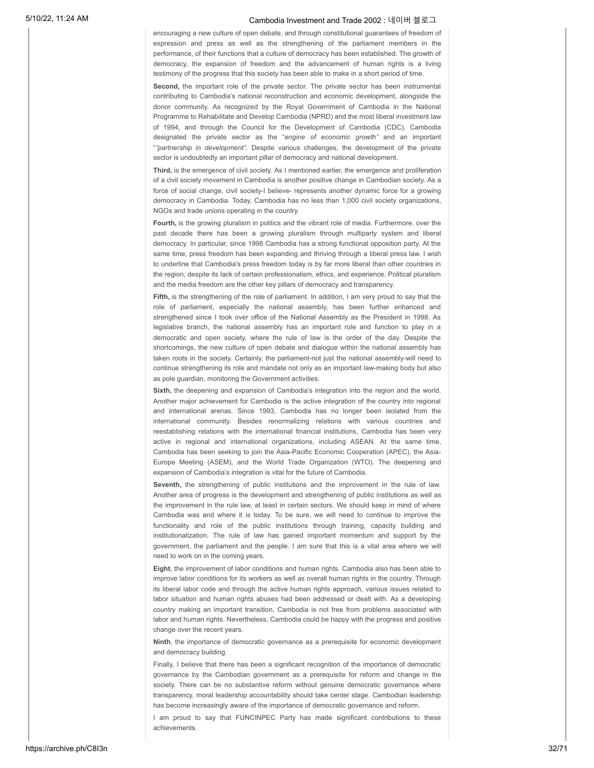encouraging a new culture of open debate, and through constitutional guarantees of freedom of expression and press as well as the strengthening of the parliament members in the performance, of their functions that a culture of democracy has been established. The growth of democracy, the expansion of freedom and the advancement of human rights is a living testimony of the progress that this society has been able to make in a short period of time.

Second, the important role of the private sector. The private sector has been instrumental contributing to Cambodia's national reconstruction and economic development, alongside the donor community. As recognized by the Royal Government of Cambodia in the National Programme to Rehabilitate and Develop Cambodia (NPRD) and the most liberal investment law of 1994, and through the Council for the Development of Cambodia (CDC), Cambodia designated the private sector as the "*engine of economic growth"* and an important "*"partnership in development"*. Despite various challenges, the development of the private sector is undoubtedly an important pillar of democracy and national development.

**Third,** is the emergence of civil society. As I mentioned earlier, the emergence and proliferation of a civil society movement in Cambodia is another positive change in Cambodian society. As a force of social change, civil society-I believe- represents another dynamic force for a growing democracy in Cambodia. Today, Cambodia has no less than 1,000 civil society organizations, NGOs and trade unions operating in the country.

**Fourth,** is the growing pluralism in politics and the vibrant role of media. Furthermore, over the past decade there has been a growing pluralism through multiparty system and liberal democracy. In particular, since 1998 Cambodia has a strong functional opposition party. At the same time, press freedom has been expanding and thriving through a liberal press law. I wish to underline that Cambodia's press freedom today is by far more liberal than other countries in the region, despite its lack of certain professionalism, ethics, and experience. Political pluralism and the media freedom are the other key pillars of democracy and transparency.

Fifth, is the strengthening of the role of parliament. In addition, I am very proud to say that the role of parliament, especially the national assembly, has been further enhanced and strengthened since I took over office of the National Assembly as the President in 1998. As legislative branch, the national assembly has an important role and function to play in a democratic and open society, where the rule of law is the order of the day. Despite the shortcomings, the new culture of open debate and dialogue within the national assembly has taken roots in the society. Certainly, the parliament-not just the national assembly-will need to continue strengthening its role and mandate not only as an important law-making body but also as pole guardian, monitoring the Government activities.

Sixth, the deepening and expansion of Cambodia's integration into the region and the world. Another major achievement for Cambodia is the active integration of the country into regional and international arenas. Since 1993, Cambodia has no longer been isolated from the international community. Besides renormalizing relations with various countries and reestablishing relations with the international financial institutions, Cambodia has been very active in regional and international organizations, including ASEAN. At the same time, Cambodia has been seeking to join the Asia-Pacific Economic Cooperation (APEC), the Asia-Europe Meeting (ASEM), and the World Trade Organization (WTO). The deepening and expansion of Cambodia's integration is vital for the future of Cambodia.

**Seventh,** the strengthening of public institutions and the improvement in the rule of law. Another area of progress is the development and strengthening of public institutions as well as the improvement in the rule law, at least in certain sectors. We should keep in mind of where Cambodia was and where it is today. To be sure, we will need to continue to improve the functionality and role of the public institutions through training, capacity building and institutionalization. The rule of law has gained important momentum and support by the government, the parliament and the people. I am sure that this is a vital area where we will need to work on in the coming years.

**Eight**, the improvement of labor conditions and human rights. Cambodia also has been able to improve labor conditions for its workers as well as overall human rights in the country. Through its liberal labor code and through the active human rights approach, various issues related to labor situation and human rights abuses had been addressed or dealt with. As a developing country making an important transition, Cambodia is not free from problems associated with labor and human rights. Nevertheless, Cambodia could be happy with the progress and positive change over the recent years.

**Ninth**, the importance of democratic governance as a prerequisite for economic development and democracy building.

Finally, I believe that there has been a significant recognition of the importance of democratic governance by the Cambodian government as a prerequisite for reform and change in the society. There can be no substantive reform without genuine democratic governance where transparency, moral leadership accountability should take center stage. Cambodian leadership has become increasingly aware of the importance of democratic governance and reform.

I am proud to say that FUNCINPEC Party has made significant contributions to these achievements.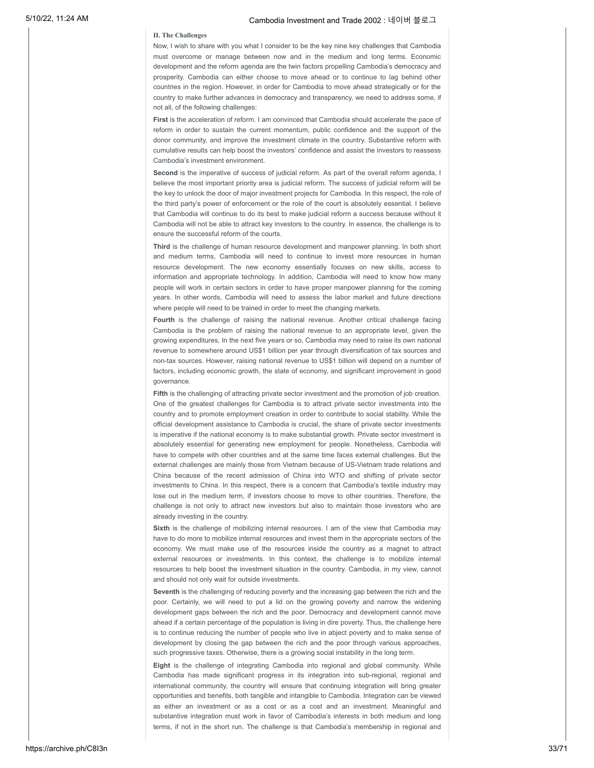### **II. The Challenges**

Now, I wish to share with you what I consider to be the key nine key challenges that Cambodia must overcome or manage between now and in the medium and long terms. Economic development and the reform agenda are the twin factors propelling Cambodia's democracy and prosperity. Cambodia can either choose to move ahead or to continue to lag behind other countries in the region. However, in order for Cambodia to move ahead strategically or for the country to make further advances in democracy and transparency, we need to address some, if not all, of the following challenges:

First is the acceleration of reform. I am convinced that Cambodia should accelerate the pace of reform in order to sustain the current momentum, public confidence and the support of the donor community, and improve the investment climate in the country. Substantive reform with cumulative results can help boost the investors' confidence and assist the investors to reassess Cambodia's investment environment.

**Second** is the imperative of success of judicial reform. As part of the overall reform agenda, I believe the most important priority area is judicial reform. The success of judicial reform will be the key to unlock the door of major investment projects for Cambodia. In this respect, the role of the third party's power of enforcement or the role of the court is absolutely essential. I believe that Cambodia will continue to do its best to make judicial reform a success because without it Cambodia will not be able to attract key investors to the country. In essence, the challenge is to ensure the successful reform of the courts.

**Third** is the challenge of human resource development and manpower planning. In both short and medium terms, Cambodia will need to continue to invest more resources in human resource development. The new economy essentially focuses on new skills, access to information and appropriate technology. In addition, Cambodia will need to know how many people will work in certain sectors in order to have proper manpower planning for the coming years. In other words, Cambodia will need to assess the labor market and future directions where people will need to be trained in order to meet the changing markets.

**Fourth** is the challenge of raising the national revenue. Another critical challenge facing Cambodia is the problem of raising the national revenue to an appropriate level, given the growing expenditures, In the next five years or so, Cambodia may need to raise its own national revenue to somewhere around US\$1 billion per year through diversification of tax sources and non-tax sources. However, raising national revenue to US\$1 billion will depend on a number of factors, including economic growth, the state of economy, and significant improvement in good governance.

**Fifth** is the challenging of attracting private sector investment and the promotion of job creation. One of the greatest challenges for Cambodia is to attract private sector investments into the country and to promote employment creation in order to contribute to social stability. While the official development assistance to Cambodia is crucial, the share of private sector investments is imperative if the national economy is to make substantial growth. Private sector investment is absolutely essential for generating new employment for people. Nonetheless, Cambodia will have to compete with other countries and at the same time faces external challenges. But the external challenges are mainly those from Vietnam because of US-Vietnam trade relations and China because of the recent admission of China into WTO and shifting of private sector investments to China. In this respect, there is a concern that Cambodia's textile industry may lose out in the medium term, if investors choose to move to other countries. Therefore, the challenge is not only to attract new investors but also to maintain those investors who are already investing in the country.

**Sixth** is the challenge of mobilizing internal resources. I am of the view that Cambodia may have to do more to mobilize internal resources and invest them in the appropriate sectors of the economy. We must make use of the resources inside the country as a magnet to attract external resources or investments. In this context, the challenge is to mobilize internal resources to help boost the investment situation in the country. Cambodia, in my view, cannot and should not only wait for outside investments.

**Seventh** is the challenging of reducing poverty and the increasing gap between the rich and the poor. Certainly, we will need to put a lid on the growing poverty and narrow the widening development gaps between the rich and the poor. Democracy and development cannot move ahead if a certain percentage of the population is living in dire poverty. Thus, the challenge here is to continue reducing the number of people who live in abject poverty and to make sense of development by closing the gap between the rich and the poor through various approaches, such progressive taxes. Otherwise, there is a growing social instability in the long term.

**Eight** is the challenge of integrating Cambodia into regional and global community. While Cambodia has made significant progress in its integration into sub-regional, regional and international community, the country will ensure that continuing integration will bring greater opportunities and benefits, both tangible and intangible to Cambodia. Integration can be viewed as either an investment or as a cost or as a cost and an investment. Meaningful and substantive integration must work in favor of Cambodia's interests in both medium and long terms, if not in the short run. The challenge is that Cambodia's membership in regional and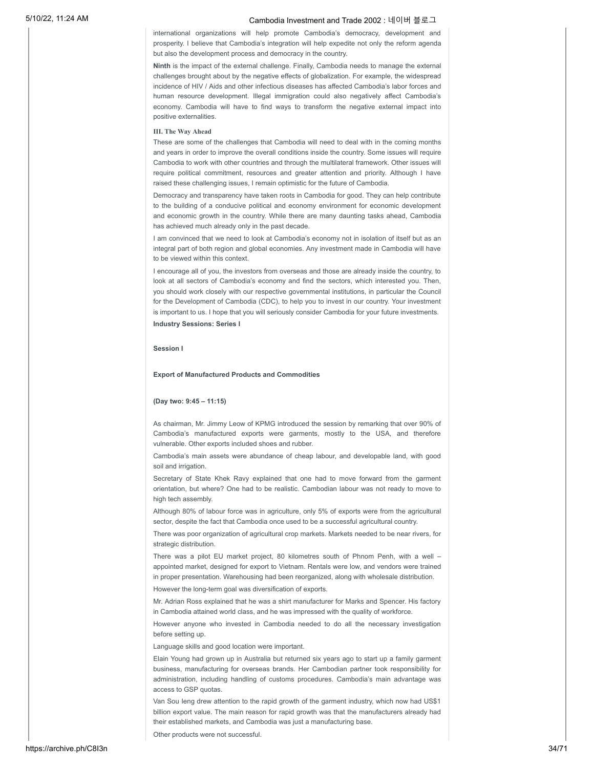international organizations will help promote Cambodia's democracy, development and prosperity. I believe that Cambodia's integration will help expedite not only the reform agenda but also the development process and democracy in the country.

**Ninth** is the impact of the external challenge. Finally, Cambodia needs to manage the external challenges brought about by the negative effects of globalization. For example, the widespread incidence of HIV / Aids and other infectious diseases has affected Cambodia's labor forces and human resource development. Illegal immigration could also negatively affect Cambodia's economy. Cambodia will have to find ways to transform the negative external impact into positive externalities.

### **III. The Way Ahead**

These are some of the challenges that Cambodia will need to deal with in the coming months and years in order to improve the overall conditions inside the country. Some issues will require Cambodia to work with other countries and through the multilateral framework. Other issues will require political commitment, resources and greater attention and priority. Although I have raised these challenging issues, I remain optimistic for the future of Cambodia.

Democracy and transparency have taken roots in Cambodia for good. They can help contribute to the building of a conducive political and economy environment for economic development and economic growth in the country. While there are many daunting tasks ahead, Cambodia has achieved much already only in the past decade.

I am convinced that we need to look at Cambodia's economy not in isolation of itself but as an integral part of both region and global economies. Any investment made in Cambodia will have to be viewed within this context.

I encourage all of you, the investors from overseas and those are already inside the country, to look at all sectors of Cambodia's economy and find the sectors, which interested you. Then, you should work closely with our respective governmental institutions, in particular the Council for the Development of Cambodia (CDC), to help you to invest in our country. Your investment is important to us. I hope that you will seriously consider Cambodia for your future investments. **Industry Sessions: Series I**

### **Session I**

#### **Export of Manufactured Products and Commodities**

### **(Day two: 9:45 – 11:15)**

As chairman, Mr. Jimmy Leow of KPMG introduced the session by remarking that over 90% of Cambodia's manufactured exports were garments, mostly to the USA, and therefore vulnerable. Other exports included shoes and rubber.

Cambodia's main assets were abundance of cheap labour, and developable land, with good soil and irrigation.

Secretary of State Khek Ravy explained that one had to move forward from the garment orientation, but where? One had to be realistic. Cambodian labour was not ready to move to high tech assembly.

Although 80% of labour force was in agriculture, only 5% of exports were from the agricultural sector, despite the fact that Cambodia once used to be a successful agricultural country.

There was poor organization of agricultural crop markets. Markets needed to be near rivers, for strategic distribution.

There was a pilot EU market project, 80 kilometres south of Phnom Penh, with a well – appointed market, designed for export to Vietnam. Rentals were low, and vendors were trained in proper presentation. Warehousing had been reorganized, along with wholesale distribution. However the long-term goal was diversification of exports.

Mr. Adrian Ross explained that he was a shirt manufacturer for Marks and Spencer. His factory in Cambodia attained world class, and he was impressed with the quality of workforce.

However anyone who invested in Cambodia needed to do all the necessary investigation before setting up.

Language skills and good location were important.

Elain Young had grown up in Australia but returned six years ago to start up a family garment business, manufacturing for overseas brands. Her Cambodian partner took responsibility for administration, including handling of customs procedures. Cambodia's main advantage was access to GSP quotas.

Van Sou Ieng drew attention to the rapid growth of the garment industry, which now had US\$1 billion export value. The main reason for rapid growth was that the manufacturers already had their established markets, and Cambodia was just a manufacturing base.

Other products were not successful.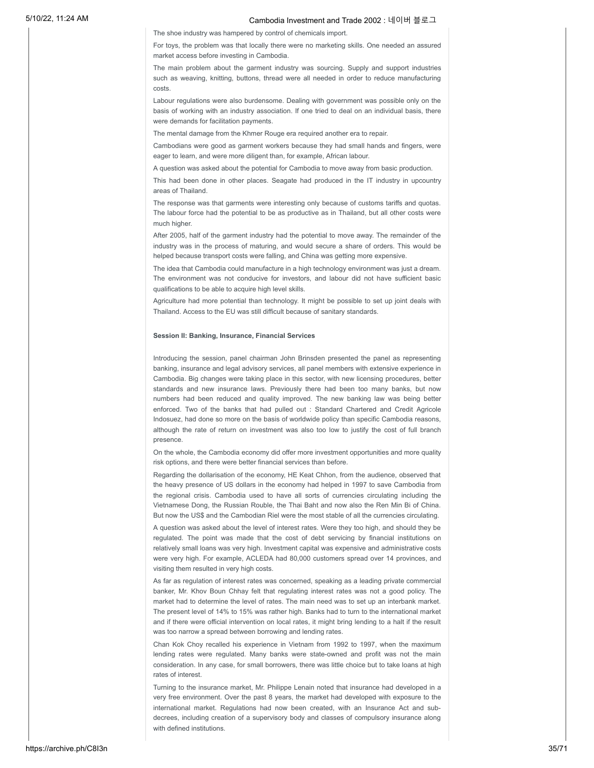The shoe industry was hampered by control of chemicals import.

For toys, the problem was that locally there were no marketing skills. One needed an assured market access before investing in Cambodia.

The main problem about the garment industry was sourcing. Supply and support industries such as weaving, knitting, buttons, thread were all needed in order to reduce manufacturing costs.

Labour regulations were also burdensome. Dealing with government was possible only on the basis of working with an industry association. If one tried to deal on an individual basis, there were demands for facilitation payments.

The mental damage from the Khmer Rouge era required another era to repair.

Cambodians were good as garment workers because they had small hands and fingers, were eager to learn, and were more diligent than, for example, African labour.

A question was asked about the potential for Cambodia to move away from basic production.

This had been done in other places. Seagate had produced in the IT industry in upcountry areas of Thailand.

The response was that garments were interesting only because of customs tariffs and quotas. The labour force had the potential to be as productive as in Thailand, but all other costs were much higher.

After 2005, half of the garment industry had the potential to move away. The remainder of the industry was in the process of maturing, and would secure a share of orders. This would be helped because transport costs were falling, and China was getting more expensive.

The idea that Cambodia could manufacture in a high technology environment was just a dream. The environment was not conducive for investors, and labour did not have sufficient basic qualifications to be able to acquire high level skills.

Agriculture had more potential than technology. It might be possible to set up joint deals with Thailand. Access to the EU was still difficult because of sanitary standards.

### **Session II: Banking, Insurance, Financial Services**

Introducing the session, panel chairman John Brinsden presented the panel as representing banking, insurance and legal advisory services, all panel members with extensive experience in Cambodia. Big changes were taking place in this sector, with new licensing procedures, better standards and new insurance laws. Previously there had been too many banks, but now numbers had been reduced and quality improved. The new banking law was being better enforced. Two of the banks that had pulled out : Standard Chartered and Credit Agricole Indosuez, had done so more on the basis of worldwide policy than specific Cambodia reasons, although the rate of return on investment was also too low to justify the cost of full branch presence.

On the whole, the Cambodia economy did offer more investment opportunities and more quality risk options, and there were better financial services than before.

Regarding the dollarisation of the economy, HE Keat Chhon, from the audience, observed that the heavy presence of US dollars in the economy had helped in 1997 to save Cambodia from the regional crisis. Cambodia used to have all sorts of currencies circulating including the Vietnamese Dong, the Russian Rouble, the Thai Baht and now also the Ren Min Bi of China. But now the US\$ and the Cambodian Riel were the most stable of all the currencies circulating.

A question was asked about the level of interest rates. Were they too high, and should they be regulated. The point was made that the cost of debt servicing by financial institutions on relatively small loans was very high. Investment capital was expensive and administrative costs were very high. For example, ACLEDA had 80,000 customers spread over 14 provinces, and visiting them resulted in very high costs.

As far as regulation of interest rates was concerned, speaking as a leading private commercial banker, Mr. Khov Boun Chhay felt that regulating interest rates was not a good policy. The market had to determine the level of rates. The main need was to set up an interbank market. The present level of 14% to 15% was rather high. Banks had to turn to the international market and if there were official intervention on local rates, it might bring lending to a halt if the result was too narrow a spread between borrowing and lending rates.

Chan Kok Choy recalled his experience in Vietnam from 1992 to 1997, when the maximum lending rates were regulated. Many banks were state-owned and profit was not the main consideration. In any case, for small borrowers, there was little choice but to take loans at high rates of interest.

Turning to the insurance market, Mr. Philippe Lenain noted that insurance had developed in a very free environment. Over the past 8 years, the market had developed with exposure to the international market. Regulations had now been created, with an Insurance Act and subdecrees, including creation of a supervisory body and classes of compulsory insurance along with defined institutions.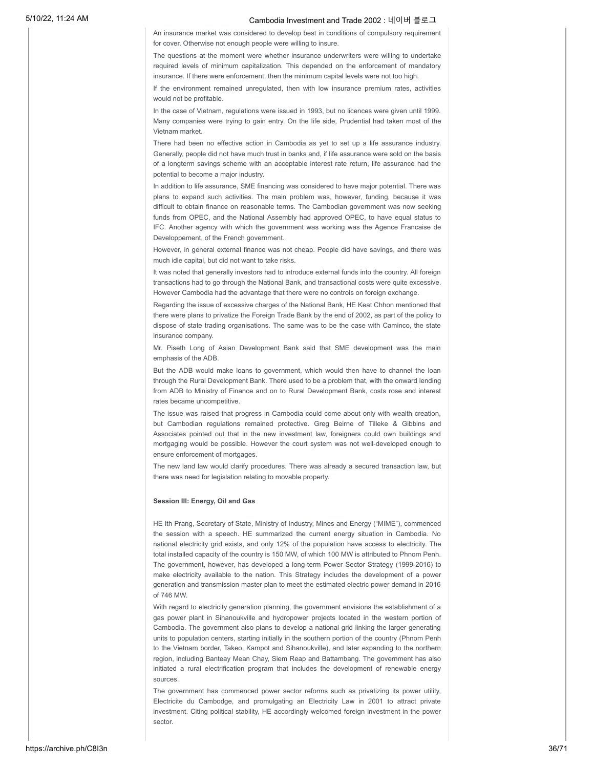An insurance market was considered to develop best in conditions of compulsory requirement for cover. Otherwise not enough people were willing to insure.

The questions at the moment were whether insurance underwriters were willing to undertake required levels of minimum capitalization. This depended on the enforcement of mandatory insurance. If there were enforcement, then the minimum capital levels were not too high.

If the environment remained unregulated, then with low insurance premium rates, activities would not be profitable.

In the case of Vietnam, regulations were issued in 1993, but no licences were given until 1999. Many companies were trying to gain entry. On the life side, Prudential had taken most of the Vietnam market.

There had been no effective action in Cambodia as yet to set up a life assurance industry. Generally, people did not have much trust in banks and, if life assurance were sold on the basis of a longterm savings scheme with an acceptable interest rate return, life assurance had the potential to become a major industry.

In addition to life assurance, SME financing was considered to have major potential. There was plans to expand such activities. The main problem was, however, funding, because it was difficult to obtain finance on reasonable terms. The Cambodian government was now seeking funds from OPEC, and the National Assembly had approved OPEC, to have equal status to IFC. Another agency with which the government was working was the Agence Francaise de Developpement, of the French government.

However, in general external finance was not cheap. People did have savings, and there was much idle capital, but did not want to take risks.

It was noted that generally investors had to introduce external funds into the country. All foreign transactions had to go through the National Bank, and transactional costs were quite excessive. However Cambodia had the advantage that there were no controls on foreign exchange.

Regarding the issue of excessive charges of the National Bank, HE Keat Chhon mentioned that there were plans to privatize the Foreign Trade Bank by the end of 2002, as part of the policy to dispose of state trading organisations. The same was to be the case with Caminco, the state insurance company.

Mr. Piseth Long of Asian Development Bank said that SME development was the main emphasis of the ADB.

But the ADB would make loans to government, which would then have to channel the loan through the Rural Development Bank. There used to be a problem that, with the onward lending from ADB to Ministry of Finance and on to Rural Development Bank, costs rose and interest rates became uncompetitive.

The issue was raised that progress in Cambodia could come about only with wealth creation, but Cambodian regulations remained protective. Greg Beirne of Tilleke & Gibbins and Associates pointed out that in the new investment law, foreigners could own buildings and mortgaging would be possible. However the court system was not well-developed enough to ensure enforcement of mortgages.

The new land law would clarify procedures. There was already a secured transaction law, but there was need for legislation relating to movable property.

### **Session III: Energy, Oil and Gas**

HE Ith Prang, Secretary of State, Ministry of Industry, Mines and Energy ("MIME"), commenced the session with a speech. HE summarized the current energy situation in Cambodia. No national electricity grid exists, and only 12% of the population have access to electricity. The total installed capacity of the country is 150 MW, of which 100 MW is attributed to Phnom Penh. The government, however, has developed a long-term Power Sector Strategy (1999-2016) to make electricity available to the nation. This Strategy includes the development of a power generation and transmission master plan to meet the estimated electric power demand in 2016 of 746 MW.

With regard to electricity generation planning, the government envisions the establishment of a gas power plant in Sihanoukville and hydropower projects located in the western portion of Cambodia. The government also plans to develop a national grid linking the larger generating units to population centers, starting initially in the southern portion of the country (Phnom Penh to the Vietnam border, Takeo, Kampot and Sihanoukville), and later expanding to the northern region, including Banteay Mean Chay, Siem Reap and Battambang. The government has also initiated a rural electrification program that includes the development of renewable energy sources.

The government has commenced power sector reforms such as privatizing its power utility, Electricite du Cambodge, and promulgating an Electricity Law in 2001 to attract private investment. Citing political stability, HE accordingly welcomed foreign investment in the power sector.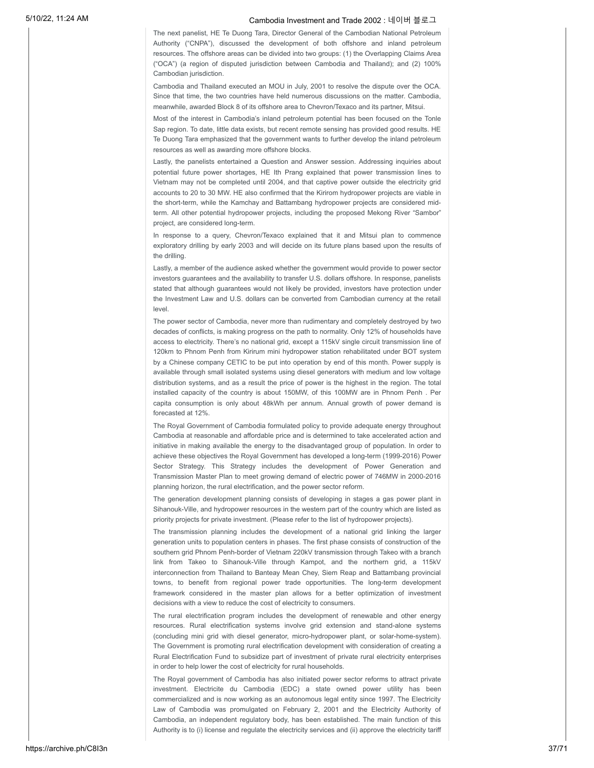The next panelist, HE Te Duong Tara, Director General of the Cambodian National Petroleum Authority ("CNPA"), discussed the development of both offshore and inland petroleum resources. The offshore areas can be divided into two groups: (1) the Overlapping Claims Area ("OCA") (a region of disputed jurisdiction between Cambodia and Thailand); and (2) 100% Cambodian jurisdiction.

Cambodia and Thailand executed an MOU in July, 2001 to resolve the dispute over the OCA. Since that time, the two countries have held numerous discussions on the matter. Cambodia, meanwhile, awarded Block 8 of its offshore area to Chevron/Texaco and its partner, Mitsui.

Most of the interest in Cambodia's inland petroleum potential has been focused on the Tonle Sap region. To date, little data exists, but recent remote sensing has provided good results. HE Te Duong Tara emphasized that the government wants to further develop the inland petroleum resources as well as awarding more offshore blocks.

Lastly, the panelists entertained a Question and Answer session. Addressing inquiries about potential future power shortages, HE Ith Prang explained that power transmission lines to Vietnam may not be completed until 2004, and that captive power outside the electricity grid accounts to 20 to 30 MW. HE also confirmed that the Kirirom hydropower projects are viable in the short-term, while the Kamchay and Battambang hydropower projects are considered midterm. All other potential hydropower projects, including the proposed Mekong River "Sambor" project, are considered long-term.

In response to a query, Chevron/Texaco explained that it and Mitsui plan to commence exploratory drilling by early 2003 and will decide on its future plans based upon the results of the drilling.

Lastly, a member of the audience asked whether the government would provide to power sector investors guarantees and the availability to transfer U.S. dollars offshore. In response, panelists stated that although guarantees would not likely be provided, investors have protection under the Investment Law and U.S. dollars can be converted from Cambodian currency at the retail level.

The power sector of Cambodia, never more than rudimentary and completely destroyed by two decades of conflicts, is making progress on the path to normality. Only 12% of households have access to electricity. There's no national grid, except a 115kV single circuit transmission line of 120km to Phnom Penh from Kirirum mini hydropower station rehabilitated under BOT system by a Chinese company CETIC to be put into operation by end of this month. Power supply is available through small isolated systems using diesel generators with medium and low voltage distribution systems, and as a result the price of power is the highest in the region. The total installed capacity of the country is about 150MW, of this 100MW are in Phnom Penh . Per capita consumption is only about 48kWh per annum. Annual growth of power demand is forecasted at 12%.

The Royal Government of Cambodia formulated policy to provide adequate energy throughout Cambodia at reasonable and affordable price and is determined to take accelerated action and initiative in making available the energy to the disadvantaged group of population. In order to achieve these objectives the Royal Government has developed a long-term (1999-2016) Power Sector Strategy. This Strategy includes the development of Power Generation and Transmission Master Plan to meet growing demand of electric power of 746MW in 2000-2016 planning horizon, the rural electrification, and the power sector reform.

The generation development planning consists of developing in stages a gas power plant in Sihanouk-Ville, and hydropower resources in the western part of the country which are listed as priority projects for private investment. (Please refer to the list of hydropower projects).

The transmission planning includes the development of a national grid linking the larger generation units to population centers in phases. The first phase consists of construction of the southern grid Phnom Penh-border of Vietnam 220kV transmission through Takeo with a branch link from Takeo to Sihanouk-Ville through Kampot, and the northern grid, a 115kV interconnection from Thailand to Banteay Mean Chey, Siem Reap and Battambang provincial towns, to benefit from regional power trade opportunities. The long-term development framework considered in the master plan allows for a better optimization of investment decisions with a view to reduce the cost of electricity to consumers.

The rural electrification program includes the development of renewable and other energy resources. Rural electrification systems involve grid extension and stand-alone systems (concluding mini grid with diesel generator, micro-hydropower plant, or solar-home-system). The Government is promoting rural electrification development with consideration of creating a Rural Electrification Fund to subsidize part of investment of private rural electricity enterprises in order to help lower the cost of electricity for rural households.

The Royal government of Cambodia has also initiated power sector reforms to attract private investment. Electricite du Cambodia (EDC) a state owned power utility has been commercialized and is now working as an autonomous legal entity since 1997. The Electricity Law of Cambodia was promulgated on February 2, 2001 and the Electricity Authority of Cambodia, an independent regulatory body, has been established. The main function of this Authority is to (i) license and regulate the electricity services and (ii) approve the electricity tariff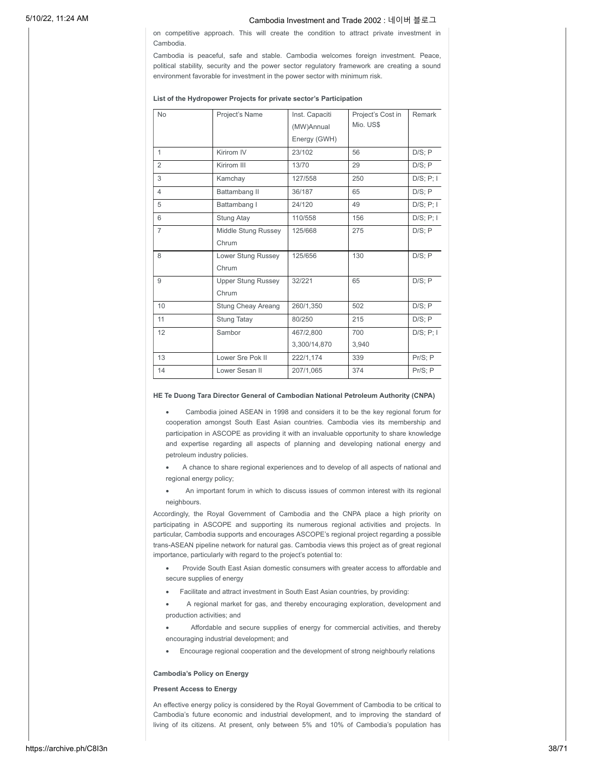on competitive approach. This will create the condition to attract private investment in Cambodia.

Cambodia is peaceful, safe and stable. Cambodia welcomes foreign investment. Peace, political stability, security and the power sector regulatory framework are creating a sound environment favorable for investment in the power sector with minimum risk.

#### **List of the Hydropower Projects for private sector's Participation**

| <b>No</b>      | Project's Name            | Inst. Capaciti | Project's Cost in | Remark          |
|----------------|---------------------------|----------------|-------------------|-----------------|
|                |                           | (MW)Annual     | Mio. US\$         |                 |
|                |                           | Energy (GWH)   |                   |                 |
| $\mathbf{1}$   | Kirirom IV                | 23/102         | 56                | D/S; P          |
| $\overline{2}$ | Kirirom III               | 13/70          | 29                | D/S; P          |
| 3              | Kamchay                   | 127/558        | 250               | D/S; P; I       |
| $\overline{4}$ | Battambang II             | 36/187         | 65                | D/S; P          |
| 5              | Battambang I              | 24/120         | 49                | D/S; P; I       |
| 6              | Stung Atay                | 110/558        | 156               | D/S; P; I       |
| $\overline{7}$ | Middle Stung Russey       | 125/668        | 275               | D/S; P          |
|                | Chrum                     |                |                   |                 |
| 8              | Lower Stung Russey        | 125/656        | 130               | D/S; P          |
|                | Chrum                     |                |                   |                 |
| 9              | <b>Upper Stung Russey</b> | 32/221         | 65                | D/S; P          |
|                | Chrum                     |                |                   |                 |
| 10             | <b>Stung Cheay Areang</b> | 260/1,350      | 502               | D/S; P          |
| 11             | <b>Stung Tatay</b>        | 80/250         | 215               | D/S; P          |
| 12             | Sambor                    | 467/2.800      | 700               | $D/S$ ; $P$ ; I |
|                |                           | 3,300/14,870   | 3,940             |                 |
| 13             | Lower Sre Pok II          | 222/1,174      | 339               | $Pr/S$ ; $P$    |
| 14             | Lower Sesan II            | 207/1,065      | 374               | Pr/S; P         |

### **HE Te Duong Tara Director General of Cambodian National Petroleum Authority (CNPA)**

Cambodia joined ASEAN in 1998 and considers it to be the key regional forum for cooperation amongst South East Asian countries. Cambodia vies its membership and participation in ASCOPE as providing it with an invaluable opportunity to share knowledge and expertise regarding all aspects of planning and developing national energy and petroleum industry policies.

- A chance to share regional experiences and to develop of all aspects of national and regional energy policy;
- An important forum in which to discuss issues of common interest with its regional neighbours.

Accordingly, the Royal Government of Cambodia and the CNPA place a high priority on participating in ASCOPE and supporting its numerous regional activities and projects. In particular, Cambodia supports and encourages ASCOPE's regional project regarding a possible trans-ASEAN pipeline network for natural gas. Cambodia views this project as of great regional importance, particularly with regard to the project's potential to:

- Provide South East Asian domestic consumers with greater access to affordable and secure supplies of energy
- · Facilitate and attract investment in South East Asian countries, by providing:

A regional market for gas, and thereby encouraging exploration, development and production activities; and

- Affordable and secure supplies of energy for commercial activities, and thereby encouraging industrial development; and
- · Encourage regional cooperation and the development of strong neighbourly relations

### **Cambodia's Policy on Energy**

### **Present Access to Energy**

An effective energy policy is considered by the Royal Government of Cambodia to be critical to Cambodia's future economic and industrial development, and to improving the standard of living of its citizens. At present, only between 5% and 10% of Cambodia's population has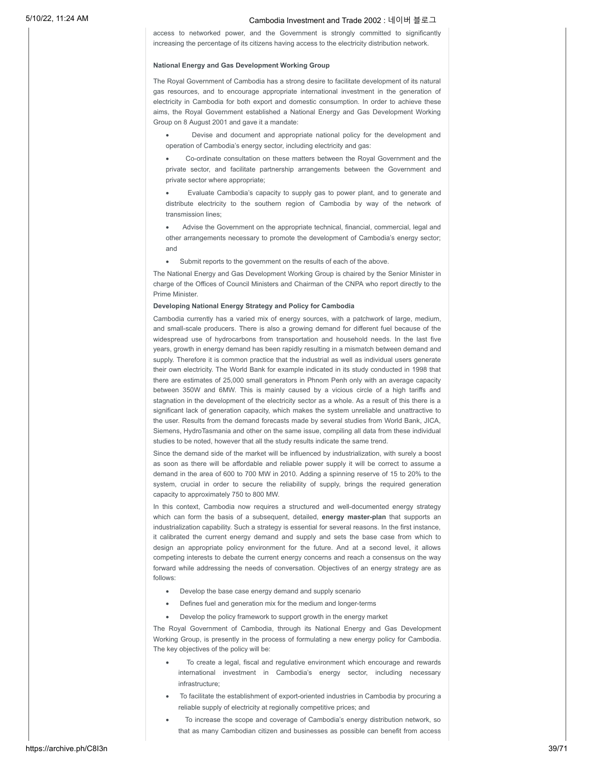access to networked power, and the Government is strongly committed to significantly increasing the percentage of its citizens having access to the electricity distribution network.

### **National Energy and Gas Development Working Group**

The Royal Government of Cambodia has a strong desire to facilitate development of its natural gas resources, and to encourage appropriate international investment in the generation of electricity in Cambodia for both export and domestic consumption. In order to achieve these aims, the Royal Government established a National Energy and Gas Development Working Group on 8 August 2001 and gave it a mandate:

Devise and document and appropriate national policy for the development and operation of Cambodia's energy sector, including electricity and gas:

Co-ordinate consultation on these matters between the Royal Government and the private sector, and facilitate partnership arrangements between the Government and private sector where appropriate;

Evaluate Cambodia's capacity to supply gas to power plant, and to generate and distribute electricity to the southern region of Cambodia by way of the network of transmission lines;

Advise the Government on the appropriate technical, financial, commercial, legal and other arrangements necessary to promote the development of Cambodia's energy sector; and

· Submit reports to the government on the results of each of the above.

The National Energy and Gas Development Working Group is chaired by the Senior Minister in charge of the Offices of Council Ministers and Chairman of the CNPA who report directly to the Prime Minister.

### **Developing National Energy Strategy and Policy for Cambodia**

Cambodia currently has a varied mix of energy sources, with a patchwork of large, medium, and small-scale producers. There is also a growing demand for different fuel because of the widespread use of hydrocarbons from transportation and household needs. In the last five years, growth in energy demand has been rapidly resulting in a mismatch between demand and supply. Therefore it is common practice that the industrial as well as individual users generate their own electricity. The World Bank for example indicated in its study conducted in 1998 that there are estimates of 25,000 small generators in Phnom Penh only with an average capacity between 350W and 6MW. This is mainly caused by a vicious circle of a high tariffs and stagnation in the development of the electricity sector as a whole. As a result of this there is a significant lack of generation capacity, which makes the system unreliable and unattractive to the user. Results from the demand forecasts made by several studies from World Bank, JICA, Siemens, HydroTasmania and other on the same issue, compiling all data from these individual studies to be noted, however that all the study results indicate the same trend.

Since the demand side of the market will be influenced by industrialization, with surely a boost as soon as there will be affordable and reliable power supply it will be correct to assume a demand in the area of 600 to 700 MW in 2010. Adding a spinning reserve of 15 to 20% to the system, crucial in order to secure the reliability of supply, brings the required generation capacity to approximately 750 to 800 MW.

In this context, Cambodia now requires a structured and well-documented energy strategy which can form the basis of a subsequent, detailed, **energy master-plan** that supports an industrialization capability. Such a strategy is essential for several reasons. In the first instance, it calibrated the current energy demand and supply and sets the base case from which to design an appropriate policy environment for the future. And at a second level, it allows competing interests to debate the current energy concerns and reach a consensus on the way forward while addressing the needs of conversation. Objectives of an energy strategy are as follows:

- Develop the base case energy demand and supply scenario
- · Defines fuel and generation mix for the medium and longer-terms
- · Develop the policy framework to support growth in the energy market

The Royal Government of Cambodia, through its National Energy and Gas Development Working Group, is presently in the process of formulating a new energy policy for Cambodia. The key objectives of the policy will be:

- To create a legal, fiscal and regulative environment which encourage and rewards international investment in Cambodia's energy sector, including necessary infrastructure;
- · To facilitate the establishment of export-oriented industries in Cambodia by procuring a reliable supply of electricity at regionally competitive prices; and
- · To increase the scope and coverage of Cambodia's energy distribution network, so that as many Cambodian citizen and businesses as possible can benefit from access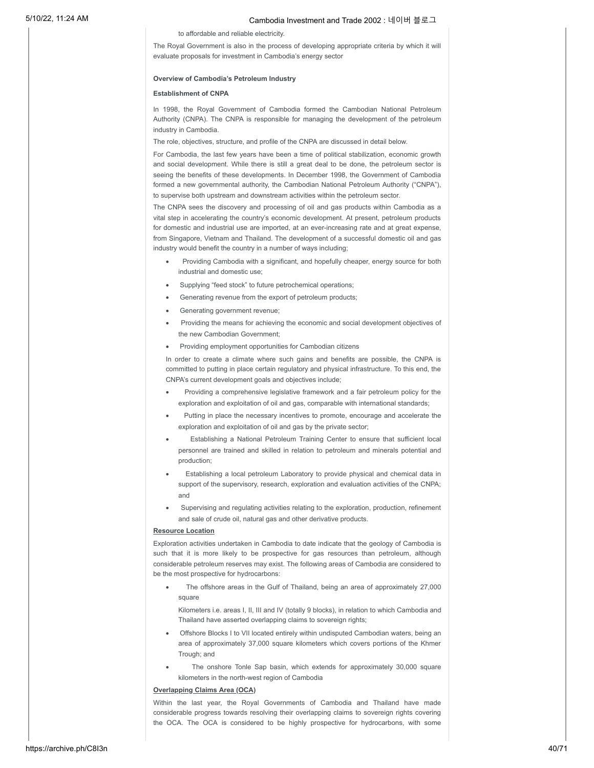to affordable and reliable electricity.

The Royal Government is also in the process of developing appropriate criteria by which it will evaluate proposals for investment in Cambodia's energy sector

### **Overview of Cambodia's Petroleum Industry**

#### **Establishment of CNPA**

In 1998, the Royal Government of Cambodia formed the Cambodian National Petroleum Authority (CNPA). The CNPA is responsible for managing the development of the petroleum industry in Cambodia.

The role, objectives, structure, and profile of the CNPA are discussed in detail below.

For Cambodia, the last few years have been a time of political stabilization, economic growth and social development. While there is still a great deal to be done, the petroleum sector is seeing the benefits of these developments. In December 1998, the Government of Cambodia formed a new governmental authority, the Cambodian National Petroleum Authority ("CNPA"), to supervise both upstream and downstream activities within the petroleum sector.

The CNPA sees the discovery and processing of oil and gas products within Cambodia as a vital step in accelerating the country's economic development. At present, petroleum products for domestic and industrial use are imported, at an ever-increasing rate and at great expense, from Singapore, Vietnam and Thailand. The development of a successful domestic oil and gas industry would benefit the country in a number of ways including;

- Providing Cambodia with a significant, and hopefully cheaper, energy source for both industrial and domestic use;
- Supplying "feed stock" to future petrochemical operations;
- Generating revenue from the export of petroleum products;
- · Generating government revenue;
- Providing the means for achieving the economic and social development objectives of the new Cambodian Government;
- Providing employment opportunities for Cambodian citizens

In order to create a climate where such gains and benefits are possible, the CNPA is committed to putting in place certain regulatory and physical infrastructure. To this end, the CNPA's current development goals and objectives include;

- Providing a comprehensive legislative framework and a fair petroleum policy for the exploration and exploitation of oil and gas, comparable with international standards;
- Putting in place the necessary incentives to promote, encourage and accelerate the exploration and exploitation of oil and gas by the private sector;
- Establishing a National Petroleum Training Center to ensure that sufficient local personnel are trained and skilled in relation to petroleum and minerals potential and production;
- Establishing a local petroleum Laboratory to provide physical and chemical data in support of the supervisory, research, exploration and evaluation activities of the CNPA; and
- Supervising and regulating activities relating to the exploration, production, refinement and sale of crude oil, natural gas and other derivative products.

### **Resource Location**

Exploration activities undertaken in Cambodia to date indicate that the geology of Cambodia is such that it is more likely to be prospective for gas resources than petroleum, although considerable petroleum reserves may exist. The following areas of Cambodia are considered to be the most prospective for hydrocarbons:

The offshore areas in the Gulf of Thailand, being an area of approximately 27,000 square

Kilometers i.e. areas I, II, III and IV (totally 9 blocks), in relation to which Cambodia and Thailand have asserted overlapping claims to sovereign rights;

- Offshore Blocks I to VII located entirely within undisputed Cambodian waters, being an area of approximately 37,000 square kilometers which covers portions of the Khmer Trough; and
- The onshore Tonle Sap basin, which extends for approximately 30,000 square kilometers in the north-west region of Cambodia

### **Overlapping Claims Area (OCA)**

Within the last year, the Royal Governments of Cambodia and Thailand have made considerable progress towards resolving their overlapping claims to sovereign rights covering the OCA. The OCA is considered to be highly prospective for hydrocarbons, with some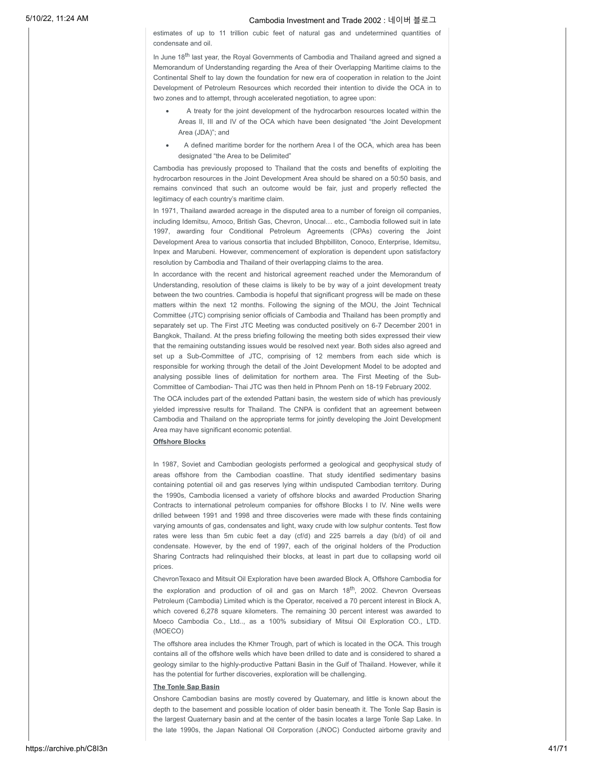estimates of up to 11 trillion cubic feet of natural gas and undetermined quantities of condensate and oil.

In June 18<sup>th</sup> last year, the Royal Governments of Cambodia and Thailand agreed and signed a Memorandum of Understanding regarding the Area of their Overlapping Maritime claims to the Continental Shelf to lay down the foundation for new era of cooperation in relation to the Joint Development of Petroleum Resources which recorded their intention to divide the OCA in to two zones and to attempt, through accelerated negotiation, to agree upon:

- A treaty for the joint development of the hydrocarbon resources located within the Areas II, III and IV of the OCA which have been designated "the Joint Development Area (JDA)"; and
- A defined maritime border for the northern Area I of the OCA, which area has been designated "the Area to be Delimited"

Cambodia has previously proposed to Thailand that the costs and benefits of exploiting the hydrocarbon resources in the Joint Development Area should be shared on a 50:50 basis, and remains convinced that such an outcome would be fair, just and properly reflected the legitimacy of each country's maritime claim.

In 1971. Thailand awarded acreage in the disputed area to a number of foreign oil companies. including Idemitsu, Amoco, British Gas, Chevron, Unocal… etc., Cambodia followed suit in late 1997, awarding four Conditional Petroleum Agreements (CPAs) covering the Joint Development Area to various consortia that included Bhpbilliton, Conoco, Enterprise, Idemitsu, Inpex and Marubeni. However, commencement of exploration is dependent upon satisfactory resolution by Cambodia and Thailand of their overlapping claims to the area.

In accordance with the recent and historical agreement reached under the Memorandum of Understanding, resolution of these claims is likely to be by way of a joint development treaty between the two countries. Cambodia is hopeful that significant progress will be made on these matters within the next 12 months. Following the signing of the MOU, the Joint Technical Committee (JTC) comprising senior officials of Cambodia and Thailand has been promptly and separately set up. The First JTC Meeting was conducted positively on 6-7 December 2001 in Bangkok, Thailand. At the press briefing following the meeting both sides expressed their view that the remaining outstanding issues would be resolved next year. Both sides also agreed and set up a Sub-Committee of JTC, comprising of 12 members from each side which is responsible for working through the detail of the Joint Development Model to be adopted and analysing possible lines of delimitation for northern area. The First Meeting of the Sub-Committee of Cambodian- Thai JTC was then held in Phnom Penh on 18-19 February 2002.

The OCA includes part of the extended Pattani basin, the western side of which has previously yielded impressive results for Thailand. The CNPA is confident that an agreement between Cambodia and Thailand on the appropriate terms for jointly developing the Joint Development Area may have significant economic potential.

### **Offshore Blocks**

In 1987, Soviet and Cambodian geologists performed a geological and geophysical study of areas offshore from the Cambodian coastline. That study identified sedimentary basins containing potential oil and gas reserves lying within undisputed Cambodian territory. During the 1990s, Cambodia licensed a variety of offshore blocks and awarded Production Sharing Contracts to international petroleum companies for offshore Blocks I to IV. Nine wells were drilled between 1991 and 1998 and three discoveries were made with these finds containing varying amounts of gas, condensates and light, waxy crude with low sulphur contents. Test flow rates were less than 5m cubic feet a day (cf/d) and 225 barrels a day (b/d) of oil and condensate. However, by the end of 1997, each of the original holders of the Production Sharing Contracts had relinquished their blocks, at least in part due to collapsing world oil prices.

ChevronTexaco and Mitsuit Oil Exploration have been awarded Block A, Offshore Cambodia for the exploration and production of oil and gas on March 18 $^{\text{th}}$ , 2002. Chevron Overseas Petroleum (Cambodia) Limited which is the Operator, received a 70 percent interest in Block A, which covered 6,278 square kilometers. The remaining 30 percent interest was awarded to Moeco Cambodia Co., Ltd.., as a 100% subsidiary of Mitsui Oil Exploration CO., LTD. (MOECO)

The offshore area includes the Khmer Trough, part of which is located in the OCA. This trough contains all of the offshore wells which have been drilled to date and is considered to shared a geology similar to the highly-productive Pattani Basin in the Gulf of Thailand. However, while it has the potential for further discoveries, exploration will be challenging.

### **The Tonle Sap Basin**

Onshore Cambodian basins are mostly covered by Quaternary, and little is known about the depth to the basement and possible location of older basin beneath it. The Tonle Sap Basin is the largest Quaternary basin and at the center of the basin locates a large Tonle Sap Lake. In the late 1990s, the Japan National Oil Corporation (JNOC) Conducted airborne gravity and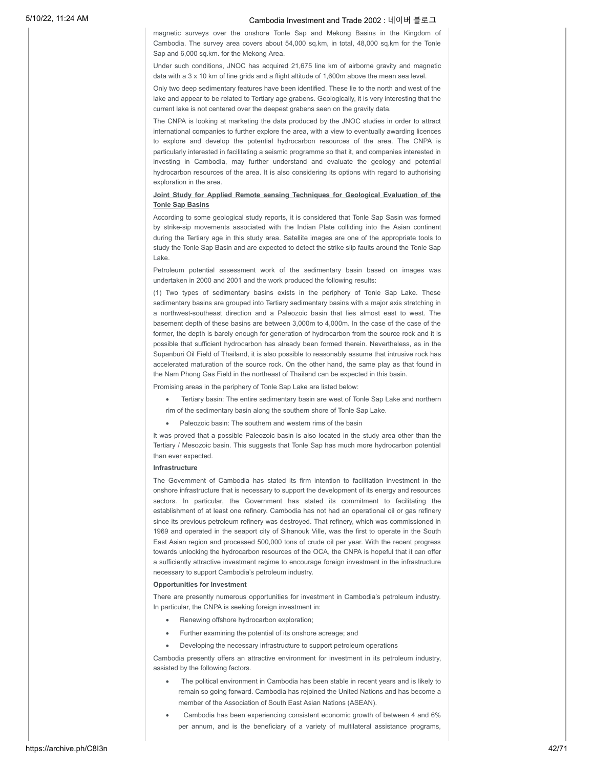magnetic surveys over the onshore Tonle Sap and Mekong Basins in the Kingdom of Cambodia. The survey area covers about 54,000 sq.km, in total, 48,000 sq.km for the Tonle Sap and 6,000 sq.km. for the Mekong Area.

Under such conditions, JNOC has acquired 21,675 line km of airborne gravity and magnetic data with a 3 x 10 km of line grids and a flight altitude of 1,600m above the mean sea level.

Only two deep sedimentary features have been identified. These lie to the north and west of the lake and appear to be related to Tertiary age grabens. Geologically, it is very interesting that the current lake is not centered over the deepest grabens seen on the gravity data.

The CNPA is looking at marketing the data produced by the JNOC studies in order to attract international companies to further explore the area, with a view to eventually awarding licences to explore and develop the potential hydrocarbon resources of the area. The CNPA is particularly interested in facilitating a seismic programme so that it, and companies interested in investing in Cambodia, may further understand and evaluate the geology and potential hydrocarbon resources of the area. It is also considering its options with regard to authorising exploration in the area.

### **Joint Study for Applied Remote sensing Techniques for Geological Evaluation of the Tonle Sap Basins**

According to some geological study reports, it is considered that Tonle Sap Sasin was formed by strike-sip movements associated with the Indian Plate colliding into the Asian continent during the Tertiary age in this study area. Satellite images are one of the appropriate tools to study the Tonle Sap Basin and are expected to detect the strike slip faults around the Tonle Sap Lake.

Petroleum potential assessment work of the sedimentary basin based on images was undertaken in 2000 and 2001 and the work produced the following results:

(1) Two types of sedimentary basins exists in the periphery of Tonle Sap Lake. These sedimentary basins are grouped into Tertiary sedimentary basins with a major axis stretching in a northwest-southeast direction and a Paleozoic basin that lies almost east to west. The basement depth of these basins are between 3,000m to 4,000m. In the case of the case of the former, the depth is barely enough for generation of hydrocarbon from the source rock and it is possible that sufficient hydrocarbon has already been formed therein. Nevertheless, as in the Supanburi Oil Field of Thailand, it is also possible to reasonably assume that intrusive rock has accelerated maturation of the source rock. On the other hand, the same play as that found in the Nam Phong Gas Field in the northeast of Thailand can be expected in this basin.

Promising areas in the periphery of Tonle Sap Lake are listed below:

- Tertiary basin: The entire sedimentary basin are west of Tonle Sap Lake and northern rim of the sedimentary basin along the southern shore of Tonle Sap Lake.
- · Paleozoic basin: The southern and western rims of the basin

It was proved that a possible Paleozoic basin is also located in the study area other than the Tertiary / Mesozoic basin. This suggests that Tonle Sap has much more hydrocarbon potential than ever expected.

### **Infrastructure**

The Government of Cambodia has stated its firm intention to facilitation investment in the onshore infrastructure that is necessary to support the development of its energy and resources sectors. In particular, the Government has stated its commitment to facilitating the establishment of at least one refinery. Cambodia has not had an operational oil or gas refinery since its previous petroleum refinery was destroyed. That refinery, which was commissioned in 1969 and operated in the seaport city of Sihanouk Ville, was the first to operate in the South East Asian region and processed 500,000 tons of crude oil per year. With the recent progress towards unlocking the hydrocarbon resources of the OCA, the CNPA is hopeful that it can offer a sufficiently attractive investment regime to encourage foreign investment in the infrastructure necessary to support Cambodia's petroleum industry.

### **Opportunities for Investment**

There are presently numerous opportunities for investment in Cambodia's petroleum industry. In particular, the CNPA is seeking foreign investment in:

- Renewing offshore hydrocarbon exploration;
- · Further examining the potential of its onshore acreage; and
- Developing the necessary infrastructure to support petroleum operations

Cambodia presently offers an attractive environment for investment in its petroleum industry, assisted by the following factors.

- The political environment in Cambodia has been stable in recent years and is likely to remain so going forward. Cambodia has rejoined the United Nations and has become a member of the Association of South East Asian Nations (ASEAN).
- · Cambodia has been experiencing consistent economic growth of between 4 and 6% per annum, and is the beneficiary of a variety of multilateral assistance programs,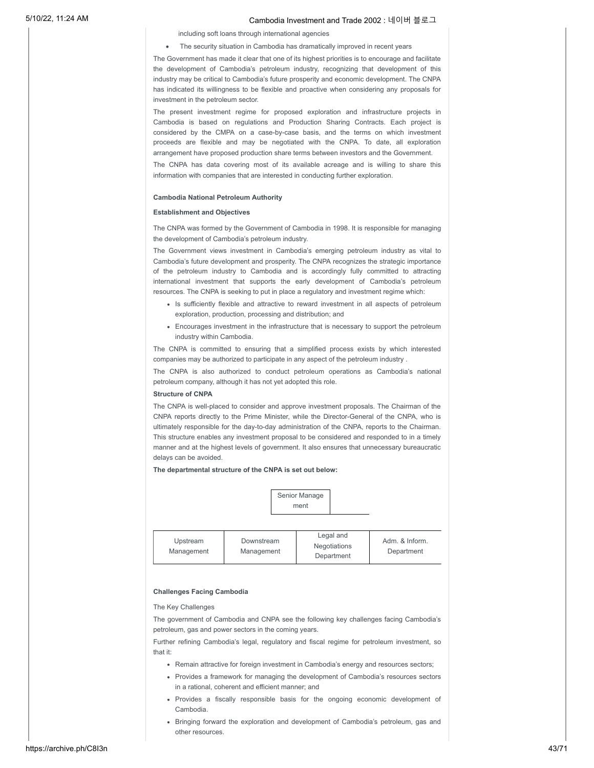including soft loans through international agencies

### The security situation in Cambodia has dramatically improved in recent years

The Government has made it clear that one of its highest priorities is to encourage and facilitate the development of Cambodia's petroleum industry, recognizing that development of this industry may be critical to Cambodia's future prosperity and economic development. The CNPA has indicated its willingness to be flexible and proactive when considering any proposals for investment in the petroleum sector.

The present investment regime for proposed exploration and infrastructure projects in Cambodia is based on regulations and Production Sharing Contracts. Each project is considered by the CMPA on a case-by-case basis, and the terms on which investment proceeds are flexible and may be negotiated with the CNPA. To date, all exploration arrangement have proposed production share terms between investors and the Government.

The CNPA has data covering most of its available acreage and is willing to share this information with companies that are interested in conducting further exploration.

### **Cambodia National Petroleum Authority**

### **Establishment and Objectives**

The CNPA was formed by the Government of Cambodia in 1998. It is responsible for managing the development of Cambodia's petroleum industry.

The Government views investment in Cambodia's emerging petroleum industry as vital to Cambodia's future development and prosperity. The CNPA recognizes the strategic importance of the petroleum industry to Cambodia and is accordingly fully committed to attracting international investment that supports the early development of Cambodia's petroleum resources. The CNPA is seeking to put in place a regulatory and investment regime which:

- Is sufficiently flexible and attractive to reward investment in all aspects of petroleum exploration, production, processing and distribution; and
- Encourages investment in the infrastructure that is necessary to support the petroleum industry within Cambodia.

The CNPA is committed to ensuring that a simplified process exists by which interested companies may be authorized to participate in any aspect of the petroleum industry .

The CNPA is also authorized to conduct petroleum operations as Cambodia's national petroleum company, although it has not yet adopted this role.

### **Structure of CNPA**

The CNPA is well-placed to consider and approve investment proposals. The Chairman of the CNPA reports directly to the Prime Minister, while the Director-General of the CNPA, who is ultimately responsible for the day-to-day administration of the CNPA, reports to the Chairman. This structure enables any investment proposal to be considered and responded to in a timely manner and at the highest levels of government. It also ensures that unnecessary bureaucratic delays can be avoided.

**The departmental structure of the CNPA is set out below:**

|                        |                          | Senior Manage<br>ment                   |                              |
|------------------------|--------------------------|-----------------------------------------|------------------------------|
| Upstream<br>Management | Downstream<br>Management | Legal and<br>Negotiations<br>Department | Adm. & Inform.<br>Department |

#### **Challenges Facing Cambodia**

### The Key Challenges

The government of Cambodia and CNPA see the following key challenges facing Cambodia's petroleum, gas and power sectors in the coming years.

Further refining Cambodia's legal, regulatory and fiscal regime for petroleum investment, so that it:

- Remain attractive for foreign investment in Cambodia's energy and resources sectors;
- Provides a framework for managing the development of Cambodia's resources sectors in a rational, coherent and efficient manner; and
- Provides a fiscally responsible basis for the ongoing economic development of Cambodia.
- Bringing forward the exploration and development of Cambodia's petroleum, gas and other resources.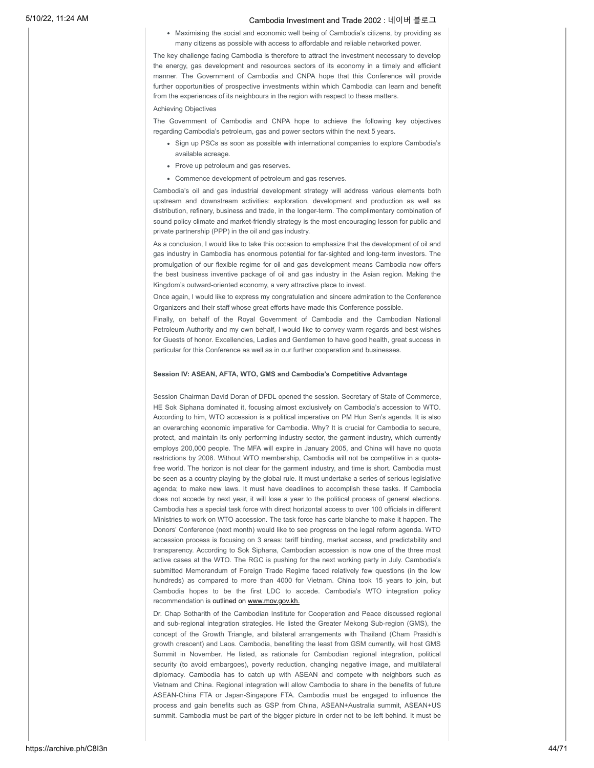Maximising the social and economic well being of Cambodia's citizens, by providing as many citizens as possible with access to affordable and reliable networked power.

The key challenge facing Cambodia is therefore to attract the investment necessary to develop the energy, gas development and resources sectors of its economy in a timely and efficient manner. The Government of Cambodia and CNPA hope that this Conference will provide further opportunities of prospective investments within which Cambodia can learn and benefit from the experiences of its neighbours in the region with respect to these matters.

Achieving Objectives

The Government of Cambodia and CNPA hope to achieve the following key objectives regarding Cambodia's petroleum, gas and power sectors within the next 5 years.

- Sign up PSCs as soon as possible with international companies to explore Cambodia's available acreage.
- Prove up petroleum and gas reserves.
- Commence development of petroleum and gas reserves.

Cambodia's oil and gas industrial development strategy will address various elements both upstream and downstream activities: exploration, development and production as well as distribution, refinery, business and trade, in the longer-term. The complimentary combination of sound policy climate and market-friendly strategy is the most encouraging lesson for public and private partnership (PPP) in the oil and gas industry.

As a conclusion, I would like to take this occasion to emphasize that the development of oil and gas industry in Cambodia has enormous potential for far-sighted and long-term investors. The promulgation of our flexible regime for oil and gas development means Cambodia now offers the best business inventive package of oil and gas industry in the Asian region. Making the Kingdom's outward-oriented economy, a very attractive place to invest.

Once again, I would like to express my congratulation and sincere admiration to the Conference Organizers and their staff whose great efforts have made this Conference possible.

Finally, on behalf of the Royal Government of Cambodia and the Cambodian National Petroleum Authority and my own behalf, I would like to convey warm regards and best wishes for Guests of honor. Excellencies, Ladies and Gentlemen to have good health, great success in particular for this Conference as well as in our further cooperation and businesses.

### **Session IV: ASEAN, AFTA, WTO, GMS and Cambodia's Competitive Advantage**

Session Chairman David Doran of DFDL opened the session. Secretary of State of Commerce, HE Sok Siphana dominated it, focusing almost exclusively on Cambodia's accession to WTO. According to him, WTO accession is a political imperative on PM Hun Sen's agenda. It is also an overarching economic imperative for Cambodia. Why? It is crucial for Cambodia to secure, protect, and maintain its only performing industry sector, the garment industry, which currently employs 200,000 people. The MFA will expire in January 2005, and China will have no quota restrictions by 2008. Without WTO membership, Cambodia will not be competitive in a quotafree world. The horizon is not clear for the garment industry, and time is short. Cambodia must be seen as a country playing by the global rule. It must undertake a series of serious legislative agenda; to make new laws. It must have deadlines to accomplish these tasks. If Cambodia does not accede by next year, it will lose a year to the political process of general elections. Cambodia has a special task force with direct horizontal access to over 100 officials in different Ministries to work on WTO accession. The task force has carte blanche to make it happen. The Donors' Conference (next month) would like to see progress on the legal reform agenda. WTO accession process is focusing on 3 areas: tariff binding, market access, and predictability and transparency. According to Sok Siphana, Cambodian accession is now one of the three most active cases at the WTO. The RGC is pushing for the next working party in July. Cambodia's submitted Memorandum of Foreign Trade Regime faced relatively few questions (in the low hundreds) as compared to more than 4000 for Vietnam. China took 15 years to join, but Cambodia hopes to be the first LDC to accede. Cambodia's WTO integration policy recommendation is outlined on www.mov.gov.kh.

Dr. Chap Sotharith of the Cambodian Institute for Cooperation and Peace discussed regional and sub-regional integration strategies. He listed the Greater Mekong Sub-region (GMS), the concept of the Growth Triangle, and bilateral arrangements with Thailand (Cham Prasidh's growth crescent) and Laos. Cambodia, benefiting the least from GSM currently, will host GMS Summit in November. He listed, as rationale for Cambodian regional integration, political security (to avoid embargoes), poverty reduction, changing negative image, and multilateral diplomacy. Cambodia has to catch up with ASEAN and compete with neighbors such as Vietnam and China. Regional integration will allow Cambodia to share in the benefits of future ASEAN-China FTA or Japan-Singapore FTA. Cambodia must be engaged to influence the process and gain benefits such as GSP from China, ASEAN+Australia summit, ASEAN+US summit. Cambodia must be part of the bigger picture in order not to be left behind. It must be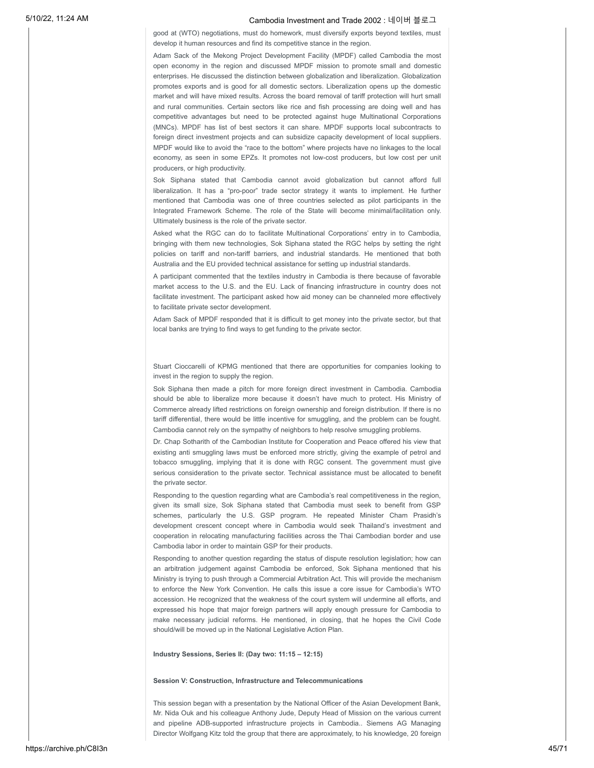good at (WTO) negotiations, must do homework, must diversify exports beyond textiles, must develop it human resources and find its competitive stance in the region.

Adam Sack of the Mekong Project Development Facility (MPDF) called Cambodia the most open economy in the region and discussed MPDF mission to promote small and domestic enterprises. He discussed the distinction between globalization and liberalization. Globalization promotes exports and is good for all domestic sectors. Liberalization opens up the domestic market and will have mixed results. Across the board removal of tariff protection will hurt small and rural communities. Certain sectors like rice and fish processing are doing well and has competitive advantages but need to be protected against huge Multinational Corporations (MNCs). MPDF has list of best sectors it can share. MPDF supports local subcontracts to foreign direct investment projects and can subsidize capacity development of local suppliers. MPDF would like to avoid the "race to the bottom" where projects have no linkages to the local economy, as seen in some EPZs. It promotes not low-cost producers, but low cost per unit producers, or high productivity.

Sok Siphana stated that Cambodia cannot avoid globalization but cannot afford full liberalization. It has a "pro-poor" trade sector strategy it wants to implement. He further mentioned that Cambodia was one of three countries selected as pilot participants in the Integrated Framework Scheme. The role of the State will become minimal/facilitation only. Ultimately business is the role of the private sector.

Asked what the RGC can do to facilitate Multinational Corporations' entry in to Cambodia, bringing with them new technologies, Sok Siphana stated the RGC helps by setting the right policies on tariff and non-tariff barriers, and industrial standards. He mentioned that both Australia and the EU provided technical assistance for setting up industrial standards.

A participant commented that the textiles industry in Cambodia is there because of favorable market access to the U.S. and the EU. Lack of financing infrastructure in country does not facilitate investment. The participant asked how aid money can be channeled more effectively to facilitate private sector development.

Adam Sack of MPDF responded that it is difficult to get money into the private sector, but that local banks are trying to find ways to get funding to the private sector.

Stuart Cioccarelli of KPMG mentioned that there are opportunities for companies looking to invest in the region to supply the region.

Sok Siphana then made a pitch for more foreign direct investment in Cambodia. Cambodia should be able to liberalize more because it doesn't have much to protect. His Ministry of Commerce already lifted restrictions on foreign ownership and foreign distribution. If there is no tariff differential, there would be little incentive for smuggling, and the problem can be fought. Cambodia cannot rely on the sympathy of neighbors to help resolve smuggling problems.

Dr. Chap Sotharith of the Cambodian Institute for Cooperation and Peace offered his view that existing anti smuggling laws must be enforced more strictly, giving the example of petrol and tobacco smuggling, implying that it is done with RGC consent. The government must give serious consideration to the private sector. Technical assistance must be allocated to benefit the private sector.

Responding to the question regarding what are Cambodia's real competitiveness in the region, given its small size, Sok Siphana stated that Cambodia must seek to benefit from GSP schemes, particularly the U.S. GSP program. He repeated Minister Cham Prasidh's development crescent concept where in Cambodia would seek Thailand's investment and cooperation in relocating manufacturing facilities across the Thai Cambodian border and use Cambodia labor in order to maintain GSP for their products.

Responding to another question regarding the status of dispute resolution legislation; how can an arbitration judgement against Cambodia be enforced, Sok Siphana mentioned that his Ministry is trying to push through a Commercial Arbitration Act. This will provide the mechanism to enforce the New York Convention. He calls this issue a core issue for Cambodia's WTO accession. He recognized that the weakness of the court system will undermine all efforts, and expressed his hope that major foreign partners will apply enough pressure for Cambodia to make necessary judicial reforms. He mentioned, in closing, that he hopes the Civil Code should/will be moved up in the National Legislative Action Plan.

**Industry Sessions, Series II: (Day two: 11:15 – 12:15)**

#### **Session V: Construction, Infrastructure and Telecommunications**

This session began with a presentation by the National Officer of the Asian Development Bank, Mr. Nida Ouk and his colleague Anthony Jude, Deputy Head of Mission on the various current and pipeline ADB-supported infrastructure projects in Cambodia.. Siemens AG Managing Director Wolfgang Kitz told the group that there are approximately, to his knowledge, 20 foreign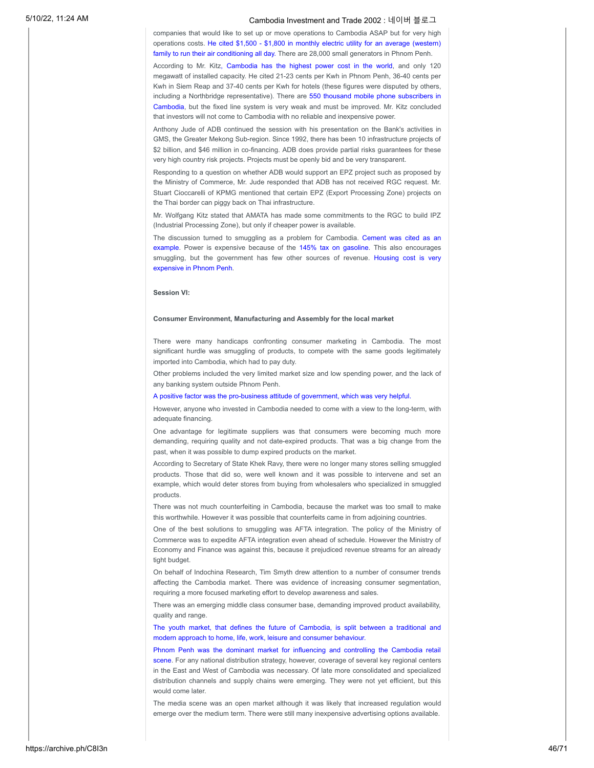companies that would like to set up or move operations to Cambodia ASAP but for very high operations costs. He cited \$1,500 - \$1,800 in monthly electric utility for an average (western) family to run their air conditioning all day. There are 28,000 small generators in Phnom Penh.

According to Mr. Kitz, Cambodia has the highest power cost in the world, and only 120 megawatt of installed capacity. He cited 21-23 cents per Kwh in Phnom Penh, 36-40 cents per Kwh in Siem Reap and 37-40 cents per Kwh for hotels (these figures were disputed by others, including a Northbridge representative). There are 550 thousand mobile phone subscribers in Cambodia, but the fixed line system is very weak and must be improved. Mr. Kitz concluded that investors will not come to Cambodia with no reliable and inexpensive power.

Anthony Jude of ADB continued the session with his presentation on the Bank's activities in GMS, the Greater Mekong Sub-region. Since 1992, there has been 10 infrastructure projects of \$2 billion, and \$46 million in co-financing. ADB does provide partial risks guarantees for these very high country risk projects. Projects must be openly bid and be very transparent.

Responding to a question on whether ADB would support an EPZ project such as proposed by the Ministry of Commerce, Mr. Jude responded that ADB has not received RGC request. Mr. Stuart Cioccarelli of KPMG mentioned that certain EPZ (Export Processing Zone) projects on the Thai border can piggy back on Thai infrastructure.

Mr. Wolfgang Kitz stated that AMATA has made some commitments to the RGC to build IPZ (Industrial Processing Zone), but only if cheaper power is available.

The discussion turned to smuggling as a problem for Cambodia. Cement was cited as an example. Power is expensive because of the 145% tax on gasoline. This also encourages smuggling, but the government has few other sources of revenue. Housing cost is very expensive in Phnom Penh.

### **Session VI:**

#### **Consumer Environment, Manufacturing and Assembly for the local market**

There were many handicaps confronting consumer marketing in Cambodia. The most significant hurdle was smuggling of products, to compete with the same goods legitimately imported into Cambodia, which had to pay duty.

Other problems included the very limited market size and low spending power, and the lack of any banking system outside Phnom Penh.

#### A positive factor was the pro-business attitude of government, which was very helpful.

However, anyone who invested in Cambodia needed to come with a view to the long-term, with adequate financing.

One advantage for legitimate suppliers was that consumers were becoming much more demanding, requiring quality and not date-expired products. That was a big change from the past, when it was possible to dump expired products on the market.

According to Secretary of State Khek Ravy, there were no longer many stores selling smuggled products. Those that did so, were well known and it was possible to intervene and set an example, which would deter stores from buying from wholesalers who specialized in smuggled products.

There was not much counterfeiting in Cambodia, because the market was too small to make this worthwhile. However it was possible that counterfeits came in from adjoining countries.

One of the best solutions to smuggling was AFTA integration. The policy of the Ministry of Commerce was to expedite AFTA integration even ahead of schedule. However the Ministry of Economy and Finance was against this, because it prejudiced revenue streams for an already tight budget.

On behalf of Indochina Research, Tim Smyth drew attention to a number of consumer trends affecting the Cambodia market. There was evidence of increasing consumer segmentation, requiring a more focused marketing effort to develop awareness and sales.

There was an emerging middle class consumer base, demanding improved product availability, quality and range.

The youth market, that defines the future of Cambodia, is split between a traditional and modern approach to home, life, work, leisure and consumer behaviour.

Phnom Penh was the dominant market for influencing and controlling the Cambodia retail scene. For any national distribution strategy, however, coverage of several key regional centers in the East and West of Cambodia was necessary. Of late more consolidated and specialized distribution channels and supply chains were emerging. They were not yet efficient, but this would come later.

The media scene was an open market although it was likely that increased regulation would emerge over the medium term. There were still many inexpensive advertising options available.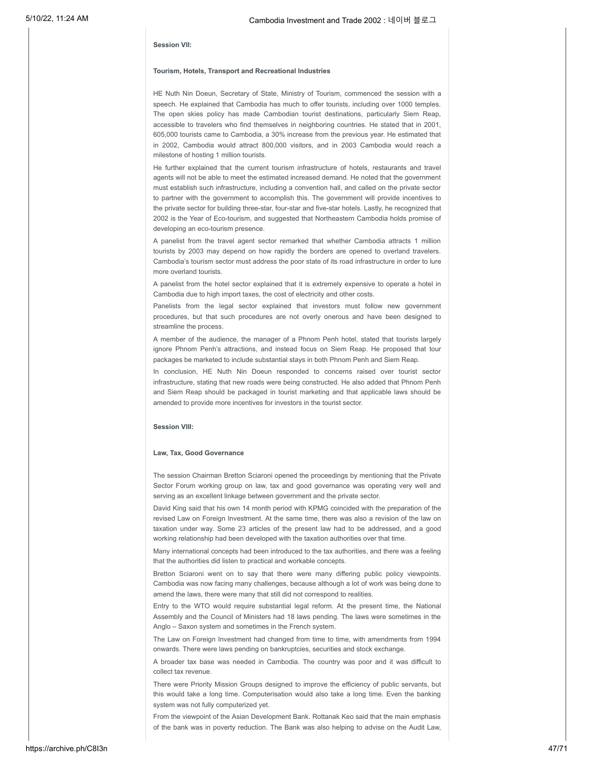### **Session VII:**

### **Tourism, Hotels, Transport and Recreational Industries**

HE Nuth Nin Doeun, Secretary of State, Ministry of Tourism, commenced the session with a speech. He explained that Cambodia has much to offer tourists, including over 1000 temples. The open skies policy has made Cambodian tourist destinations, particularly Siem Reap, accessible to travelers who find themselves in neighboring countries. He stated that in 2001, 605,000 tourists came to Cambodia, a 30% increase from the previous year. He estimated that in 2002, Cambodia would attract 800,000 visitors, and in 2003 Cambodia would reach a milestone of hosting 1 million tourists.

He further explained that the current tourism infrastructure of hotels, restaurants and travel agents will not be able to meet the estimated increased demand. He noted that the government must establish such infrastructure, including a convention hall, and called on the private sector to partner with the government to accomplish this. The government will provide incentives to the private sector for building three-star, four-star and five-star hotels. Lastly, he recognized that 2002 is the Year of Eco-tourism, and suggested that Northeastern Cambodia holds promise of developing an eco-tourism presence.

A panelist from the travel agent sector remarked that whether Cambodia attracts 1 million tourists by 2003 may depend on how rapidly the borders are opened to overland travelers. Cambodia's tourism sector must address the poor state of its road infrastructure in order to lure more overland tourists.

A panelist from the hotel sector explained that it is extremely expensive to operate a hotel in Cambodia due to high import taxes, the cost of electricity and other costs.

Panelists from the legal sector explained that investors must follow new government procedures, but that such procedures are not overly onerous and have been designed to streamline the process.

A member of the audience, the manager of a Phnom Penh hotel, stated that tourists largely ignore Phnom Penh's attractions, and instead focus on Siem Reap. He proposed that tour packages be marketed to include substantial stays in both Phnom Penh and Siem Reap.

In conclusion, HE Nuth Nin Doeun responded to concerns raised over tourist sector infrastructure, stating that new roads were being constructed. He also added that Phnom Penh and Siem Reap should be packaged in tourist marketing and that applicable laws should be amended to provide more incentives for investors in the tourist sector.

### **Session VIII:**

### **Law, Tax, Good Governance**

The session Chairman Bretton Sciaroni opened the proceedings by mentioning that the Private Sector Forum working group on law, tax and good governance was operating very well and serving as an excellent linkage between government and the private sector.

David King said that his own 14 month period with KPMG coincided with the preparation of the revised Law on Foreign Investment. At the same time, there was also a revision of the law on taxation under way. Some 23 articles of the present law had to be addressed, and a good working relationship had been developed with the taxation authorities over that time.

Many international concepts had been introduced to the tax authorities, and there was a feeling that the authorities did listen to practical and workable concepts.

Bretton Sciaroni went on to say that there were many differing public policy viewpoints. Cambodia was now facing many challenges, because although a lot of work was being done to amend the laws, there were many that still did not correspond to realities.

Entry to the WTO would require substantial legal reform. At the present time, the National Assembly and the Council of Ministers had 18 laws pending. The laws were sometimes in the Anglo – Saxon system and sometimes in the French system.

The Law on Foreign Investment had changed from time to time, with amendments from 1994 onwards. There were laws pending on bankruptcies, securities and stock exchange.

A broader tax base was needed in Cambodia. The country was poor and it was difficult to collect tax revenue.

There were Priority Mission Groups designed to improve the efficiency of public servants, but this would take a long time. Computerisation would also take a long time. Even the banking system was not fully computerized yet.

From the viewpoint of the Asian Development Bank. Rottanak Keo said that the main emphasis of the bank was in poverty reduction. The Bank was also helping to advise on the Audit Law,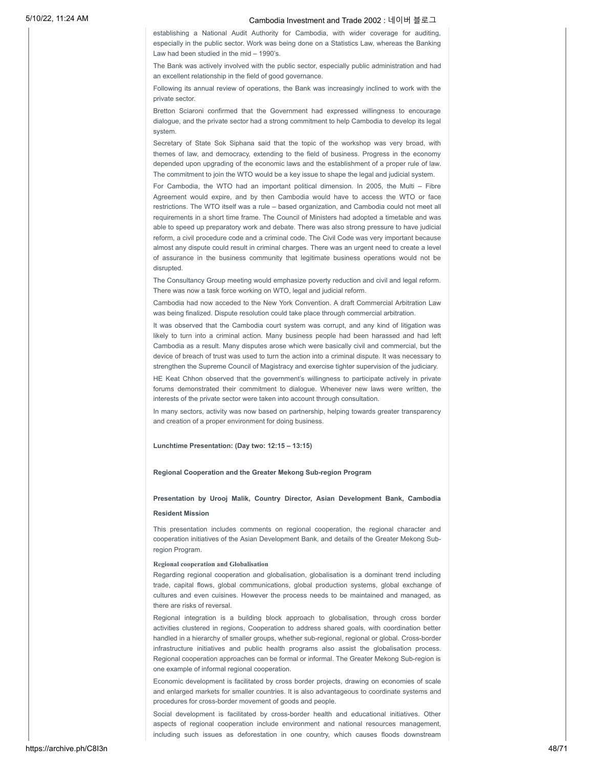establishing a National Audit Authority for Cambodia, with wider coverage for auditing, especially in the public sector. Work was being done on a Statistics Law, whereas the Banking Law had been studied in the mid – 1990's.

The Bank was actively involved with the public sector, especially public administration and had an excellent relationship in the field of good governance.

Following its annual review of operations, the Bank was increasingly inclined to work with the private sector.

Bretton Sciaroni confirmed that the Government had expressed willingness to encourage dialogue, and the private sector had a strong commitment to help Cambodia to develop its legal system.

Secretary of State Sok Siphana said that the topic of the workshop was very broad, with themes of law, and democracy, extending to the field of business. Progress in the economy depended upon upgrading of the economic laws and the establishment of a proper rule of law. The commitment to join the WTO would be a key issue to shape the legal and judicial system.

For Cambodia, the WTO had an important political dimension. In 2005, the Multi – Fibre Agreement would expire, and by then Cambodia would have to access the WTO or face restrictions. The WTO itself was a rule – based organization, and Cambodia could not meet all requirements in a short time frame. The Council of Ministers had adopted a timetable and was able to speed up preparatory work and debate. There was also strong pressure to have judicial reform, a civil procedure code and a criminal code. The Civil Code was very important because almost any dispute could result in criminal charges. There was an urgent need to create a level of assurance in the business community that legitimate business operations would not be disrupted.

The Consultancy Group meeting would emphasize poverty reduction and civil and legal reform. There was now a task force working on WTO, legal and judicial reform.

Cambodia had now acceded to the New York Convention. A draft Commercial Arbitration Law was being finalized. Dispute resolution could take place through commercial arbitration.

It was observed that the Cambodia court system was corrupt, and any kind of litigation was likely to turn into a criminal action. Many business people had been harassed and had left Cambodia as a result. Many disputes arose which were basically civil and commercial, but the device of breach of trust was used to turn the action into a criminal dispute. It was necessary to strengthen the Supreme Council of Magistracy and exercise tighter supervision of the judiciary.

HE Keat Chhon observed that the government's willingness to participate actively in private forums demonstrated their commitment to dialogue. Whenever new laws were written, the interests of the private sector were taken into account through consultation.

In many sectors, activity was now based on partnership, helping towards greater transparency and creation of a proper environment for doing business.

### **Lunchtime Presentation: (Day two: 12:15 – 13:15)**

### **Regional Cooperation and the Greater Mekong Sub-region Program**

### **Presentation by Urooj Malik, Country Director, Asian Development Bank, Cambodia**

#### **Resident Mission**

This presentation includes comments on regional cooperation, the regional character and cooperation initiatives of the Asian Development Bank, and details of the Greater Mekong Subregion Program.

### **Regional cooperation and Globalisation**

Regarding regional cooperation and globalisation, globalisation is a dominant trend including trade, capital flows, global communications, global production systems, global exchange of cultures and even cuisines. However the process needs to be maintained and managed, as there are risks of reversal.

Regional integration is a building block approach to globalisation, through cross border activities clustered in regions, Cooperation to address shared goals, with coordination better handled in a hierarchy of smaller groups, whether sub-regional, regional or global. Cross-border infrastructure initiatives and public health programs also assist the globalisation process. Regional cooperation approaches can be formal or informal. The Greater Mekong Sub-region is one example of informal regional cooperation.

Economic development is facilitated by cross border projects, drawing on economies of scale and enlarged markets for smaller countries. It is also advantageous to coordinate systems and procedures for cross-border movement of goods and people.

Social development is facilitated by cross-border health and educational initiatives. Other aspects of regional cooperation include environment and national resources management, including such issues as deforestation in one country, which causes floods downstream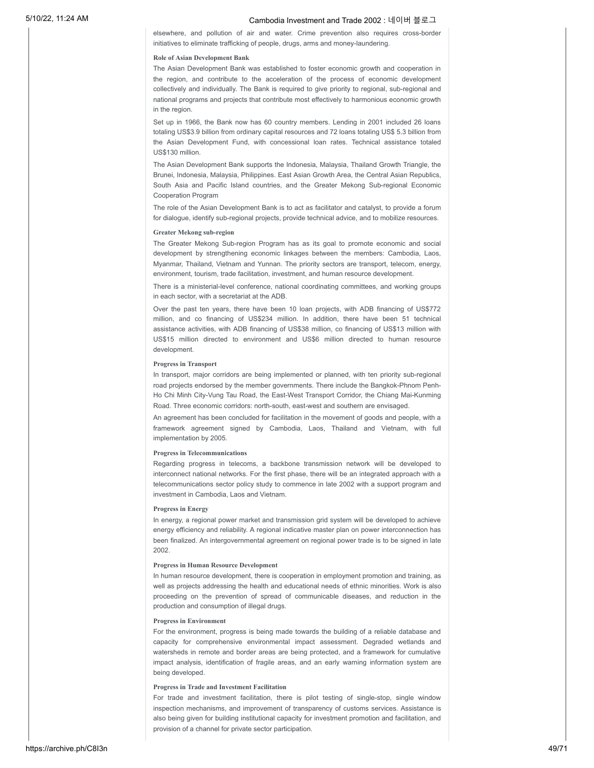elsewhere, and pollution of air and water. Crime prevention also requires cross-border initiatives to eliminate trafficking of people, drugs, arms and money-laundering.

### **Role of Asian Development Bank**

The Asian Development Bank was established to foster economic growth and cooperation in the region, and contribute to the acceleration of the process of economic development collectively and individually. The Bank is required to give priority to regional, sub-regional and national programs and projects that contribute most effectively to harmonious economic growth in the region.

Set up in 1966, the Bank now has 60 country members. Lending in 2001 included 26 loans totaling US\$3.9 billion from ordinary capital resources and 72 loans totaling US\$ 5.3 billion from the Asian Development Fund, with concessional loan rates. Technical assistance totaled US\$130 million.

The Asian Development Bank supports the Indonesia, Malaysia, Thailand Growth Triangle, the Brunei, Indonesia, Malaysia, Philippines. East Asian Growth Area, the Central Asian Republics, South Asia and Pacific Island countries, and the Greater Mekong Sub-regional Economic Cooperation Program

The role of the Asian Development Bank is to act as facilitator and catalyst, to provide a forum for dialogue, identify sub-regional projects, provide technical advice, and to mobilize resources.

### **Greater Mekong sub-region**

The Greater Mekong Sub-region Program has as its goal to promote economic and social development by strengthening economic linkages between the members: Cambodia, Laos, Myanmar, Thailand, Vietnam and Yunnan. The priority sectors are transport, telecom, energy, environment, tourism, trade facilitation, investment, and human resource development.

There is a ministerial-level conference, national coordinating committees, and working groups in each sector, with a secretariat at the ADB.

Over the past ten years, there have been 10 loan projects, with ADB financing of US\$772 million, and co financing of US\$234 million. In addition, there have been 51 technical assistance activities, with ADB financing of US\$38 million, co financing of US\$13 million with US\$15 million directed to environment and US\$6 million directed to human resource development.

### **Progress in Transport**

In transport, major corridors are being implemented or planned, with ten priority sub-regional road projects endorsed by the member governments. There include the Bangkok-Phnom Penh-Ho Chi Minh City-Vung Tau Road, the East-West Transport Corridor, the Chiang Mai-Kunming Road. Three economic corridors: north-south, east-west and southern are envisaged.

An agreement has been concluded for facilitation in the movement of goods and people, with a framework agreement signed by Cambodia, Laos, Thailand and Vietnam, with full implementation by 2005.

### **Progress in Telecommunications**

Regarding progress in telecoms, a backbone transmission network will be developed to interconnect national networks. For the first phase, there will be an integrated approach with a telecommunications sector policy study to commence in late 2002 with a support program and investment in Cambodia, Laos and Vietnam.

### **Progress in Energy**

In energy, a regional power market and transmission grid system will be developed to achieve energy efficiency and reliability. A regional indicative master plan on power interconnection has been finalized. An intergovernmental agreement on regional power trade is to be signed in late 2002.

### **Progress in Human Resource Development**

In human resource development, there is cooperation in employment promotion and training, as well as projects addressing the health and educational needs of ethnic minorities. Work is also proceeding on the prevention of spread of communicable diseases, and reduction in the production and consumption of illegal drugs.

#### **Progress in Environment**

For the environment, progress is being made towards the building of a reliable database and capacity for comprehensive environmental impact assessment. Degraded wetlands and watersheds in remote and border areas are being protected, and a framework for cumulative impact analysis, identification of fragile areas, and an early warning information system are being developed.

### **Progress in Trade and Investment Facilitation**

For trade and investment facilitation, there is pilot testing of single-stop, single window inspection mechanisms, and improvement of transparency of customs services. Assistance is also being given for building institutional capacity for investment promotion and facilitation, and provision of a channel for private sector participation.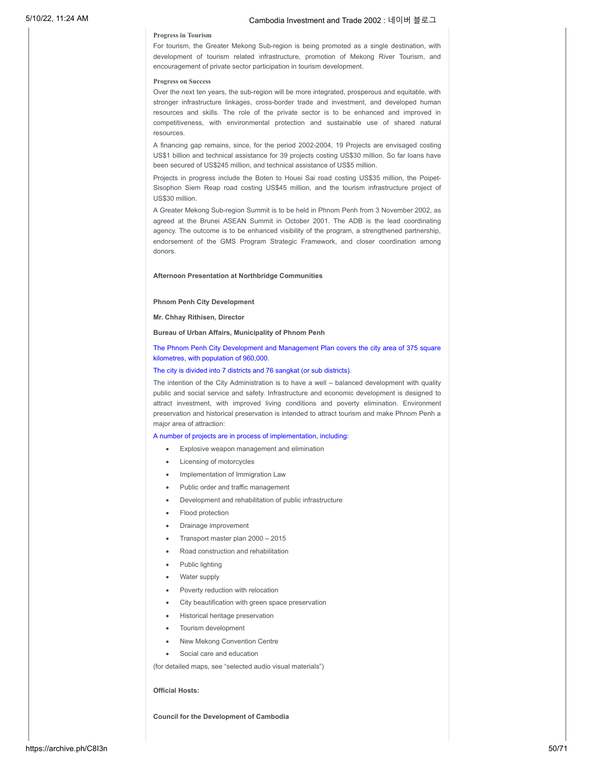### **Progress in Tourism**

For tourism, the Greater Mekong Sub-region is being promoted as a single destination, with development of tourism related infrastructure, promotion of Mekong River Tourism, and encouragement of private sector participation in tourism development.

### **Progress on Success**

Over the next ten years, the sub-region will be more integrated, prosperous and equitable, with stronger infrastructure linkages, cross-border trade and investment, and developed human resources and skills. The role of the private sector is to be enhanced and improved in competitiveness, with environmental protection and sustainable use of shared natural resources.

A financing gap remains, since, for the period 2002-2004, 19 Projects are envisaged costing US\$1 billion and technical assistance for 39 projects costing US\$30 million. So far loans have been secured of US\$245 million, and technical assistance of US\$5 million.

Projects in progress include the Boten to Houei Sai road costing US\$35 million, the Poipet-Sisophon Siem Reap road costing US\$45 million, and the tourism infrastructure project of US\$30 million.

A Greater Mekong Sub-region Summit is to be held in Phnom Penh from 3 November 2002, as agreed at the Brunei ASEAN Summit in October 2001. The ADB is the lead coordinating agency. The outcome is to be enhanced visibility of the program, a strengthened partnership, endorsement of the GMS Program Strategic Framework, and closer coordination among donors.

### **Afternoon Presentation at Northbridge Communities**

#### **Phnom Penh City Development**

**Mr. Chhay Rithisen, Director**

### **Bureau of Urban Affairs, Municipality of Phnom Penh**

### The Phnom Penh City Development and Management Plan covers the city area of 375 square kilometres, with population of 960,000.

#### The city is divided into 7 districts and 76 sangkat (or sub districts).

The intention of the City Administration is to have a well – balanced development with quality public and social service and safety. Infrastructure and economic development is designed to attract investment, with improved living conditions and poverty elimination. Environment preservation and historical preservation is intended to attract tourism and make Phnom Penh a major area of attraction:

### A number of projects are in process of implementation, including:

- Explosive weapon management and elimination
- Licensing of motorcycles
- · Implementation of Immigration Law
- Public order and traffic management
- Development and rehabilitation of public infrastructure
- Flood protection
- · Drainage improvement
- · Transport master plan 2000 2015
- · Road construction and rehabilitation
- Public lighting
- Water supply
- Poverty reduction with relocation
- City beautification with green space preservation
- Historical heritage preservation
- Tourism development
- New Mekong Convention Centre
- Social care and education

(for detailed maps, see "selected audio visual materials")

#### **Official Hosts:**

**Council for the Development of Cambodia**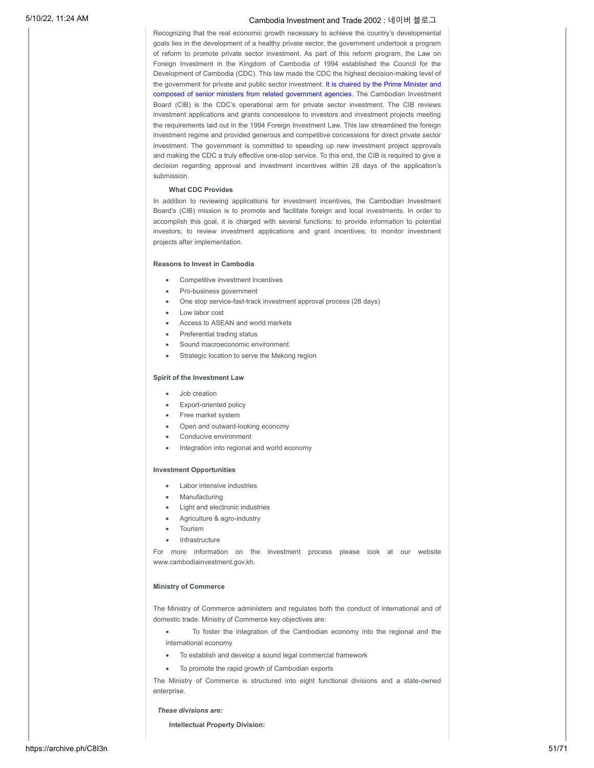Recognizing that the real economic growth necessary to achieve the country's developmental goals lies in the development of a healthy private sector, the government undertook a program of reform to promote private sector investment. As part of this reform program, the Law on Foreign Investment in the Kingdom of Cambodia of 1994 established the Council for the Development of Cambodia (CDC). This law made the CDC the highest decision-making level of the government for private and public sector investment. It is chaired by the Prime Minister and composed of senior ministers from related government agencies. The Cambodian Investment Board (CIB) is the CDC's operational arm for private sector investment. The CIB reviews investment applications and grants concessions to investors and investment projects meeting the requirements laid out in the 1994 Foreign Investment Law. This law streamlined the foreign investment regime and provided generous and competitive concessions for direct private sector investment. The government is committed to speeding up new investment project approvals and making the CDC a truly effective one-stop service. To this end, the CIB is required to give a decision regarding approval and investment incentives within 28 days of the application's submission.

### **What CDC Provides**

In addition to reviewing applications for investment incentives, the Cambodian Investment Board's (CIB) mission is to promote and facilitate foreign and local investments. In order to accomplish this goal, it is charged with several functions: to provide information to potential investors; to review investment applications and grant incentives; to monitor investment projects after implementation.

### **Reasons to Invest in Cambodia**

- Competitive investment incentives
- Pro-business government
- · One stop service-fast-track investment approval process (28 days)
- · Low labor cost
- Access to ASEAN and world markets
- Preferential trading status
- Sound macroeconomic environment
- Strategic location to serve the Mekong region

### **Spirit of the Investment Law**

- · Job creation
- Export-oriented policy
- Free market system
- Open and outward-looking economy
- Conducive environment
- Integration into regional and world economy

### **Investment Opportunities**

- · Labor intensive industries
- **Manufacturing**
- Light and electronic industries
- Agriculture & agro-industry
- · Tourism
- **Infrastructure**

For more information on the investment process please look at our website www.cambodiainvestment.gov.kh.

### **Ministry of Commerce**

The Ministry of Commerce administers and regulates both the conduct of international and of domestic trade. Ministry of Commerce key objectives are:

- · To foster the integration of the Cambodian economy into the regional and the international economy
- To establish and develop a sound legal commercial framework
- · To promote the rapid growth of Cambodian exports

The Ministry of Commerce is structured into eight functional divisions and a state-owned enterprise.

#### *These divisions are:*

**Intellectual Property Division:**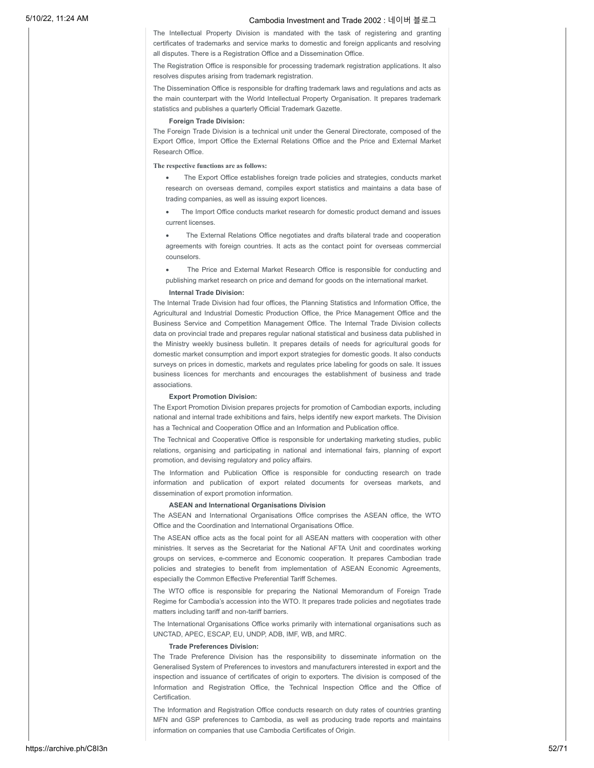The Intellectual Property Division is mandated with the task of registering and granting certificates of trademarks and service marks to domestic and foreign applicants and resolving all disputes. There is a Registration Office and a Dissemination Office.

The Registration Office is responsible for processing trademark registration applications. It also resolves disputes arising from trademark registration.

The Dissemination Office is responsible for drafting trademark laws and regulations and acts as the main counterpart with the World Intellectual Property Organisation. It prepares trademark statistics and publishes a quarterly Official Trademark Gazette.

### **Foreign Trade Division:**

The Foreign Trade Division is a technical unit under the General Directorate, composed of the Export Office, Import Office the External Relations Office and the Price and External Market Research Office.

### **The respective functions are as follows:**

· The Export Office establishes foreign trade policies and strategies, conducts market research on overseas demand, compiles export statistics and maintains a data base of trading companies, as well as issuing export licences.

· The Import Office conducts market research for domestic product demand and issues current licenses.

The External Relations Office negotiates and drafts bilateral trade and cooperation agreements with foreign countries. It acts as the contact point for overseas commercial counselors.

The Price and External Market Research Office is responsible for conducting and publishing market research on price and demand for goods on the international market.

### **Internal Trade Division:**

The Internal Trade Division had four offices, the Planning Statistics and Information Office, the Agricultural and Industrial Domestic Production Office, the Price Management Office and the Business Service and Competition Management Office. The Internal Trade Division collects data on provincial trade and prepares regular national statistical and business data published in the Ministry weekly business bulletin. It prepares details of needs for agricultural goods for domestic market consumption and import export strategies for domestic goods. It also conducts surveys on prices in domestic, markets and regulates price labeling for goods on sale. It issues business licences for merchants and encourages the establishment of business and trade associations.

#### **Export Promotion Division:**

The Export Promotion Division prepares projects for promotion of Cambodian exports, including national and internal trade exhibitions and fairs, helps identify new export markets. The Division has a Technical and Cooperation Office and an Information and Publication office.

The Technical and Cooperative Office is responsible for undertaking marketing studies, public relations, organising and participating in national and international fairs, planning of export promotion, and devising regulatory and policy affairs.

The Information and Publication Office is responsible for conducting research on trade information and publication of export related documents for overseas markets, and dissemination of export promotion information.

### **ASEAN and International Organisations Division**

The ASEAN and International Organisations Office comprises the ASEAN office, the WTO Office and the Coordination and International Organisations Office.

The ASEAN office acts as the focal point for all ASEAN matters with cooperation with other ministries. It serves as the Secretariat for the National AFTA Unit and coordinates working groups on services, e-commerce and Economic cooperation. It prepares Cambodian trade policies and strategies to benefit from implementation of ASEAN Economic Agreements, especially the Common Effective Preferential Tariff Schemes.

The WTO office is responsible for preparing the National Memorandum of Foreign Trade Regime for Cambodia's accession into the WTO. It prepares trade policies and negotiates trade matters including tariff and non-tariff barriers.

The International Organisations Office works primarily with international organisations such as UNCTAD, APEC, ESCAP, EU, UNDP, ADB, IMF, WB, and MRC.

#### **Trade Preferences Division:**

The Trade Preference Division has the responsibility to disseminate information on the Generalised System of Preferences to investors and manufacturers interested in export and the inspection and issuance of certificates of origin to exporters. The division is composed of the Information and Registration Office, the Technical Inspection Office and the Office of **Certification** 

The Information and Registration Office conducts research on duty rates of countries granting MFN and GSP preferences to Cambodia, as well as producing trade reports and maintains information on companies that use Cambodia Certificates of Origin.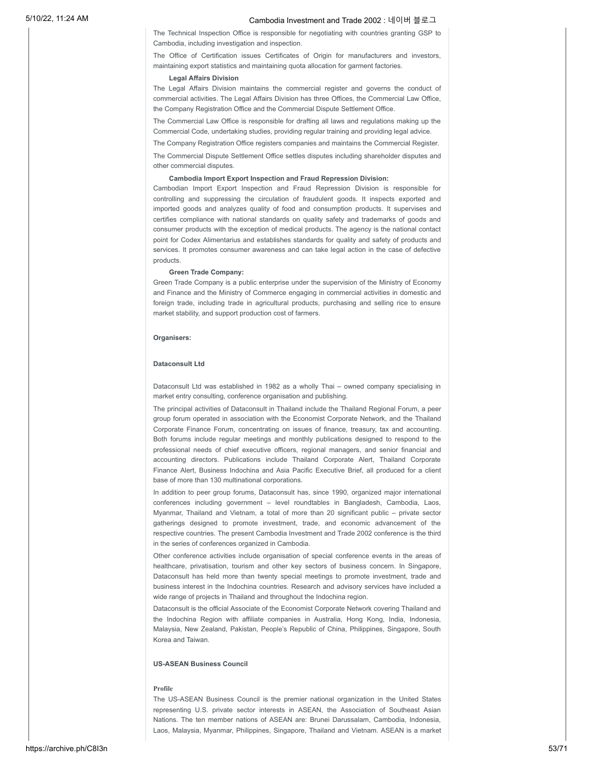The Technical Inspection Office is responsible for negotiating with countries granting GSP to Cambodia, including investigation and inspection.

The Office of Certification issues Certificates of Origin for manufacturers and investors, maintaining export statistics and maintaining quota allocation for garment factories.

### **Legal Affairs Division**

The Legal Affairs Division maintains the commercial register and governs the conduct of commercial activities. The Legal Affairs Division has three Offices, the Commercial Law Office, the Company Registration Office and the Commercial Dispute Settlement Office.

The Commercial Law Office is responsible for drafting all laws and regulations making up the Commercial Code, undertaking studies, providing regular training and providing legal advice.

The Company Registration Office registers companies and maintains the Commercial Register.

The Commercial Dispute Settlement Office settles disputes including shareholder disputes and other commercial disputes.

#### **Cambodia Import Export Inspection and Fraud Repression Division:**

Cambodian Import Export Inspection and Fraud Repression Division is responsible for controlling and suppressing the circulation of fraudulent goods. It inspects exported and imported goods and analyzes quality of food and consumption products. It supervises and certifies compliance with national standards on quality safety and trademarks of goods and consumer products with the exception of medical products. The agency is the national contact point for Codex Alimentarius and establishes standards for quality and safety of products and services. It promotes consumer awareness and can take legal action in the case of defective products.

#### **Green Trade Company:**

Green Trade Company is a public enterprise under the supervision of the Ministry of Economy and Finance and the Ministry of Commerce engaging in commercial activities in domestic and foreign trade, including trade in agricultural products, purchasing and selling rice to ensure market stability, and support production cost of farmers.

#### **Organisers:**

### **Dataconsult Ltd**

Dataconsult Ltd was established in 1982 as a wholly Thai – owned company specialising in market entry consulting, conference organisation and publishing.

The principal activities of Dataconsult in Thailand include the Thailand Regional Forum, a peer group forum operated in association with the Economist Corporate Network, and the Thailand Corporate Finance Forum, concentrating on issues of finance, treasury, tax and accounting. Both forums include regular meetings and monthly publications designed to respond to the professional needs of chief executive officers, regional managers, and senior financial and accounting directors. Publications include Thailand Corporate Alert, Thailand Corporate Finance Alert, Business Indochina and Asia Pacific Executive Brief, all produced for a client base of more than 130 multinational corporations.

In addition to peer group forums, Dataconsult has, since 1990, organized major international conferences including government – level roundtables in Bangladesh, Cambodia, Laos, Myanmar, Thailand and Vietnam, a total of more than 20 significant public – private sector gatherings designed to promote investment, trade, and economic advancement of the respective countries. The present Cambodia Investment and Trade 2002 conference is the third in the series of conferences organized in Cambodia.

Other conference activities include organisation of special conference events in the areas of healthcare, privatisation, tourism and other key sectors of business concern. In Singapore, Dataconsult has held more than twenty special meetings to promote investment, trade and business interest in the Indochina countries. Research and advisory services have included a wide range of projects in Thailand and throughout the Indochina region.

Dataconsult is the official Associate of the Economist Corporate Network covering Thailand and the Indochina Region with affiliate companies in Australia, Hong Kong, India, Indonesia, Malaysia, New Zealand, Pakistan, People's Republic of China, Philippines, Singapore, South Korea and Taiwan.

### **US-ASEAN Business Council**

### **Profile**

The US-ASEAN Business Council is the premier national organization in the United States representing U.S. private sector interests in ASEAN, the Association of Southeast Asian Nations. The ten member nations of ASEAN are: Brunei Darussalam, Cambodia, Indonesia, Laos, Malaysia, Myanmar, Philippines, Singapore, Thailand and Vietnam. ASEAN is a market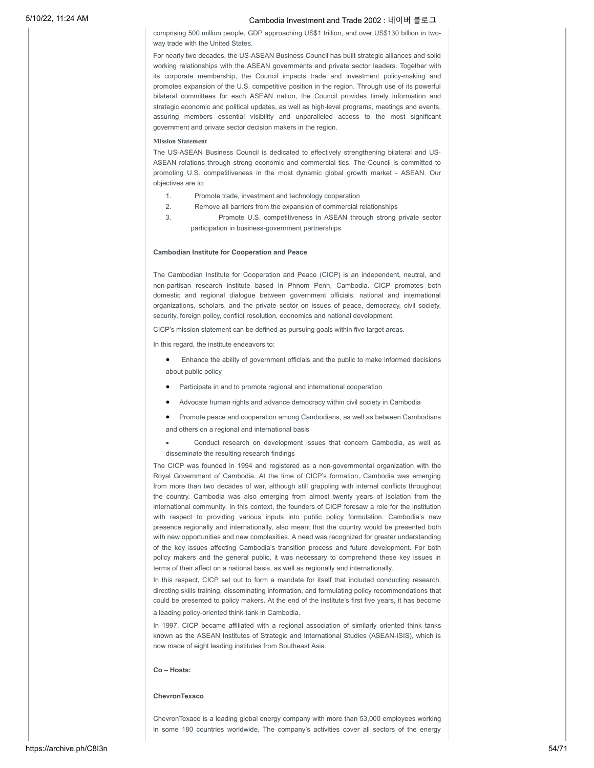comprising 500 million people, GDP approaching US\$1 trillion, and over US\$130 billion in twoway trade with the United States.

For nearly two decades, the US-ASEAN Business Council has built strategic alliances and solid working relationships with the ASEAN governments and private sector leaders. Together with its corporate membership, the Council impacts trade and investment policy-making and promotes expansion of the U.S. competitive position in the region. Through use of its powerful bilateral committees for each ASEAN nation, the Council provides timely information and strategic economic and political updates, as well as high-level programs, meetings and events, assuring members essential visibility and unparalleled access to the most significant government and private sector decision makers in the region.

#### **Mission Statement**

The US-ASEAN Business Council is dedicated to effectively strengthening bilateral and US-ASEAN relations through strong economic and commercial ties. The Council is committed to promoting U.S. competitiveness in the most dynamic global growth market - ASEAN. Our objectives are to:

- 1. Promote trade, investment and technology cooperation
- 2. Remove all barriers from the expansion of commercial relationships
- 3. Promote U.S. competitiveness in ASEAN through strong private sector participation in business-government partnerships

### **Cambodian Institute for Cooperation and Peace**

The Cambodian Institute for Cooperation and Peace (CICP) is an independent, neutral, and non-partisan research institute based in Phnom Penh, Cambodia. CICP promotes both domestic and regional dialogue between government officials, national and international organizations, scholars, and the private sector on issues of peace, democracy, civil society, security, foreign policy, conflict resolution, economics and national development.

CICP's mission statement can be defined as pursuing goals within five target areas.

In this regard, the institute endeavors to:

- Enhance the ability of government officials and the public to make informed decisions about public policy
- · Participate in and to promote regional and international cooperation
- Advocate human rights and advance democracy within civil society in Cambodia
- Promote peace and cooperation among Cambodians, as well as between Cambodians and others on a regional and international basis
- Conduct research on development issues that concern Cambodia, as well as disseminate the resulting research findings

The CICP was founded in 1994 and registered as a non-governmental organization with the Royal Government of Cambodia. At the time of CICP's formation, Cambodia was emerging from more than two decades of war, although still grappling with internal conflicts throughout the country. Cambodia was also emerging from almost twenty years of isolation from the international community. In this context, the founders of CICP foresaw a role for the institution with respect to providing various inputs into public policy formulation. Cambodia's new presence regionally and internationally, also meant that the country would be presented both with new opportunities and new complexities. A need was recognized for greater understanding of the key issues affecting Cambodia's transition process and future development. For both policy makers and the general public, it was necessary to comprehend these key issues in terms of their affect on a national basis, as well as regionally and internationally.

In this respect, CICP set out to form a mandate for itself that included conducting research, directing skills training, disseminating information, and formulating policy recommendations that could be presented to policy makers. At the end of the institute's first five years, it has become

a leading policy-oriented think-tank in Cambodia.

In 1997, CICP became affiliated with a regional association of similarly oriented think tanks known as the ASEAN Institutes of Strategic and International Studies (ASEAN-ISIS), which is now made of eight leading institutes from Southeast Asia.

### **Co – Hosts:**

#### **ChevronTexaco**

ChevronTexaco is a leading global energy company with more than 53,000 employees working in some 180 countries worldwide. The company's activities cover all sectors of the energy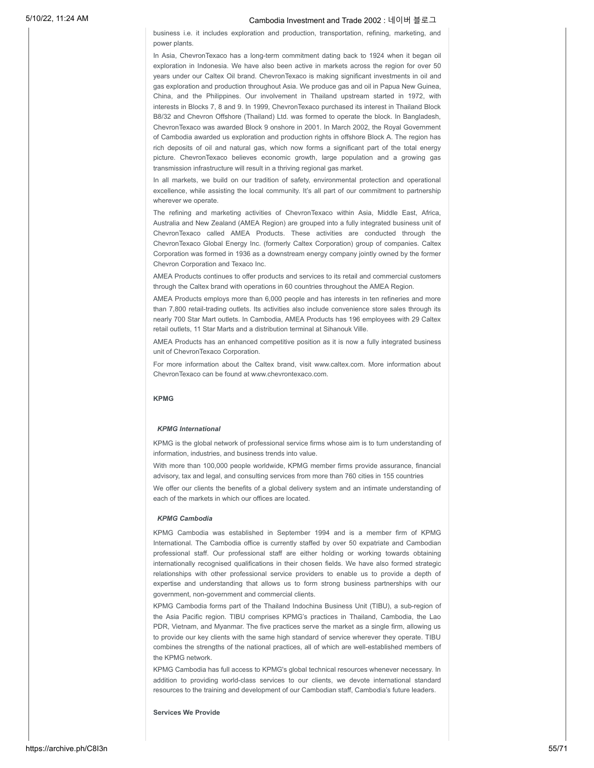business i.e. it includes exploration and production, transportation, refining, marketing, and power plants.

In Asia, ChevronTexaco has a long-term commitment dating back to 1924 when it began oil exploration in Indonesia. We have also been active in markets across the region for over 50 years under our Caltex Oil brand. ChevronTexaco is making significant investments in oil and gas exploration and production throughout Asia. We produce gas and oil in Papua New Guinea, China, and the Philippines. Our involvement in Thailand upstream started in 1972, with interests in Blocks 7, 8 and 9. In 1999, ChevronTexaco purchased its interest in Thailand Block B8/32 and Chevron Offshore (Thailand) Ltd. was formed to operate the block. In Bangladesh, ChevronTexaco was awarded Block 9 onshore in 2001. In March 2002, the Royal Government of Cambodia awarded us exploration and production rights in offshore Block A. The region has rich deposits of oil and natural gas, which now forms a significant part of the total energy picture. ChevronTexaco believes economic growth, large population and a growing gas transmission infrastructure will result in a thriving regional gas market.

In all markets, we build on our tradition of safety, environmental protection and operational excellence, while assisting the local community. It's all part of our commitment to partnership wherever we operate.

The refining and marketing activities of ChevronTexaco within Asia, Middle East, Africa, Australia and New Zealand (AMEA Region) are grouped into a fully integrated business unit of ChevronTexaco called AMEA Products. These activities are conducted through the ChevronTexaco Global Energy Inc. (formerly Caltex Corporation) group of companies. Caltex Corporation was formed in 1936 as a downstream energy company jointly owned by the former Chevron Corporation and Texaco Inc.

AMEA Products continues to offer products and services to its retail and commercial customers through the Caltex brand with operations in 60 countries throughout the AMEA Region.

AMEA Products employs more than 6,000 people and has interests in ten refineries and more than 7,800 retail-trading outlets. Its activities also include convenience store sales through its nearly 700 Star Mart outlets. In Cambodia, AMEA Products has 196 employees with 29 Caltex retail outlets, 11 Star Marts and a distribution terminal at Sihanouk Ville.

AMEA Products has an enhanced competitive position as it is now a fully integrated business unit of ChevronTexaco Corporation.

For more information about the Caltex brand, visit www.caltex.com. More information about ChevronTexaco can be found at www.chevrontexaco.com.

### **KPMG**

#### *KPMG International*

KPMG is the global network of professional service firms whose aim is to turn understanding of information, industries, and business trends into value.

With more than 100,000 people worldwide, KPMG member firms provide assurance, financial advisory, tax and legal, and consulting services from more than 760 cities in 155 countries

We offer our clients the benefits of a global delivery system and an intimate understanding of each of the markets in which our offices are located.

### *KPMG Cambodia*

KPMG Cambodia was established in September 1994 and is a member firm of KPMG International. The Cambodia office is currently staffed by over 50 expatriate and Cambodian professional staff. Our professional staff are either holding or working towards obtaining internationally recognised qualifications in their chosen fields. We have also formed strategic relationships with other professional service providers to enable us to provide a depth of expertise and understanding that allows us to form strong business partnerships with our government, non-government and commercial clients.

KPMG Cambodia forms part of the Thailand Indochina Business Unit (TIBU), a sub-region of the Asia Pacific region. TIBU comprises KPMG's practices in Thailand, Cambodia, the Lao PDR, Vietnam, and Myanmar. The five practices serve the market as a single firm, allowing us to provide our key clients with the same high standard of service wherever they operate. TIBU combines the strengths of the national practices, all of which are well-established members of the KPMG network.

KPMG Cambodia has full access to KPMG's global technical resources whenever necessary. In addition to providing world-class services to our clients, we devote international standard resources to the training and development of our Cambodian staff, Cambodia's future leaders.

**Services We Provide**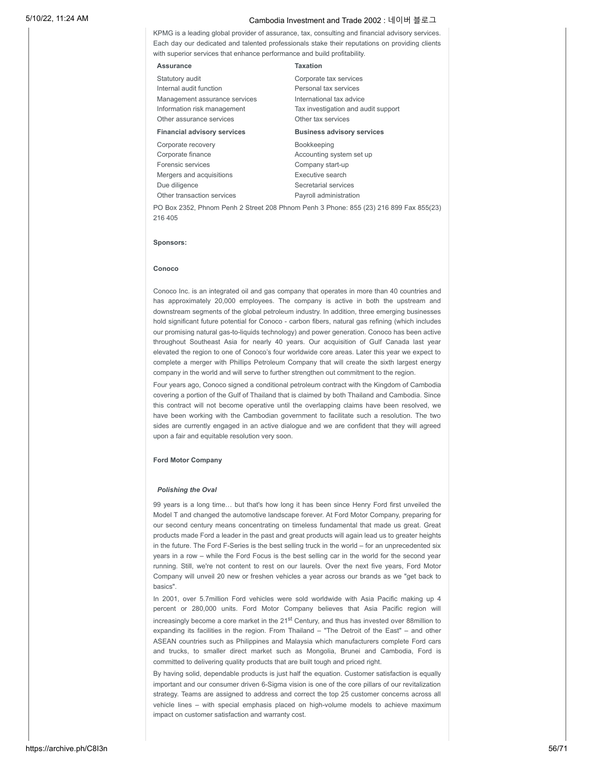KPMG is a leading global provider of assurance, tax, consulting and financial advisory services. Each day our dedicated and talented professionals stake their reputations on providing clients with superior services that enhance performance and build profitability.

#### **Assurance Taxation**

Statutory audit Internal audit function Management assurance services Information risk management Other assurance services

Corporate recovery Corporate finance Forensic services Mergers and acquisitions Due diligence

Other transaction services

## Corporate tax services Personal tax services International tax advice Tax investigation and audit support Other tax services **Financial advisory services Business advisory services**

Bookkeeping Accounting system set up Company start-up Executive search Secretarial services Payroll administration

PO Box 2352, Phnom Penh 2 Street 208 Phnom Penh 3 Phone: 855 (23) 216 899 Fax 855(23) 216 405

#### **Sponsors:**

#### **Conoco**

Conoco Inc. is an integrated oil and gas company that operates in more than 40 countries and has approximately 20,000 employees. The company is active in both the upstream and downstream segments of the global petroleum industry. In addition, three emerging businesses hold significant future potential for Conoco - carbon fibers, natural gas refining (which includes our promising natural gas-to-liquids technology) and power generation. Conoco has been active throughout Southeast Asia for nearly 40 years. Our acquisition of Gulf Canada last year elevated the region to one of Conoco's four worldwide core areas. Later this year we expect to complete a merger with Phillips Petroleum Company that will create the sixth largest energy company in the world and will serve to further strengthen out commitment to the region.

Four years ago, Conoco signed a conditional petroleum contract with the Kingdom of Cambodia covering a portion of the Gulf of Thailand that is claimed by both Thailand and Cambodia. Since this contract will not become operative until the overlapping claims have been resolved, we have been working with the Cambodian government to facilitate such a resolution. The two sides are currently engaged in an active dialogue and we are confident that they will agreed upon a fair and equitable resolution very soon.

### **Ford Motor Company**

### *Polishing the Oval*

99 years is a long time… but that's how long it has been since Henry Ford first unveiled the Model T and changed the automotive landscape forever. At Ford Motor Company, preparing for our second century means concentrating on timeless fundamental that made us great. Great products made Ford a leader in the past and great products will again lead us to greater heights in the future. The Ford F-Series is the best selling truck in the world – for an unprecedented six years in a row – while the Ford Focus is the best selling car in the world for the second year running. Still, we're not content to rest on our laurels. Over the next five years, Ford Motor Company will unveil 20 new or freshen vehicles a year across our brands as we "get back to basics".

In 2001, over 5.7million Ford vehicles were sold worldwide with Asia Pacific making up 4 percent or 280,000 units. Ford Motor Company believes that Asia Pacific region will increasingly become a core market in the 21<sup>st</sup> Century, and thus has invested over 88million to expanding its facilities in the region. From Thailand – "The Detroit of the East" – and other ASEAN countries such as Philippines and Malaysia which manufacturers complete Ford cars and trucks, to smaller direct market such as Mongolia, Brunei and Cambodia, Ford is committed to delivering quality products that are built tough and priced right.

By having solid, dependable products is just half the equation. Customer satisfaction is equally important and our consumer driven 6-Sigma vision is one of the core pillars of our revitalization strategy. Teams are assigned to address and correct the top 25 customer concerns across all vehicle lines – with special emphasis placed on high-volume models to achieve maximum impact on customer satisfaction and warranty cost.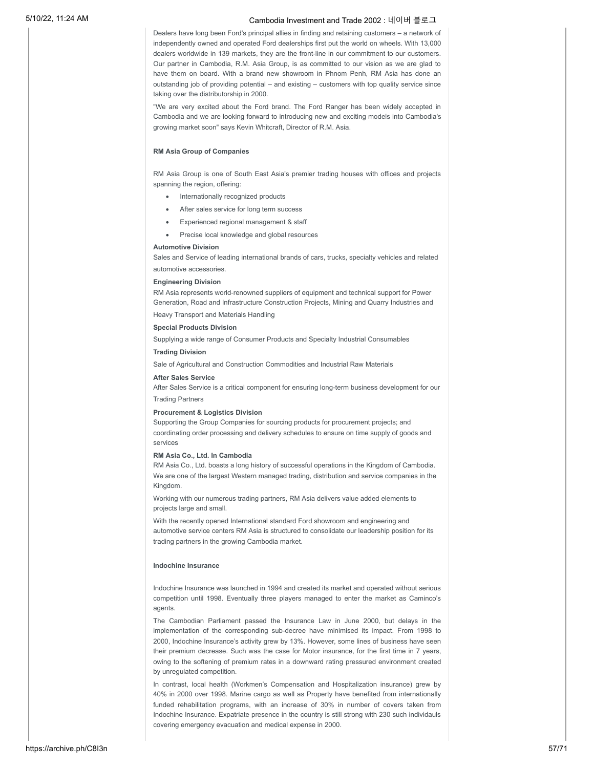Dealers have long been Ford's principal allies in finding and retaining customers – a network of independently owned and operated Ford dealerships first put the world on wheels. With 13,000 dealers worldwide in 139 markets, they are the front-line in our commitment to our customers. Our partner in Cambodia, R.M. Asia Group, is as committed to our vision as we are glad to have them on board. With a brand new showroom in Phnom Penh, RM Asia has done an outstanding job of providing potential – and existing – customers with top quality service since taking over the distributorship in 2000.

"We are very excited about the Ford brand. The Ford Ranger has been widely accepted in Cambodia and we are looking forward to introducing new and exciting models into Cambodia's growing market soon" says Kevin Whitcraft, Director of R.M. Asia.

### **RM Asia Group of Companies**

RM Asia Group is one of South East Asia's premier trading houses with offices and projects spanning the region, offering:

- · Internationally recognized products
- After sales service for long term success
- Experienced regional management & staff
- Precise local knowledge and global resources

### **Automotive Division**

Sales and Service of leading international brands of cars, trucks, specialty vehicles and related automotive accessories.

### **Engineering Division**

RM Asia represents world-renowned suppliers of equipment and technical support for Power Generation, Road and Infrastructure Construction Projects, Mining and Quarry Industries and

Heavy Transport and Materials Handling

### **Special Products Division**

Supplying a wide range of Consumer Products and Specialty Industrial Consumables

### **Trading Division**

Sale of Agricultural and Construction Commodities and Industrial Raw Materials

### **After Sales Service**

After Sales Service is a critical component for ensuring long-term business development for our Trading Partners

#### **Procurement & Logistics Division**

Supporting the Group Companies for sourcing products for procurement projects; and coordinating order processing and delivery schedules to ensure on time supply of goods and services

#### **RM Asia Co., Ltd. In Cambodia**

RM Asia Co., Ltd. boasts a long history of successful operations in the Kingdom of Cambodia. We are one of the largest Western managed trading, distribution and service companies in the Kingdom.

Working with our numerous trading partners, RM Asia delivers value added elements to projects large and small.

With the recently opened International standard Ford showroom and engineering and automotive service centers RM Asia is structured to consolidate our leadership position for its trading partners in the growing Cambodia market.

### **Indochine Insurance**

Indochine Insurance was launched in 1994 and created its market and operated without serious competition until 1998. Eventually three players managed to enter the market as Caminco's agents.

The Cambodian Parliament passed the Insurance Law in June 2000, but delays in the implementation of the corresponding sub-decree have minimised its impact. From 1998 to 2000, Indochine Insurance's activity grew by 13%. However, some lines of business have seen their premium decrease. Such was the case for Motor insurance, for the first time in 7 years, owing to the softening of premium rates in a downward rating pressured environment created by unregulated competition.

In contrast, local health (Workmen's Compensation and Hospitalization insurance) grew by 40% in 2000 over 1998. Marine cargo as well as Property have benefited from internationally funded rehabilitation programs, with an increase of 30% in number of covers taken from Indochine Insurance. Expatriate presence in the country is still strong with 230 such individauls covering emergency evacuation and medical expense in 2000.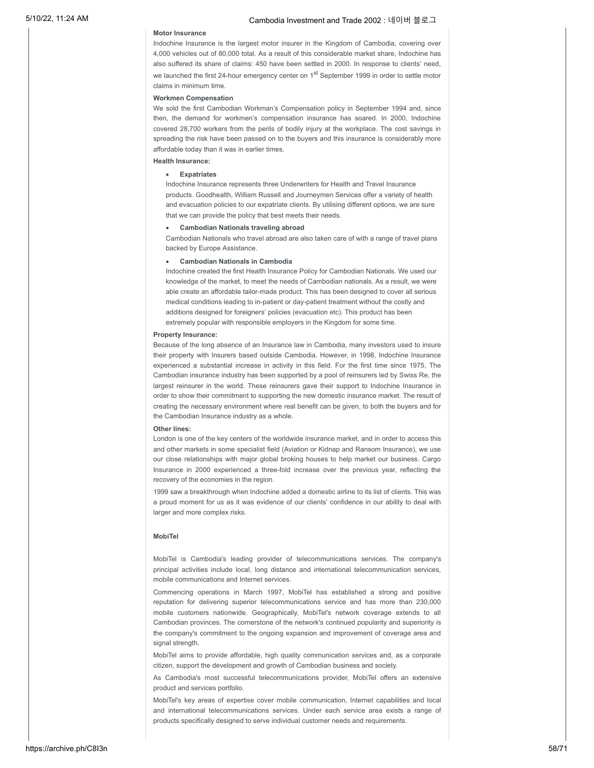### **Motor Insurance**

Indochine Insurance is the largest motor insurer in the Kingdom of Cambodia, covering over 4,000 vehicles out of 80,000 total. As a result of this considerable market share, Indochine has also suffered its share of claims: 450 have been settled in 2000. In response to clients' need, we launched the first 24-hour emergency center on 1<sup>st</sup> September 1999 in order to settle motor claims in minimum time.

#### **Workmen Compensation**

We sold the first Cambodian Workman's Compensation policy in September 1994 and, since then, the demand for workmen's compensation insurance has soared. In 2000, Indochine covered 28,700 workers from the perils of bodily injury at the workplace. The cost savings in spreading the risk have been passed on to the buyers and this insurance is considerably more affordable today than it was in earlier times.

### **Health Insurance:**

### · **Expatriates**

Indochine Insurance represents three Underwriters for Health and Travel Insurance products. Goodhealth, William Russell and Journeymen Services offer a variety of health and evacuation policies to our expatriate clients. By utilising different options, we are sure that we can provide the policy that best meets their needs.

### · **Cambodian Nationals traveling abroad**

Cambodian Nationals who travel abroad are also taken care of with a range of travel plans backed by Europe Assistance.

### · **Cambodian Nationals in Cambodia**

Indochine created the first Health Insurance Policy for Cambodian Nationals. We used our knowledge of the market, to meet the needs of Cambodian nationals. As a result, we were able create an affordable tailor-made product. This has been designed to cover all serious medical conditions leading to in-patient or day-patient treatment without the costly and additions designed for foreigners' policies (evacuation etc). This product has been extremely popular with responsible employers in the Kingdom for some time.

### **Property Insurance:**

Because of the long absence of an Insurance law in Cambodia, many investors used to insure their property with Insurers based outside Cambodia. However, in 1998, Indochine Insurance experienced a substantial increase in activity in this field. For the first time since 1975, The Cambodian insurance industry has been supported by a pool of reinsurers led by Swiss Re, the largest reinsurer in the world. These reinsurers gave their support to Indochine Insurance in order to show their commitment to supporting the new domestic insurance market. The result of creating the necessary environment where real benefit can be given, to both the buyers and for the Cambodian Insurance industry as a whole.

#### **Other lines:**

London is one of the key centers of the worldwide insurance market, and in order to access this and other markets in some specialist field (Aviation or Kidnap and Ransom Insurance), we use our close relationships with major global broking houses to help market our business. Cargo Insurance in 2000 experienced a three-fold increase over the previous year, reflecting the recovery of the economies in the region.

1999 saw a breakthrough when Indochine added a domestic airline to its list of clients. This was a proud moment for us as it was evidence of our clients' confidence in our ability to deal with larger and more complex risks.

### **MobiTel**

MobiTel is Cambodia's leading provider of telecommunications services. The company's principal activities include local, long distance and international telecommunication services, mobile communications and Internet services.

Commencing operations in March 1997, MobiTel has established a strong and positive reputation for delivering superior telecommunications service and has more than 230,000 mobile customers nationwide. Geographically, MobiTel's network coverage extends to all Cambodian provinces. The cornerstone of the network's continued popularity and superiority is the company's commitment to the ongoing expansion and improvement of coverage area and signal strength.

MobiTel aims to provide affordable, high quality communication services and, as a corporate citizen, support the development and growth of Cambodian business and society.

As Cambodia's most successful telecommunications provider, MobiTel offers an extensive product and services portfolio.

MobiTel's key areas of expertise cover mobile communication, Internet capabilities and local and international telecommunications services. Under each service area exists a range of products specifically designed to serve individual customer needs and requirements.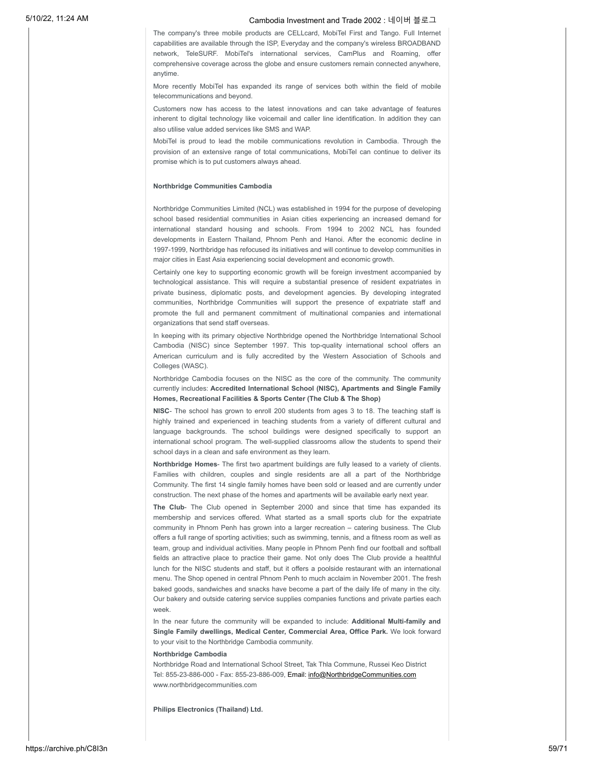The company's three mobile products are CELLcard, MobiTel First and Tango. Full Internet capabilities are available through the ISP, Everyday and the company's wireless BROADBAND network, TeleSURF. MobiTel's international services, CamPlus and Roaming, offer comprehensive coverage across the globe and ensure customers remain connected anywhere, anytime.

More recently MobiTel has expanded its range of services both within the field of mobile telecommunications and beyond.

Customers now has access to the latest innovations and can take advantage of features inherent to digital technology like voicemail and caller line identification. In addition they can also utilise value added services like SMS and WAP.

MobiTel is proud to lead the mobile communications revolution in Cambodia. Through the provision of an extensive range of total communications, MobiTel can continue to deliver its promise which is to put customers always ahead.

### **Northbridge Communities Cambodia**

Northbridge Communities Limited (NCL) was established in 1994 for the purpose of developing school based residential communities in Asian cities experiencing an increased demand for international standard housing and schools. From 1994 to 2002 NCL has founded developments in Eastern Thailand, Phnom Penh and Hanoi. After the economic decline in 1997-1999, Northbridge has refocused its initiatives and will continue to develop communities in major cities in East Asia experiencing social development and economic growth.

Certainly one key to supporting economic growth will be foreign investment accompanied by technological assistance. This will require a substantial presence of resident expatriates in private business, diplomatic posts, and development agencies. By developing integrated communities, Northbridge Communities will support the presence of expatriate staff and promote the full and permanent commitment of multinational companies and international organizations that send staff overseas.

In keeping with its primary objective Northbridge opened the Northbridge International School Cambodia (NISC) since September 1997. This top-quality international school offers an American curriculum and is fully accredited by the Western Association of Schools and Colleges (WASC).

Northbridge Cambodia focuses on the NISC as the core of the community. The community currently includes: **Accredited International School (NISC), Apartments and Single Family Homes, Recreational Facilities & Sports Center (The Club & The Shop)**

**NISC**- The school has grown to enroll 200 students from ages 3 to 18. The teaching staff is highly trained and experienced in teaching students from a variety of different cultural and language backgrounds. The school buildings were designed specifically to support an international school program. The well-supplied classrooms allow the students to spend their school days in a clean and safe environment as they learn.

**Northbridge Homes**- The first two apartment buildings are fully leased to a variety of clients. Families with children, couples and single residents are all a part of the Northbridge Community. The first 14 single family homes have been sold or leased and are currently under construction. The next phase of the homes and apartments will be available early next year.

**The Club**- The Club opened in September 2000 and since that time has expanded its membership and services offered. What started as a small sports club for the expatriate community in Phnom Penh has grown into a larger recreation – catering business. The Club offers a full range of sporting activities; such as swimming, tennis, and a fitness room as well as team, group and individual activities. Many people in Phnom Penh find our football and softball fields an attractive place to practice their game. Not only does The Club provide a healthful lunch for the NISC students and staff, but it offers a poolside restaurant with an international menu. The Shop opened in central Phnom Penh to much acclaim in November 2001. The fresh baked goods, sandwiches and snacks have become a part of the daily life of many in the city. Our bakery and outside catering service supplies companies functions and private parties each week.

In the near future the community will be expanded to include: **Additional Multi-family and Single Family dwellings, Medical Center, Commercial Area, Office Park.** We look forward to your visit to the Northbridge Cambodia community.

### **Northbridge Cambodia**

Northbridge Road and International School Street, Tak Thla Commune, Russei Keo District Tel: 855-23-886-000 - Fax: 855-23-886-009, Email: [info@NorthbridgeCommunities.com](mailto:info@NorthbridgeCommunities.com) www.northbridgecommunities.com

**Philips Electronics (Thailand) Ltd.**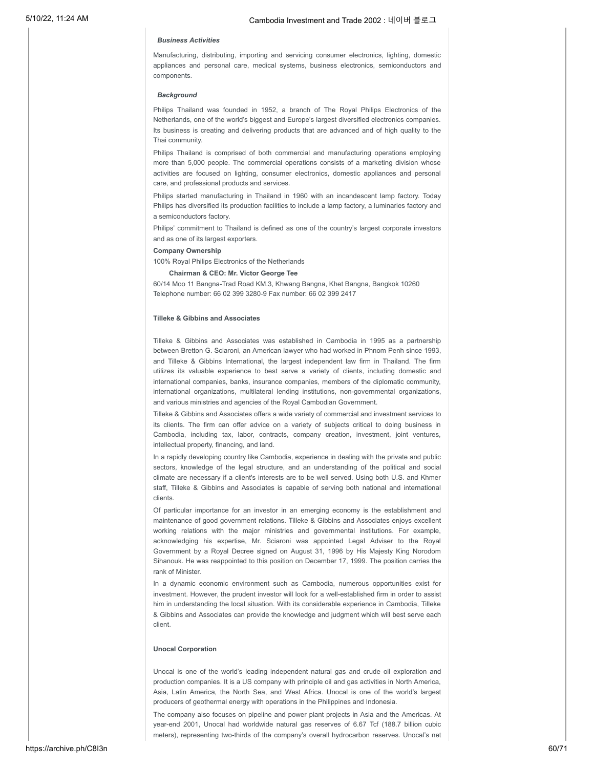### *Business Activities*

Manufacturing, distributing, importing and servicing consumer electronics, lighting, domestic appliances and personal care, medical systems, business electronics, semiconductors and components.

### *Background*

Philips Thailand was founded in 1952, a branch of The Royal Philips Electronics of the Netherlands, one of the world's biggest and Europe's largest diversified electronics companies. Its business is creating and delivering products that are advanced and of high quality to the Thai community.

Philips Thailand is comprised of both commercial and manufacturing operations employing more than 5,000 people. The commercial operations consists of a marketing division whose activities are focused on lighting, consumer electronics, domestic appliances and personal care, and professional products and services.

Philips started manufacturing in Thailand in 1960 with an incandescent lamp factory. Today Philips has diversified its production facilities to include a lamp factory, a luminaries factory and a semiconductors factory.

Philips' commitment to Thailand is defined as one of the country's largest corporate investors and as one of its largest exporters.

**Company Ownership**

100% Royal Philips Electronics of the Netherlands

### **Chairman & CEO: Mr. Victor George Tee**

60/14 Moo 11 Bangna-Trad Road KM.3, Khwang Bangna, Khet Bangna, Bangkok 10260 Telephone number: 66 02 399 3280-9 Fax number: 66 02 399 2417

### **Tilleke & Gibbins and Associates**

Tilleke & Gibbins and Associates was established in Cambodia in 1995 as a partnership between Bretton G. Sciaroni, an American lawyer who had worked in Phnom Penh since 1993, and Tilleke & Gibbins International, the largest independent law firm in Thailand. The firm utilizes its valuable experience to best serve a variety of clients, including domestic and international companies, banks, insurance companies, members of the diplomatic community, international organizations, multilateral lending institutions, non-governmental organizations, and various ministries and agencies of the Royal Cambodian Government.

Tilleke & Gibbins and Associates offers a wide variety of commercial and investment services to its clients. The firm can offer advice on a variety of subjects critical to doing business in Cambodia, including tax, labor, contracts, company creation, investment, joint ventures, intellectual property, financing, and land.

In a rapidly developing country like Cambodia, experience in dealing with the private and public sectors, knowledge of the legal structure, and an understanding of the political and social climate are necessary if a client's interests are to be well served. Using both U.S. and Khmer staff, Tilleke & Gibbins and Associates is capable of serving both national and international clients.

Of particular importance for an investor in an emerging economy is the establishment and maintenance of good government relations. Tilleke & Gibbins and Associates enjoys excellent working relations with the major ministries and governmental institutions. For example, acknowledging his expertise, Mr. Sciaroni was appointed Legal Adviser to the Royal Government by a Royal Decree signed on August 31, 1996 by His Majesty King Norodom Sihanouk. He was reappointed to this position on December 17, 1999. The position carries the rank of Minister.

In a dynamic economic environment such as Cambodia, numerous opportunities exist for investment. However, the prudent investor will look for a well-established firm in order to assist him in understanding the local situation. With its considerable experience in Cambodia, Tilleke & Gibbins and Associates can provide the knowledge and judgment which will best serve each client.

### **Unocal Corporation**

Unocal is one of the world's leading independent natural gas and crude oil exploration and production companies. It is a US company with principle oil and gas activities in North America, Asia, Latin America, the North Sea, and West Africa. Unocal is one of the world's largest producers of geothermal energy with operations in the Philippines and Indonesia.

The company also focuses on pipeline and power plant projects in Asia and the Americas. At year-end 2001, Unocal had worldwide natural gas reserves of 6.67 Tcf (188.7 billion cubic meters), representing two-thirds of the company's overall hydrocarbon reserves. Unocal's net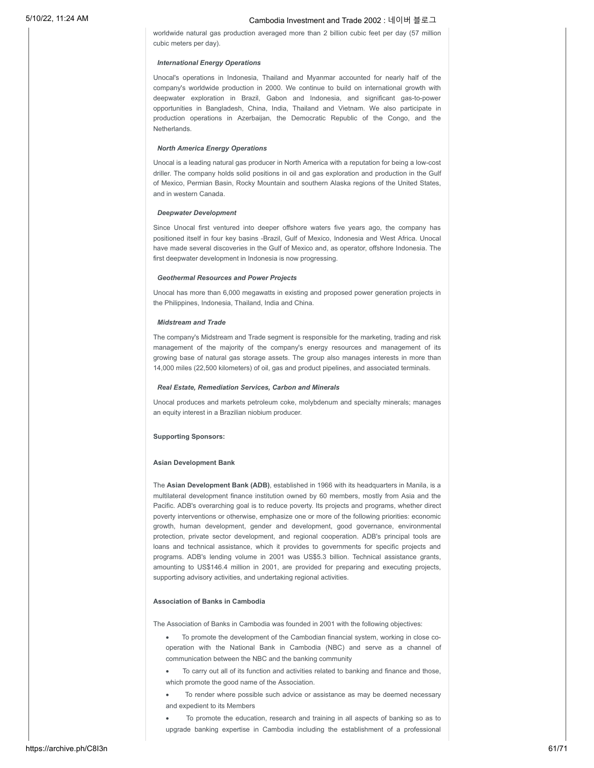worldwide natural gas production averaged more than 2 billion cubic feet per day (57 million cubic meters per day).

#### *International Energy Operations*

Unocal's operations in Indonesia, Thailand and Myanmar accounted for nearly half of the company's worldwide production in 2000. We continue to build on international growth with deepwater exploration in Brazil, Gabon and Indonesia, and significant gas-to-power opportunities in Bangladesh, China, India, Thailand and Vietnam. We also participate in production operations in Azerbaijan, the Democratic Republic of the Congo, and the Netherlands.

### *North America Energy Operations*

Unocal is a leading natural gas producer in North America with a reputation for being a low-cost driller. The company holds solid positions in oil and gas exploration and production in the Gulf of Mexico, Permian Basin, Rocky Mountain and southern Alaska regions of the United States, and in western Canada.

### *Deepwater Development*

Since Unocal first ventured into deeper offshore waters five years ago, the company has positioned itself in four key basins -Brazil, Gulf of Mexico, Indonesia and West Africa. Unocal have made several discoveries in the Gulf of Mexico and, as operator, offshore Indonesia. The first deepwater development in Indonesia is now progressing.

#### *Geothermal Resources and Power Projects*

Unocal has more than 6,000 megawatts in existing and proposed power generation projects in the Philippines, Indonesia, Thailand, India and China.

#### *Midstream and Trade*

The company's Midstream and Trade segment is responsible for the marketing, trading and risk management of the majority of the company's energy resources and management of its growing base of natural gas storage assets. The group also manages interests in more than 14,000 miles (22,500 kilometers) of oil, gas and product pipelines, and associated terminals.

### *Real Estate, Remediation Services, Carbon and Minerals*

Unocal produces and markets petroleum coke, molybdenum and specialty minerals; manages an equity interest in a Brazilian niobium producer.

### **Supporting Sponsors:**

### **Asian Development Bank**

The **Asian Development Bank (ADB)**, established in 1966 with its headquarters in Manila, is a multilateral development finance institution owned by 60 members, mostly from Asia and the Pacific. ADB's overarching goal is to reduce poverty. Its projects and programs, whether direct poverty interventions or otherwise, emphasize one or more of the following priorities: economic growth, human development, gender and development, good governance, environmental protection, private sector development, and regional cooperation. ADB's principal tools are loans and technical assistance, which it provides to governments for specific projects and programs. ADB's lending volume in 2001 was US\$5.3 billion. Technical assistance grants, amounting to US\$146.4 million in 2001, are provided for preparing and executing projects, supporting advisory activities, and undertaking regional activities.

### **Association of Banks in Cambodia**

The Association of Banks in Cambodia was founded in 2001 with the following objectives:

- · To promote the development of the Cambodian financial system, working in close cooperation with the National Bank in Cambodia (NBC) and serve as a channel of communication between the NBC and the banking community
- · To carry out all of its function and activities related to banking and finance and those, which promote the good name of the Association.
- To render where possible such advice or assistance as may be deemed necessary and expedient to its Members

To promote the education, research and training in all aspects of banking so as to upgrade banking expertise in Cambodia including the establishment of a professional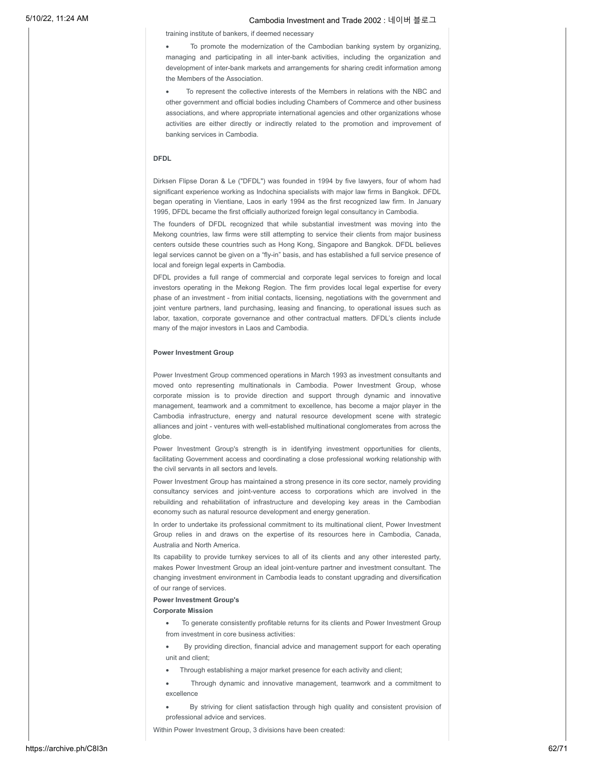training institute of bankers, if deemed necessary

To promote the modernization of the Cambodian banking system by organizing, managing and participating in all inter-bank activities, including the organization and development of inter-bank markets and arrangements for sharing credit information among the Members of the Association.

To represent the collective interests of the Members in relations with the NBC and other government and official bodies including Chambers of Commerce and other business associations, and where appropriate international agencies and other organizations whose activities are either directly or indirectly related to the promotion and improvement of banking services in Cambodia.

### **DFDL**

Dirksen Flipse Doran & Le ("DFDL") was founded in 1994 by five lawyers, four of whom had significant experience working as Indochina specialists with major law firms in Bangkok. DFDL began operating in Vientiane, Laos in early 1994 as the first recognized law firm. In January 1995, DFDL became the first officially authorized foreign legal consultancy in Cambodia.

The founders of DFDL recognized that while substantial investment was moving into the Mekong countries, law firms were still attempting to service their clients from major business centers outside these countries such as Hong Kong, Singapore and Bangkok. DFDL believes legal services cannot be given on a "fly-in" basis, and has established a full service presence of local and foreign legal experts in Cambodia.

DFDL provides a full range of commercial and corporate legal services to foreign and local investors operating in the Mekong Region. The firm provides local legal expertise for every phase of an investment - from initial contacts, licensing, negotiations with the government and joint venture partners, land purchasing, leasing and financing, to operational issues such as labor, taxation, corporate governance and other contractual matters. DFDL's clients include many of the major investors in Laos and Cambodia.

#### **Power Investment Group**

Power Investment Group commenced operations in March 1993 as investment consultants and moved onto representing multinationals in Cambodia. Power Investment Group, whose corporate mission is to provide direction and support through dynamic and innovative management, teamwork and a commitment to excellence, has become a major player in the Cambodia infrastructure, energy and natural resource development scene with strategic alliances and joint - ventures with well-established multinational conglomerates from across the globe.

Power Investment Group's strength is in identifying investment opportunities for clients, facilitating Government access and coordinating a close professional working relationship with the civil servants in all sectors and levels.

Power Investment Group has maintained a strong presence in its core sector, namely providing consultancy services and joint-venture access to corporations which are involved in the rebuilding and rehabilitation of infrastructure and developing key areas in the Cambodian economy such as natural resource development and energy generation.

In order to undertake its professional commitment to its multinational client, Power Investment Group relies in and draws on the expertise of its resources here in Cambodia, Canada, Australia and North America.

Its capability to provide turnkey services to all of its clients and any other interested party, makes Power Investment Group an ideal joint-venture partner and investment consultant. The changing investment environment in Cambodia leads to constant upgrading and diversification of our range of services.

### **Power Investment Group's**

#### **Corporate Mission**

- · To generate consistently profitable returns for its clients and Power Investment Group from investment in core business activities:
- By providing direction, financial advice and management support for each operating unit and client;
- · Through establishing a major market presence for each activity and client;
- Through dynamic and innovative management, teamwork and a commitment to excellence
- By striving for client satisfaction through high quality and consistent provision of professional advice and services.

Within Power Investment Group, 3 divisions have been created: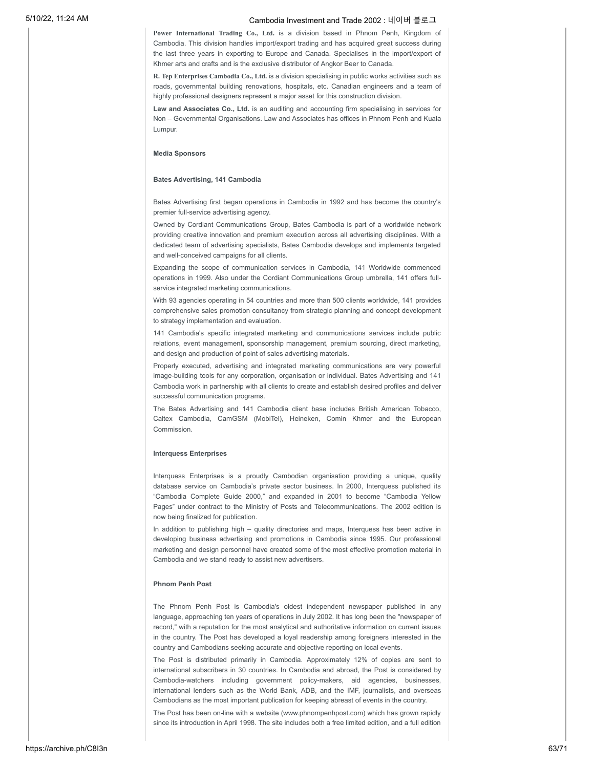**Power International Trading Co., Ltd.** is a division based in Phnom Penh, Kingdom of Cambodia. This division handles import/export trading and has acquired great success during the last three years in exporting to Europe and Canada. Specialises in the import/export of Khmer arts and crafts and is the exclusive distributor of Angkor Beer to Canada.

**R. Tep Enterprises Cambodia Co., Ltd.** is a division specialising in public works activities such as roads, governmental building renovations, hospitals, etc. Canadian engineers and a team of highly professional designers represent a major asset for this construction division.

**Law and Associates Co., Ltd.** is an auditing and accounting firm specialising in services for Non – Governmental Organisations. Law and Associates has offices in Phnom Penh and Kuala Lumpur.

### **Media Sponsors**

#### **Bates Advertising, 141 Cambodia**

Bates Advertising first began operations in Cambodia in 1992 and has become the country's premier full-service advertising agency.

Owned by Cordiant Communications Group, Bates Cambodia is part of a worldwide network providing creative innovation and premium execution across all advertising disciplines. With a dedicated team of advertising specialists, Bates Cambodia develops and implements targeted and well-conceived campaigns for all clients.

Expanding the scope of communication services in Cambodia, 141 Worldwide commenced operations in 1999. Also under the Cordiant Communications Group umbrella, 141 offers fullservice integrated marketing communications.

With 93 agencies operating in 54 countries and more than 500 clients worldwide, 141 provides comprehensive sales promotion consultancy from strategic planning and concept development to strategy implementation and evaluation.

141 Cambodia's specific integrated marketing and communications services include public relations, event management, sponsorship management, premium sourcing, direct marketing, and design and production of point of sales advertising materials.

Properly executed, advertising and integrated marketing communications are very powerful image-building tools for any corporation, organisation or individual. Bates Advertising and 141 Cambodia work in partnership with all clients to create and establish desired profiles and deliver successful communication programs.

The Bates Advertising and 141 Cambodia client base includes British American Tobacco, Caltex Cambodia, CamGSM (MobiTel), Heineken, Comin Khmer and the European Commission.

### **Interquess Enterprises**

Interquess Enterprises is a proudly Cambodian organisation providing a unique, quality database service on Cambodia's private sector business. In 2000, Interquess published its "Cambodia Complete Guide 2000," and expanded in 2001 to become "Cambodia Yellow Pages" under contract to the Ministry of Posts and Telecommunications. The 2002 edition is now being finalized for publication.

In addition to publishing high – quality directories and maps, Interquess has been active in developing business advertising and promotions in Cambodia since 1995. Our professional marketing and design personnel have created some of the most effective promotion material in Cambodia and we stand ready to assist new advertisers.

### **Phnom Penh Post**

The Phnom Penh Post is Cambodia's oldest independent newspaper published in any language, approaching ten years of operations in July 2002. It has long been the "newspaper of record," with a reputation for the most analytical and authoritative information on current issues in the country. The Post has developed a loyal readership among foreigners interested in the country and Cambodians seeking accurate and objective reporting on local events.

The Post is distributed primarily in Cambodia. Approximately 12% of copies are sent to international subscribers in 30 countries. In Cambodia and abroad, the Post is considered by Cambodia-watchers including government policy-makers, aid agencies, businesses, international lenders such as the World Bank, ADB, and the IMF, journalists, and overseas Cambodians as the most important publication for keeping abreast of events in the country.

The Post has been on-line with a website (www.phnompenhpost.com) which has grown rapidly since its introduction in April 1998. The site includes both a free limited edition, and a full edition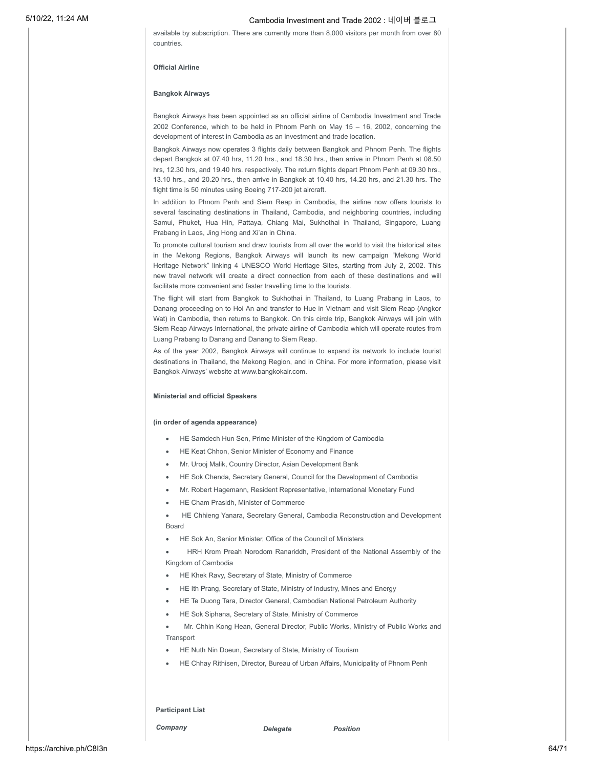available by subscription. There are currently more than 8,000 visitors per month from over 80 countries.

### **Official Airline**

### **Bangkok Airways**

Bangkok Airways has been appointed as an official airline of Cambodia Investment and Trade 2002 Conference, which to be held in Phnom Penh on May 15 – 16, 2002, concerning the development of interest in Cambodia as an investment and trade location.

Bangkok Airways now operates 3 flights daily between Bangkok and Phnom Penh. The flights depart Bangkok at 07.40 hrs, 11.20 hrs., and 18.30 hrs., then arrive in Phnom Penh at 08.50 hrs, 12.30 hrs, and 19.40 hrs. respectively. The return flights depart Phnom Penh at 09.30 hrs., 13.10 hrs., and 20.20 hrs., then arrive in Bangkok at 10.40 hrs, 14.20 hrs, and 21.30 hrs. The flight time is 50 minutes using Boeing 717-200 jet aircraft.

In addition to Phnom Penh and Siem Reap in Cambodia, the airline now offers tourists to several fascinating destinations in Thailand, Cambodia, and neighboring countries, including Samui, Phuket, Hua Hin, Pattaya, Chiang Mai, Sukhothai in Thailand, Singapore, Luang Prabang in Laos, Jing Hong and Xi'an in China.

To promote cultural tourism and draw tourists from all over the world to visit the historical sites in the Mekong Regions, Bangkok Airways will launch its new campaign "Mekong World Heritage Network" linking 4 UNESCO World Heritage Sites, starting from July 2, 2002. This new travel network will create a direct connection from each of these destinations and will facilitate more convenient and faster travelling time to the tourists.

The flight will start from Bangkok to Sukhothai in Thailand, to Luang Prabang in Laos, to Danang proceeding on to Hoi An and transfer to Hue in Vietnam and visit Siem Reap (Angkor Wat) in Cambodia, then returns to Bangkok. On this circle trip, Bangkok Airways will join with Siem Reap Airways International, the private airline of Cambodia which will operate routes from Luang Prabang to Danang and Danang to Siem Reap.

As of the year 2002, Bangkok Airways will continue to expand its network to include tourist destinations in Thailand, the Mekong Region, and in China. For more information, please visit Bangkok Airways' website at www.bangkokair.com.

### **Ministerial and official Speakers**

#### **(in order of agenda appearance)**

- · HE Samdech Hun Sen, Prime Minister of the Kingdom of Cambodia
- HE Keat Chhon, Senior Minister of Economy and Finance
- · Mr. Urooj Malik, Country Director, Asian Development Bank
- · HE Sok Chenda, Secretary General, Council for the Development of Cambodia
- · Mr. Robert Hagemann, Resident Representative, International Monetary Fund
- · HE Cham Prasidh, Minister of Commerce

· HE Chhieng Yanara, Secretary General, Cambodia Reconstruction and Development Board

· HE Sok An, Senior Minister, Office of the Council of Ministers

· HRH Krom Preah Norodom Ranariddh, President of the National Assembly of the Kingdom of Cambodia

- HE Khek Ravy, Secretary of State, Ministry of Commerce
- HE Ith Prang, Secretary of State, Ministry of Industry, Mines and Energy
- HE Te Duong Tara, Director General, Cambodian National Petroleum Authority
- HE Sok Siphana, Secretary of State, Ministry of Commerce

· Mr. Chhin Kong Hean, General Director, Public Works, Ministry of Public Works and **Transport** 

- HE Nuth Nin Doeun, Secretary of State, Ministry of Tourism
- · HE Chhay Rithisen, Director, Bureau of Urban Affairs, Municipality of Phnom Penh

### **Participant List**

*Company Delegate Position*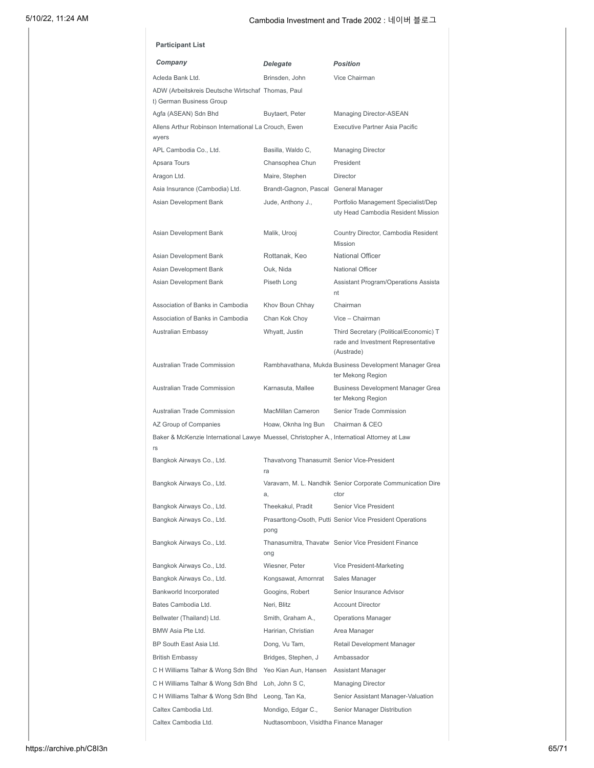| Company                                                                                          | Delegate                                          | <b>Position</b>                                                                            |
|--------------------------------------------------------------------------------------------------|---------------------------------------------------|--------------------------------------------------------------------------------------------|
| Acleda Bank Ltd.                                                                                 | Brinsden, John                                    | Vice Chairman                                                                              |
| ADW (Arbeitskreis Deutsche Wirtschaf Thomas, Paul<br>t) German Business Group                    |                                                   |                                                                                            |
| Agfa (ASEAN) Sdn Bhd                                                                             | Buytaert, Peter                                   | Managing Director-ASEAN                                                                    |
| Allens Arthur Robinson International La Crouch, Ewen<br>wyers                                    |                                                   | <b>Executive Partner Asia Pacific</b>                                                      |
| APL Cambodia Co., Ltd.                                                                           | Basilla, Waldo C,                                 | <b>Managing Director</b>                                                                   |
| Apsara Tours                                                                                     | Chansophea Chun                                   | President                                                                                  |
| Aragon Ltd.                                                                                      | Maire, Stephen                                    | <b>Director</b>                                                                            |
| Asia Insurance (Cambodia) Ltd.                                                                   | Brandt-Gagnon, Pascal General Manager             |                                                                                            |
| Asian Development Bank                                                                           | Jude, Anthony J.,                                 | Portfolio Management Specialist/Dep<br>uty Head Cambodia Resident Mission                  |
| Asian Development Bank                                                                           | Malik, Urooj                                      | Country Director, Cambodia Resident<br>Mission                                             |
| Asian Development Bank                                                                           | Rottanak, Keo                                     | <b>National Officer</b>                                                                    |
| Asian Development Bank                                                                           | Ouk, Nida                                         | <b>National Officer</b>                                                                    |
| Asian Development Bank                                                                           | Piseth Long                                       | Assistant Program/Operations Assista<br>nt                                                 |
| Association of Banks in Cambodia                                                                 | Khov Boun Chhay                                   | Chairman                                                                                   |
| Association of Banks in Cambodia                                                                 | Chan Kok Choy                                     | Vice - Chairman                                                                            |
| Australian Embassy                                                                               | Whyatt, Justin                                    | Third Secretary (Political/Economic) T<br>rade and Investment Representative<br>(Austrade) |
| <b>Australian Trade Commission</b>                                                               |                                                   | Rambhavathana, Mukda Business Development Manager Grea<br>ter Mekong Region                |
| <b>Australian Trade Commission</b>                                                               | Karnasuta, Mallee                                 | <b>Business Development Manager Grea</b><br>ter Mekong Region                              |
| Australian Trade Commission                                                                      | MacMillan Cameron                                 | Senior Trade Commission                                                                    |
| AZ Group of Companies                                                                            | Hoaw, Oknha Ing Bun                               | Chairman & CEO                                                                             |
| Baker & McKenzie International Lawye Muessel, Christopher A., Internatioal Attorney at Law<br>rs |                                                   |                                                                                            |
| Bangkok Airways Co., Ltd.                                                                        | Thavatvong Thanasumit Senior Vice-President<br>ra |                                                                                            |
| Bangkok Airways Co., Ltd.                                                                        | a,                                                | Varavarn, M. L. Nandhik Senior Corporate Communication Dire<br>ctor                        |
| Bangkok Airways Co., Ltd.                                                                        | Theekakul, Pradit                                 | Senior Vice President                                                                      |
| Bangkok Airways Co., Ltd.                                                                        | pong                                              | Prasarttong-Osoth, Putti Senior Vice President Operations                                  |
| Bangkok Airways Co., Ltd.                                                                        | ong                                               | Thanasumitra, Thavatw Senior Vice President Finance                                        |
| Bangkok Airways Co., Ltd.                                                                        | Wiesner, Peter                                    | Vice President-Marketing                                                                   |
| Bangkok Airways Co., Ltd.                                                                        | Kongsawat, Amornrat                               | Sales Manager                                                                              |
| Bankworld Incorporated                                                                           | Googins, Robert                                   | Senior Insurance Advisor                                                                   |
| Bates Cambodia Ltd.                                                                              | Neri, Blitz                                       | <b>Account Director</b>                                                                    |
| Bellwater (Thailand) Ltd.                                                                        | Smith, Graham A.,                                 | <b>Operations Manager</b>                                                                  |
| BMW Asia Pte Ltd.                                                                                | Haririan, Christian                               | Area Manager                                                                               |
| BP South East Asia Ltd.                                                                          | Dong, Vu Tam,                                     | Retail Development Manager                                                                 |
| British Embassy                                                                                  | Bridges, Stephen, J                               | Ambassador                                                                                 |
| C H Williams Talhar & Wong Sdn Bhd                                                               | Yeo Kian Aun, Hansen Assistant Manager            |                                                                                            |
| C H Williams Talhar & Wong Sdn Bhd                                                               | Loh, John S C,                                    | <b>Managing Director</b>                                                                   |
| C H Williams Talhar & Wong Sdn Bhd                                                               | Leong, Tan Ka,                                    | Senior Assistant Manager-Valuation<br>Senior Manager Distribution                          |
| Caltex Cambodia Ltd.                                                                             | Mondigo, Edgar C.,                                |                                                                                            |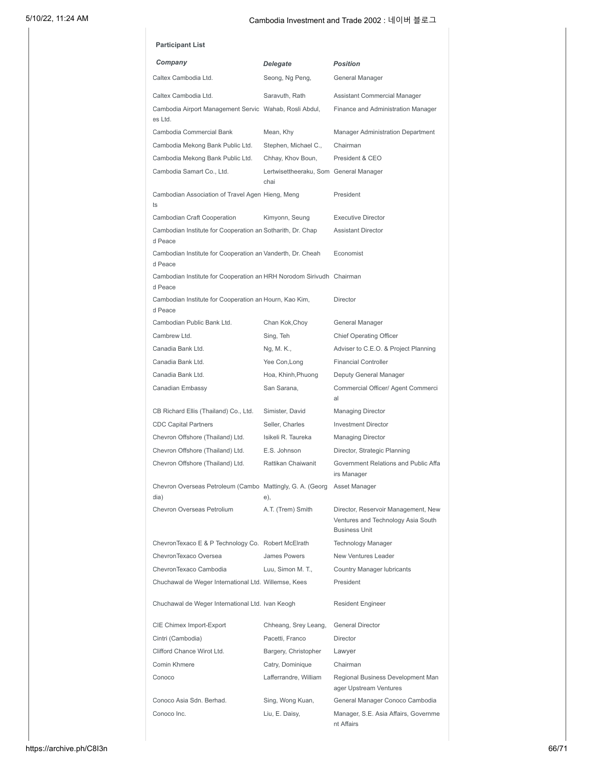| <b>Participant List</b>                                                         |                                                |                                                                                                   |
|---------------------------------------------------------------------------------|------------------------------------------------|---------------------------------------------------------------------------------------------------|
| Company                                                                         | Delegate                                       | <b>Position</b>                                                                                   |
| Caltex Cambodia Ltd.                                                            | Seong, Ng Peng,                                | General Manager                                                                                   |
| Caltex Cambodia Ltd.                                                            | Saravuth, Rath                                 | Assistant Commercial Manager                                                                      |
| Cambodia Airport Management Servic Wahab, Rosli Abdul,                          |                                                | Finance and Administration Manager                                                                |
| es Ltd.                                                                         |                                                |                                                                                                   |
| Cambodia Commercial Bank                                                        | Mean, Khy                                      | Manager Administration Department                                                                 |
| Cambodia Mekong Bank Public Ltd.                                                | Stephen, Michael C.,                           | Chairman                                                                                          |
| Cambodia Mekong Bank Public Ltd.                                                | Chhay, Khov Boun,                              | President & CEO                                                                                   |
| Cambodia Samart Co., Ltd.                                                       | Lertwisettheeraku, Som General Manager<br>chai |                                                                                                   |
| Cambodian Association of Travel Agen Hieng, Meng<br>ts                          |                                                | President                                                                                         |
| Cambodian Craft Cooperation                                                     | Kimyonn, Seung                                 | <b>Executive Director</b>                                                                         |
| Cambodian Institute for Cooperation an Sotharith, Dr. Chap<br>d Peace           |                                                | <b>Assistant Director</b>                                                                         |
| Cambodian Institute for Cooperation an Vanderth, Dr. Cheah<br>d Peace           |                                                | Economist                                                                                         |
| Cambodian Institute for Cooperation an HRH Norodom Sirivudh Chairman<br>d Peace |                                                |                                                                                                   |
| Cambodian Institute for Cooperation an Hourn, Kao Kim,<br>d Peace               |                                                | <b>Director</b>                                                                                   |
| Cambodian Public Bank Ltd.                                                      | Chan Kok,Choy                                  | General Manager                                                                                   |
| Cambrew Ltd.                                                                    | Sing, Teh                                      | <b>Chief Operating Officer</b>                                                                    |
| Canadia Bank Ltd.                                                               | Ng, M. K.,                                     | Adviser to C.E.O. & Project Planning                                                              |
| Canadia Bank Ltd.                                                               | Yee Con, Long                                  | <b>Financial Controller</b>                                                                       |
| Canadia Bank Ltd.                                                               | Hoa, Khinh, Phuong                             | Deputy General Manager                                                                            |
| Canadian Embassy                                                                | San Sarana,                                    | Commercial Officer/ Agent Commerci<br>al                                                          |
| CB Richard Ellis (Thailand) Co., Ltd.                                           | Simister, David                                | <b>Managing Director</b>                                                                          |
| <b>CDC Capital Partners</b>                                                     | Seller, Charles                                | <b>Investment Director</b>                                                                        |
| Chevron Offshore (Thailand) Ltd.                                                | Isikeli R. Taureka                             | <b>Managing Director</b>                                                                          |
| Chevron Offshore (Thailand) Ltd.                                                | E.S. Johnson                                   | Director, Strategic Planning                                                                      |
| Chevron Offshore (Thailand) Ltd.                                                | Rattikan Chaiwanit                             | Government Relations and Public Affa<br>irs Manager                                               |
| Chevron Overseas Petroleum (Cambo Mattingly, G. A. (Georg Asset Manager<br>dia) | e),                                            |                                                                                                   |
| Chevron Overseas Petrolium                                                      | A.T. (Trem) Smith                              | Director, Reservoir Management, New<br>Ventures and Technology Asia South<br><b>Business Unit</b> |
| Chevron Texaco E & P Technology Co. Robert McElrath                             |                                                | <b>Technology Manager</b>                                                                         |
| ChevronTexaco Oversea                                                           | James Powers                                   | New Ventures Leader                                                                               |
| ChevronTexaco Cambodia                                                          | Luu, Simon M. T.,                              | <b>Country Manager lubricants</b>                                                                 |
| Chuchawal de Weger International Ltd. Willemse, Kees                            |                                                | President                                                                                         |
| Chuchawal de Weger International Ltd. Ivan Keogh                                |                                                | <b>Resident Engineer</b>                                                                          |
| CIE Chimex Import-Export                                                        | Chheang, Srey Leang,                           | <b>General Director</b>                                                                           |
| Cintri (Cambodia)                                                               | Pacetti, Franco                                | Director                                                                                          |
| Clifford Chance Wirot Ltd.                                                      | Bargery, Christopher                           | Lawyer                                                                                            |
| Comin Khmere                                                                    | Catry, Dominique                               | Chairman                                                                                          |
| Conoco                                                                          | Lafferrandre, William                          | Regional Business Development Man<br>ager Upstream Ventures                                       |
| Conoco Asia Sdn. Berhad.                                                        | Sing, Wong Kuan,                               | General Manager Conoco Cambodia                                                                   |
| Conoco Inc.                                                                     | Liu, E. Daisy,                                 | Manager, S.E. Asia Affairs, Governme<br>nt Affairs                                                |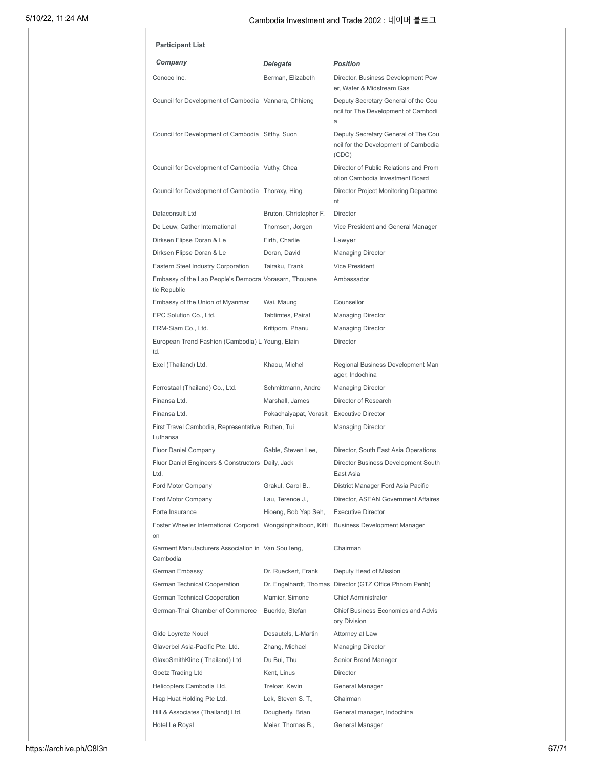| Company                                                                                      | Delegate                                  | <b>Position</b>                                                                      |
|----------------------------------------------------------------------------------------------|-------------------------------------------|--------------------------------------------------------------------------------------|
| Conoco Inc.                                                                                  | Berman, Elizabeth                         | Director, Business Development Pow<br>er, Water & Midstream Gas                      |
| Council for Development of Cambodia Vannara, Chhieng                                         |                                           | Deputy Secretary General of the Cou<br>ncil for The Development of Cambodi<br>a      |
| Council for Development of Cambodia Sitthy, Suon                                             |                                           | Deputy Secretary General of The Cou<br>ncil for the Development of Cambodia<br>(CDC) |
| Council for Development of Cambodia Vuthy, Chea                                              |                                           | Director of Public Relations and Prom<br>otion Cambodia Investment Board             |
| Council for Development of Cambodia Thoraxy, Hing                                            |                                           | Director Project Monitoring Departme<br>nt                                           |
| Dataconsult Ltd                                                                              | Bruton, Christopher F.                    | <b>Director</b>                                                                      |
| De Leuw. Cather International                                                                | Thomsen, Jorgen                           | Vice President and General Manager                                                   |
| Dirksen Flipse Doran & Le                                                                    | Firth, Charlie                            | Lawyer                                                                               |
| Dirksen Flipse Doran & Le                                                                    | Doran, David                              | <b>Managing Director</b>                                                             |
| Eastern Steel Industry Corporation                                                           | Tairaku, Frank                            | Vice President                                                                       |
| Embassy of the Lao People's Democra Vorasarn, Thouane<br>tic Republic                        |                                           | Ambassador                                                                           |
| Embassy of the Union of Myanmar                                                              | Wai, Maung                                | Counsellor                                                                           |
| EPC Solution Co., Ltd.                                                                       | Tabtimtes, Pairat                         | Managing Director                                                                    |
| ERM-Siam Co., Ltd.                                                                           | Kritiporn, Phanu                          | <b>Managing Director</b>                                                             |
| European Trend Fashion (Cambodia) L Young, Elain<br>td.                                      |                                           | <b>Director</b>                                                                      |
| Exel (Thailand) Ltd.                                                                         | Khaou, Michel                             | Regional Business Development Man<br>ager, Indochina                                 |
| Ferrostaal (Thailand) Co., Ltd.                                                              | Schmittmann, Andre                        | <b>Managing Director</b>                                                             |
| Finansa Ltd.                                                                                 | Marshall, James                           | Director of Research                                                                 |
| Finansa I td                                                                                 | Pokachaiyapat, Vorasit Executive Director |                                                                                      |
| First Travel Cambodia, Representative Rutten, Tui<br>Luthansa                                |                                           | <b>Managing Director</b>                                                             |
| Fluor Daniel Company                                                                         | Gable, Steven Lee,                        | Director, South East Asia Operations                                                 |
| Fluor Daniel Engineers & Constructors Daily, Jack<br>Ltd.                                    |                                           | Director Business Development South<br>East Asia                                     |
| Ford Motor Company                                                                           | Grakul, Carol B.,                         | District Manager Ford Asia Pacific                                                   |
| Ford Motor Company                                                                           | Lau, Terence J.,                          | Director, ASEAN Government Affaires                                                  |
| Forte Insurance                                                                              | Hioeng, Bob Yap Seh,                      | <b>Executive Director</b>                                                            |
| Foster Wheeler International Corporati Wongsinphaiboon, Kitti<br>on                          |                                           | <b>Business Development Manager</b>                                                  |
| Garment Manufacturers Association in Van Sou leng,<br>Cambodia                               |                                           | Chairman                                                                             |
| German Embassy                                                                               | Dr. Rueckert, Frank                       | Deputy Head of Mission                                                               |
| German Technical Cooperation                                                                 |                                           | Dr. Engelhardt, Thomas Director (GTZ Office Phnom Penh)                              |
| German Technical Cooperation                                                                 | Mamier, Simone                            | <b>Chief Administrator</b>                                                           |
| German-Thai Chamber of Commerce                                                              | Buerkle, Stefan                           | <b>Chief Business Economics and Advis</b><br>ory Division                            |
| Gide Loyrette Nouel                                                                          | Desautels, L-Martin                       | Attorney at Law                                                                      |
| Glaverbel Asia-Pacific Pte. Ltd.                                                             | Zhang, Michael                            | <b>Managing Director</b>                                                             |
| GlaxoSmithKline (Thailand) Ltd                                                               | Du Bui, Thu                               | Senior Brand Manager                                                                 |
| Goetz Trading Ltd                                                                            | Kent, Linus                               | <b>Director</b>                                                                      |
|                                                                                              |                                           | General Manager                                                                      |
|                                                                                              | Treloar, Kevin                            |                                                                                      |
|                                                                                              | Lek, Steven S. T.,                        | Chairman                                                                             |
| Helicopters Cambodia Ltd.<br>Hiap Huat Holding Pte Ltd.<br>Hill & Associates (Thailand) Ltd. | Dougherty, Brian                          | General manager, Indochina                                                           |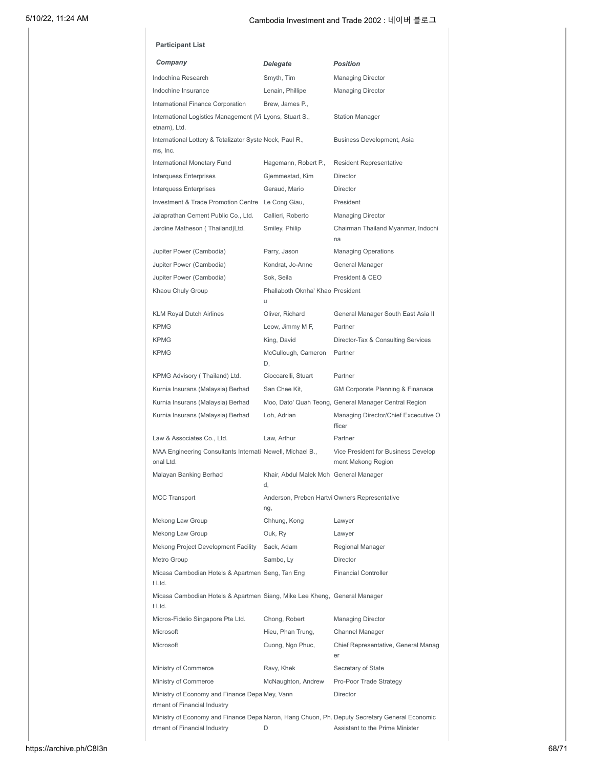| Company                                                                             | Delegate                                     | <b>Position</b>                                                                               |
|-------------------------------------------------------------------------------------|----------------------------------------------|-----------------------------------------------------------------------------------------------|
| Indochina Research                                                                  | Smyth, Tim                                   | <b>Managing Director</b>                                                                      |
| Indochine Insurance                                                                 | Lenain, Phillipe                             | <b>Managing Director</b>                                                                      |
| International Finance Corporation                                                   | Brew, James P.,                              |                                                                                               |
| International Logistics Management (Vi Lyons, Stuart S.,<br>etnam), Ltd.            |                                              | <b>Station Manager</b>                                                                        |
| International Lottery & Totalizator Syste Nock, Paul R.,<br>ms, Inc.                |                                              | Business Development, Asia                                                                    |
| International Monetary Fund                                                         | Hagemann, Robert P.,                         | Resident Representative                                                                       |
| Interquess Enterprises                                                              | Gjemmestad, Kim                              | <b>Director</b>                                                                               |
| Interquess Enterprises                                                              | Geraud, Mario                                | Director                                                                                      |
| Investment & Trade Promotion Centre Le Cong Giau,                                   |                                              | President                                                                                     |
| Jalaprathan Cement Public Co., Ltd.                                                 | Callieri, Roberto                            | <b>Managing Director</b>                                                                      |
| Jardine Matheson ( Thailand)Ltd.                                                    | Smiley, Philip                               | Chairman Thailand Myanmar, Indochi<br>na                                                      |
| Jupiter Power (Cambodia)                                                            | Parry, Jason                                 | <b>Managing Operations</b>                                                                    |
| Jupiter Power (Cambodia)                                                            | Kondrat, Jo-Anne                             | General Manager                                                                               |
| Jupiter Power (Cambodia)                                                            | Sok. Seila                                   | President & CEO                                                                               |
| Khaou Chuly Group                                                                   | Phallaboth Oknha' Khao President<br>u        |                                                                                               |
| <b>KLM Royal Dutch Airlines</b>                                                     | Oliver, Richard                              | General Manager South East Asia II                                                            |
| <b>KPMG</b>                                                                         | Leow, Jimmy M F,                             | Partner                                                                                       |
| <b>KPMG</b>                                                                         | King, David                                  | Director-Tax & Consulting Services                                                            |
| <b>KPMG</b>                                                                         | McCullough, Cameron<br>D.                    | Partner                                                                                       |
| KPMG Advisory (Thailand) Ltd.                                                       | Cioccarelli, Stuart                          | Partner                                                                                       |
| Kurnia Insurans (Malaysia) Berhad                                                   | San Chee Kit.                                | GM Corporate Planning & Finanace                                                              |
| Kurnia Insurans (Malaysia) Berhad                                                   |                                              | Moo, Dato' Quah Teong, General Manager Central Region                                         |
| Kurnia Insurans (Malaysia) Berhad                                                   | Loh. Adrian                                  | Managing Director/Chief Excecutive O<br>fficer                                                |
| Law & Associates Co., Ltd.                                                          | Law. Arthur                                  | Partner                                                                                       |
| MAA Engineering Consultants Internati Newell, Michael B.,<br>onal Ltd.              |                                              | Vice President for Business Develop<br>ment Mekong Region                                     |
| Malayan Banking Berhad                                                              | Khair, Abdul Malek Moh General Manager<br>d. |                                                                                               |
| <b>MCC Transport</b>                                                                | ng,                                          | Anderson, Preben Hartvi Owners Representative                                                 |
| Mekong Law Group                                                                    | Chhung, Kong                                 | Lawyer                                                                                        |
| Mekong Law Group                                                                    | Ouk, Ry                                      | Lawyer                                                                                        |
| Mekong Project Development Facility                                                 | Sack, Adam                                   | Regional Manager                                                                              |
| Metro Group                                                                         | Sambo, Ly                                    | <b>Director</b>                                                                               |
| Micasa Cambodian Hotels & Apartmen Seng, Tan Eng<br>t Ltd.                          |                                              | <b>Financial Controller</b>                                                                   |
| Micasa Cambodian Hotels & Apartmen Siang, Mike Lee Kheng, General Manager<br>t Ltd. |                                              |                                                                                               |
| Micros-Fidelio Singapore Pte Ltd.                                                   | Chong, Robert                                | <b>Managing Director</b>                                                                      |
| Microsoft                                                                           | Hieu, Phan Trung,                            | Channel Manager                                                                               |
| Microsoft                                                                           | Cuong, Ngo Phuc,                             | Chief Representative, General Manag<br>er                                                     |
| Ministry of Commerce                                                                | Ravy, Khek                                   | Secretary of State                                                                            |
| Ministry of Commerce                                                                | McNaughton, Andrew                           | Pro-Poor Trade Strategy                                                                       |
| Ministry of Economy and Finance Depa Mey, Vann<br>rtment of Financial Industry      |                                              | <b>Director</b>                                                                               |
|                                                                                     |                                              | Ministry of Economy and Finance Depa Naron, Hang Chuon, Ph. Deputy Secretary General Economic |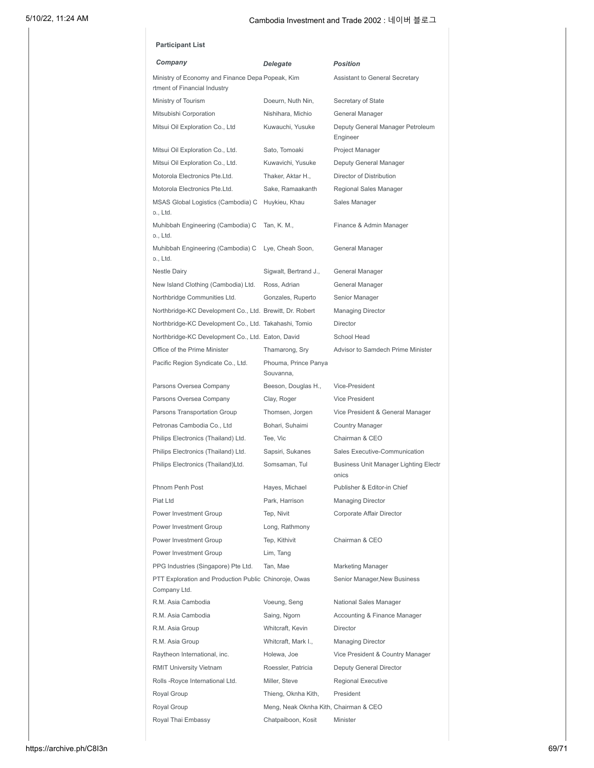| <b>Participant List</b>                                                          |                                                              |                                                |
|----------------------------------------------------------------------------------|--------------------------------------------------------------|------------------------------------------------|
| Company                                                                          | <b>Delegate</b>                                              | <b>Position</b>                                |
| Ministry of Economy and Finance Depa Popeak, Kim<br>rtment of Financial Industry |                                                              | Assistant to General Secretary                 |
| Ministry of Tourism                                                              | Doeurn, Nuth Nin,                                            | Secretary of State                             |
| Mitsubishi Corporation                                                           | Nishihara, Michio                                            | General Manager                                |
| Mitsui Oil Exploration Co., Ltd                                                  | Kuwauchi, Yusuke                                             | Deputy General Manager Petroleum<br>Engineer   |
| Mitsui Oil Exploration Co., Ltd.                                                 | Sato, Tomoaki                                                | Project Manager                                |
| Mitsui Oil Exploration Co., Ltd.                                                 | Kuwavichi, Yusuke                                            | Deputy General Manager                         |
| Motorola Electronics Pte.Ltd.                                                    | Thaker, Aktar H.,                                            | Director of Distribution                       |
| Motorola Electronics Pte.Ltd.                                                    | Sake, Ramaakanth                                             | Regional Sales Manager                         |
| MSAS Global Logistics (Cambodia) C<br>o., Ltd.                                   | Huykieu, Khau                                                | Sales Manager                                  |
| Muhibbah Engineering (Cambodia) C<br>o., Ltd.                                    | Tan, K. M.,                                                  | Finance & Admin Manager                        |
| Muhibbah Engineering (Cambodia) C<br>o., Ltd.                                    | Lye, Cheah Soon,                                             | General Manager                                |
| <b>Nestle Dairy</b>                                                              | Sigwalt, Bertrand J.,                                        | General Manager                                |
| New Island Clothing (Cambodia) Ltd.                                              | Ross, Adrian                                                 | General Manager                                |
| Northbridge Communities Ltd.                                                     | Gonzales, Ruperto                                            | Senior Manager                                 |
| Northbridge-KC Development Co., Ltd. Brewitt, Dr. Robert                         |                                                              | <b>Managing Director</b>                       |
| Northbridge-KC Development Co., Ltd. Takahashi, Tomio                            |                                                              | <b>Director</b>                                |
| Northbridge-KC Development Co., Ltd. Eaton, David                                |                                                              | School Head                                    |
| Office of the Prime Minister                                                     | Thamarong, Sry                                               | Advisor to Samdech Prime Minister              |
| Pacific Region Syndicate Co., Ltd.                                               | Phouma, Prince Panya<br>Souvanna,                            |                                                |
| Parsons Oversea Company                                                          | Beeson, Douglas H.,                                          | Vice-President                                 |
| Parsons Oversea Company                                                          | Clay, Roger                                                  | <b>Vice President</b>                          |
| Parsons Transportation Group                                                     | Thomsen, Jorgen                                              | Vice President & General Manager               |
| Petronas Cambodia Co., Ltd                                                       | Bohari, Suhaimi                                              | <b>Country Manager</b>                         |
| Philips Electronics (Thailand) Ltd.                                              | Tee, Vic                                                     | Chairman & CEO                                 |
| Philips Electronics (Thailand) Ltd.                                              | Sapsiri, Sukanes                                             | Sales Executive-Communication                  |
| Philips Electronics (Thailand)Ltd.                                               | Somsaman, Tul                                                | Business Unit Manager Lighting Electr<br>onics |
| Phnom Penh Post                                                                  | Hayes, Michael                                               | Publisher & Editor-in Chief                    |
| Piat I td                                                                        | Park, Harrison                                               | <b>Managing Director</b>                       |
| Power Investment Group                                                           | Tep, Nivit                                                   | Corporate Affair Director                      |
| Power Investment Group                                                           | Long, Rathmony                                               |                                                |
| Power Investment Group                                                           | Tep, Kithivit                                                | Chairman & CEO                                 |
| Power Investment Group                                                           | Lim, Tang                                                    |                                                |
| PPG Industries (Singapore) Pte Ltd.                                              | Tan, Mae                                                     | Marketing Manager                              |
| PTT Exploration and Production Public Chinoroje, Owas                            |                                                              | Senior Manager, New Business                   |
|                                                                                  |                                                              |                                                |
| Company Ltd.                                                                     |                                                              |                                                |
| R.M. Asia Cambodia                                                               | Voeung, Seng                                                 | National Sales Manager                         |
| R.M. Asia Cambodia                                                               | Saing, Ngorn                                                 | Accounting & Finance Manager                   |
| R.M. Asia Group                                                                  | Whitcraft, Kevin                                             | <b>Director</b>                                |
| R.M. Asia Group                                                                  | Whitcraft, Mark I.,                                          | <b>Managing Director</b>                       |
| Raytheon International, inc.                                                     | Holewa, Joe                                                  | Vice President & Country Manager               |
| <b>RMIT University Vietnam</b>                                                   | Roessler, Patricia<br>Miller, Steve                          | Deputy General Director                        |
| Rolls-Royce International Ltd.                                                   |                                                              | Regional Executive<br>President                |
| Royal Group<br>Royal Group                                                       | Thieng, Oknha Kith,<br>Meng, Neak Oknha Kith, Chairman & CEO |                                                |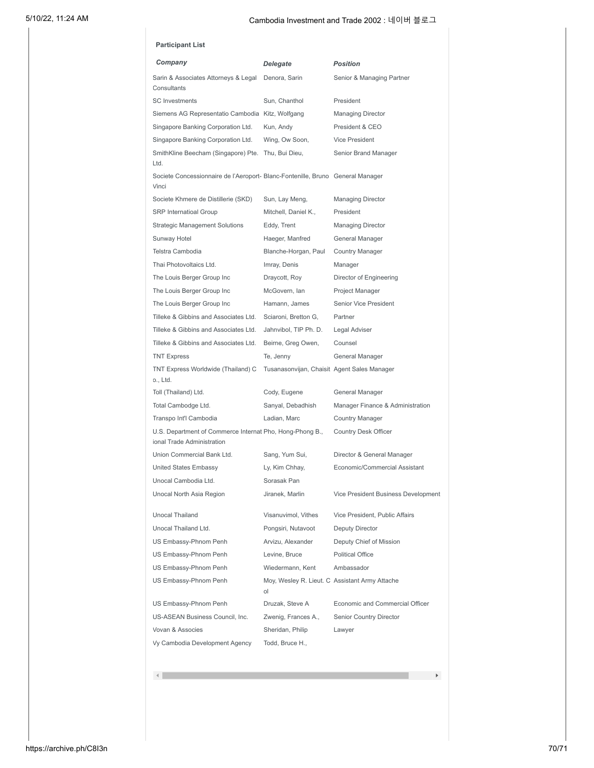| <b>Participant List</b>                                                                 |                                                      |                                     |
|-----------------------------------------------------------------------------------------|------------------------------------------------------|-------------------------------------|
| Company                                                                                 | Delegate                                             | <b>Position</b>                     |
| Sarin & Associates Attorneys & Legal<br>Consultants                                     | Denora, Sarin                                        | Senior & Managing Partner           |
| <b>SC</b> Investments                                                                   | Sun, Chanthol                                        | President                           |
| Siemens AG Representatio Cambodia Kitz, Wolfgang                                        |                                                      | <b>Managing Director</b>            |
| Singapore Banking Corporation Ltd.                                                      | Kun, Andy                                            | President & CEO                     |
| Singapore Banking Corporation Ltd.                                                      | Wing, Ow Soon,                                       | Vice President                      |
| SmithKline Beecham (Singapore) Pte.<br>Ltd.                                             | Thu, Bui Dieu,                                       | Senior Brand Manager                |
| Societe Concessionnaire de l'Aeroport- Blanc-Fontenille, Bruno General Manager<br>Vinci |                                                      |                                     |
| Societe Khmere de Distillerie (SKD)                                                     | Sun, Lay Meng,                                       | <b>Managing Director</b>            |
| <b>SRP</b> Internatioal Group                                                           | Mitchell, Daniel K.,                                 | President                           |
| <b>Strategic Management Solutions</b>                                                   | Eddy, Trent                                          | <b>Managing Director</b>            |
| Sunway Hotel                                                                            | Haeger, Manfred                                      | General Manager                     |
| Telstra Cambodia                                                                        | Blanche-Horgan, Paul                                 | <b>Country Manager</b>              |
| Thai Photovoltaics Ltd.                                                                 | Imray, Denis                                         | Manager                             |
| The Louis Berger Group Inc                                                              | Draycott, Roy                                        | Director of Engineering             |
| The Louis Berger Group Inc                                                              | McGovern, Ian                                        | Project Manager                     |
| The Louis Berger Group Inc                                                              | Hamann, James                                        | <b>Senior Vice President</b>        |
| Tilleke & Gibbins and Associates Ltd.                                                   | Sciaroni, Bretton G,                                 | Partner                             |
| Tilleke & Gibbins and Associates Ltd.                                                   | Jahnvibol, TIP Ph. D.                                | Legal Adviser                       |
| Tilleke & Gibbins and Associates Ltd.                                                   | Beirne, Greg Owen,                                   | Counsel                             |
| <b>TNT Express</b>                                                                      | Te, Jenny                                            | General Manager                     |
| TNT Express Worldwide (Thailand) C<br>o., Ltd.                                          | Tusanasonvijan, Chaisit Agent Sales Manager          |                                     |
| Toll (Thailand) Ltd.                                                                    | Cody, Eugene                                         | General Manager                     |
| Total Cambodge Ltd.                                                                     | Sanyal, Debadhish                                    | Manager Finance & Administration    |
| Transpo Int'l Cambodia                                                                  | Ladian, Marc                                         | Country Manager                     |
| U.S. Department of Commerce Internat Pho, Hong-Phong B.,<br>ional Trade Administration  |                                                      | <b>Country Desk Officer</b>         |
| Union Commercial Bank Ltd.                                                              | Sang, Yum Sui,                                       | Director & General Manager          |
| <b>United States Embassy</b>                                                            | Ly, Kim Chhay,                                       | Economic/Commercial Assistant       |
| Unocal Cambodia Ltd.                                                                    | Sorasak Pan                                          |                                     |
| Unocal North Asia Region                                                                | Jiranek, Marlin                                      | Vice President Business Development |
| <b>Unocal Thailand</b>                                                                  | Visanuvimol, Vithes                                  | Vice President, Public Affairs      |
| Unocal Thailand Ltd.                                                                    | Pongsiri, Nutavoot                                   | Deputy Director                     |
| US Embassy-Phnom Penh                                                                   | Arvizu, Alexander                                    | Deputy Chief of Mission             |
| US Embassy-Phnom Penh                                                                   | Levine, Bruce                                        | Political Office                    |
| US Embassy-Phnom Penh                                                                   | Wiedermann, Kent                                     | Ambassador                          |
| US Embassy-Phnom Penh                                                                   | Moy, Wesley R. Lieut. C Assistant Army Attache<br>ol |                                     |
| US Embassy-Phnom Penh                                                                   | Druzak, Steve A                                      | Economic and Commercial Officer     |
| US-ASEAN Business Council, Inc.                                                         | Zwenig, Frances A.,                                  | Senior Country Director             |
| Vovan & Associes                                                                        | Sheridan, Philip                                     | Lawyer                              |
| Vy Cambodia Development Agency                                                          | Todd, Bruce H.,                                      |                                     |
|                                                                                         |                                                      |                                     |

 $\left\langle \cdot \right\rangle$ 

 $\mathbb{R}^d$